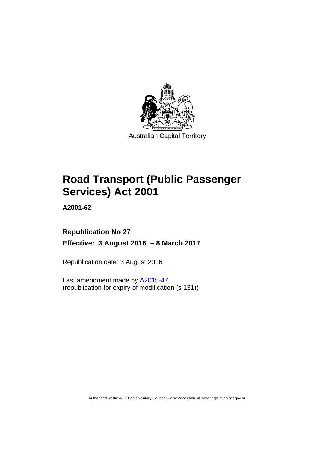

# **Road Transport (Public Passenger Services) Act 2001**

**A2001-62** 

## **Republication No 27 Effective: 3 August 2016 – 8 March 2017**

Republication date: 3 August 2016

Last amendment made by [A2015-47](http://www.legislation.act.gov.au/a/2015-47) (republication for expiry of modification (s 131))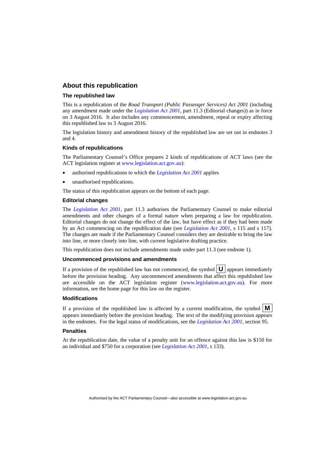### **About this republication**

#### **The republished law**

This is a republication of the *Road Transport (Public Passenger Services) Act 2001* (including any amendment made under the *[Legislation Act 2001](http://www.legislation.act.gov.au/a/2001-14)*, part 11.3 (Editorial changes)) as in force on 3 August 2016*.* It also includes any commencement, amendment, repeal or expiry affecting this republished law to 3 August 2016.

The legislation history and amendment history of the republished law are set out in endnotes 3 and 4.

#### **Kinds of republications**

The Parliamentary Counsel's Office prepares 2 kinds of republications of ACT laws (see the ACT legislation register at [www.legislation.act.gov.au](http://www.legislation.act.gov.au/)):

- authorised republications to which the *[Legislation Act 2001](http://www.legislation.act.gov.au/a/2001-14)* applies
- unauthorised republications.

The status of this republication appears on the bottom of each page.

#### **Editorial changes**

The *[Legislation Act 2001](http://www.legislation.act.gov.au/a/2001-14)*, part 11.3 authorises the Parliamentary Counsel to make editorial amendments and other changes of a formal nature when preparing a law for republication. Editorial changes do not change the effect of the law, but have effect as if they had been made by an Act commencing on the republication date (see *[Legislation Act 2001](http://www.legislation.act.gov.au/a/2001-14)*, s 115 and s 117). The changes are made if the Parliamentary Counsel considers they are desirable to bring the law into line, or more closely into line, with current legislative drafting practice.

This republication does not include amendments made under part 11.3 (see endnote 1).

#### **Uncommenced provisions and amendments**

If a provision of the republished law has not commenced, the symbol  $\mathbf{U}$  appears immediately before the provision heading. Any uncommenced amendments that affect this republished law are accessible on the ACT legislation register [\(www.legislation.act.gov.au\)](http://www.legislation.act.gov.au/). For more information, see the home page for this law on the register.

#### **Modifications**

If a provision of the republished law is affected by a current modification, the symbol  $\mathbf{M}$ appears immediately before the provision heading. The text of the modifying provision appears in the endnotes. For the legal status of modifications, see the *[Legislation Act 2001](http://www.legislation.act.gov.au/a/2001-14)*, section 95.

#### **Penalties**

At the republication date, the value of a penalty unit for an offence against this law is \$150 for an individual and \$750 for a corporation (see *[Legislation Act 2001](http://www.legislation.act.gov.au/a/2001-14)*, s 133).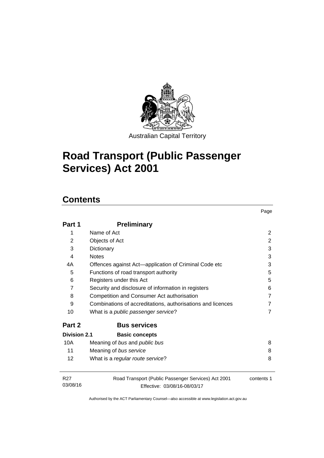

# **Road Transport (Public Passenger Services) Act 2001**

## **Contents**

| Part 1                      | <b>Preliminary</b>                                                                  |            |
|-----------------------------|-------------------------------------------------------------------------------------|------------|
| 1                           | Name of Act                                                                         | 2          |
| $\overline{2}$              | Objects of Act                                                                      | 2          |
| 3                           | Dictionary                                                                          | 3          |
| 4                           | <b>Notes</b>                                                                        | 3          |
| 4A                          | Offences against Act—application of Criminal Code etc                               | 3          |
| 5                           | Functions of road transport authority                                               | 5          |
| 6                           | Registers under this Act                                                            | 5          |
| $\overline{7}$              | Security and disclosure of information in registers                                 | 6          |
| 8                           | Competition and Consumer Act authorisation                                          | 7          |
| 9                           | Combinations of accreditations, authorisations and licences                         | 7          |
| 10                          | What is a <i>public passenger service</i> ?                                         |            |
| Part 2                      | <b>Bus services</b>                                                                 |            |
| Division 2.1                | <b>Basic concepts</b>                                                               |            |
| 10A                         | Meaning of bus and public bus                                                       | 8          |
| 11                          | Meaning of bus service                                                              | 8          |
| 12                          | What is a regular route service?                                                    | 8          |
| R <sub>27</sub><br>03/08/16 | Road Transport (Public Passenger Services) Act 2001<br>Effective: 03/08/16-08/03/17 | contents 1 |

Page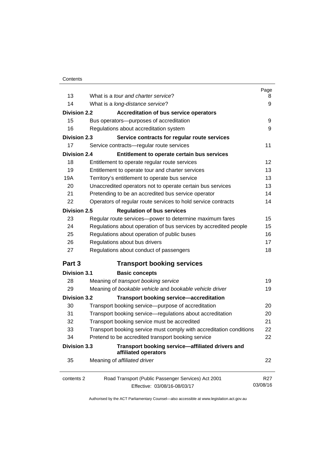| 13                  | What is a tour and charter service?                                      | Page            |
|---------------------|--------------------------------------------------------------------------|-----------------|
|                     |                                                                          | 8               |
| 14                  | What is a long-distance service?                                         | 9               |
| <b>Division 2.2</b> | <b>Accreditation of bus service operators</b>                            |                 |
| 15                  | Bus operators-purposes of accreditation                                  | 9               |
| 16                  | Regulations about accreditation system                                   | 9               |
| <b>Division 2.3</b> | Service contracts for regular route services                             |                 |
| 17                  | Service contracts-regular route services                                 | 11              |
| <b>Division 2.4</b> | Entitlement to operate certain bus services                              |                 |
| 18                  | Entitlement to operate regular route services                            | 12              |
| 19                  | Entitlement to operate tour and charter services                         | 13              |
| 19A                 | Territory's entitlement to operate bus service                           | 13              |
| 20                  | Unaccredited operators not to operate certain bus services               | 13              |
| 21                  | Pretending to be an accredited bus service operator                      | 14              |
| 22                  | Operators of regular route services to hold service contracts            | 14              |
| <b>Division 2.5</b> | <b>Regulation of bus services</b>                                        |                 |
| 23                  | Regular route services-power to determine maximum fares                  | 15              |
| 24                  | Regulations about operation of bus services by accredited people         | 15              |
| 25                  | Regulations about operation of public buses                              | 16              |
| 26                  | Regulations about bus drivers                                            | 17              |
| 27                  | Regulations about conduct of passengers                                  | 18              |
| Part 3              | <b>Transport booking services</b>                                        |                 |
| <b>Division 3.1</b> | <b>Basic concepts</b>                                                    |                 |
| 28                  | Meaning of transport booking service                                     | 19              |
| 29                  | Meaning of bookable vehicle and bookable vehicle driver                  | 19              |
| <b>Division 3.2</b> | <b>Transport booking service-accreditation</b>                           |                 |
| 30                  | Transport booking service-purpose of accreditation                       | 20              |
| 31                  | Transport booking service-regulations about accreditation                | 20              |
| 32                  | Transport booking service must be accredited                             | 21              |
| 33                  | Transport booking service must comply with accreditation conditions      | 22              |
| 34                  | Pretend to be accredited transport booking service                       | 22              |
| Division 3.3        | Transport booking service-affiliated drivers and<br>affiliated operators |                 |
| 35                  | Meaning of affiliated driver                                             | 22              |
| contents 2          | Road Transport (Public Passenger Services) Act 2001                      | R <sub>27</sub> |
|                     | Effective: 03/08/16-08/03/17                                             | 03/08/16        |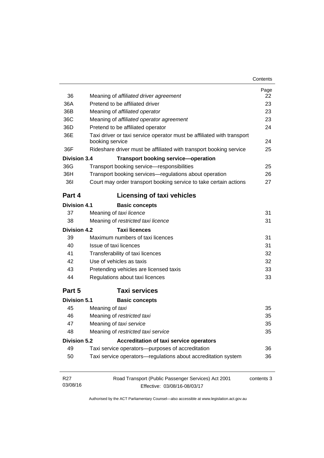| Contents |
|----------|
|----------|

| 36<br>36A                   | Meaning of affiliated driver agreement<br>Pretend to be affiliated driver                 | Page<br>22<br>23 |
|-----------------------------|-------------------------------------------------------------------------------------------|------------------|
| 36B                         | Meaning of affiliated operator                                                            | 23               |
| 36C                         | Meaning of affiliated operator agreement                                                  | 23               |
| 36D                         | Pretend to be affiliated operator                                                         | 24               |
| 36E                         | Taxi driver or taxi service operator must be affiliated with transport<br>booking service | 24               |
| 36F                         | Rideshare driver must be affiliated with transport booking service                        | 25               |
| <b>Division 3.4</b>         | <b>Transport booking service-operation</b>                                                |                  |
| 36G                         | Transport booking service-responsibilities                                                | 25               |
| 36H                         | Transport booking services-regulations about operation                                    | 26               |
| <b>361</b>                  | Court may order transport booking service to take certain actions                         | 27               |
| Part 4                      | <b>Licensing of taxi vehicles</b>                                                         |                  |
| <b>Division 4.1</b>         | <b>Basic concepts</b>                                                                     |                  |
| 37                          | Meaning of taxi licence                                                                   | 31               |
| 38                          | Meaning of restricted taxi licence                                                        | 31               |
| Division 4.2                | <b>Taxi licences</b>                                                                      |                  |
| 39                          | Maximum numbers of taxi licences                                                          | 31               |
| 40                          | Issue of taxi licences                                                                    | 31               |
| 41                          | Transferability of taxi licences                                                          | 32               |
| 42                          | Use of vehicles as taxis                                                                  | 32               |
| 43                          | Pretending vehicles are licensed taxis                                                    | 33               |
| 44                          | Regulations about taxi licences                                                           | 33               |
| Part 5                      | <b>Taxi services</b>                                                                      |                  |
| Division 5.1                | <b>Basic concepts</b>                                                                     |                  |
| 45                          | Meaning of taxi                                                                           | 35               |
| 46                          | Meaning of restricted taxi                                                                | 35               |
| 47                          | Meaning of taxi service                                                                   | 35               |
| 48                          | Meaning of restricted taxi service                                                        | 35               |
| <b>Division 5.2</b>         | <b>Accreditation of taxi service operators</b>                                            |                  |
| 49                          | Taxi service operators--purposes of accreditation                                         | 36               |
| 50                          | Taxi service operators-regulations about accreditation system                             | 36               |
| R <sub>27</sub><br>03/08/16 | Road Transport (Public Passenger Services) Act 2001                                       | contents 3       |
|                             | Effective: 03/08/16-08/03/17                                                              |                  |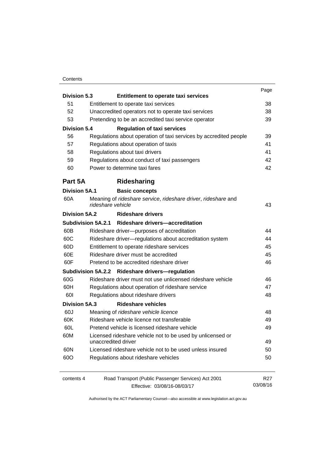#### **Contents**

|                      |                                                                                    | Page     |
|----------------------|------------------------------------------------------------------------------------|----------|
| <b>Division 5.3</b>  | Entitlement to operate taxi services                                               |          |
| 51                   | Entitlement to operate taxi services                                               | 38       |
| 52                   | Unaccredited operators not to operate taxi services                                | 38       |
| 53                   | Pretending to be an accredited taxi service operator                               | 39       |
| <b>Division 5.4</b>  | <b>Regulation of taxi services</b>                                                 |          |
| 56                   | Regulations about operation of taxi services by accredited people                  | 39       |
| 57                   | Regulations about operation of taxis                                               | 41       |
| 58                   | Regulations about taxi drivers                                                     | 41       |
| 59                   | Regulations about conduct of taxi passengers                                       | 42       |
| 60                   | Power to determine taxi fares                                                      | 42       |
| Part 5A              | Ridesharing                                                                        |          |
| <b>Division 5A.1</b> | <b>Basic concepts</b>                                                              |          |
| 60A                  | Meaning of rideshare service, rideshare driver, rideshare and<br>rideshare vehicle | 43       |
| Division 5A.2        | <b>Rideshare drivers</b>                                                           |          |
|                      | Subdivision 5A.2.1 Rideshare drivers-accreditation                                 |          |
| 60B                  | Rideshare driver--purposes of accreditation                                        | 44       |
| 60C                  | Rideshare driver-regulations about accreditation system                            | 44       |
| 60D                  | Entitlement to operate rideshare services                                          | 45       |
| 60E                  | Rideshare driver must be accredited                                                | 45       |
| 60F                  | Pretend to be accredited rideshare driver                                          | 46       |
|                      | Subdivision 5A.2.2 Rideshare drivers-regulation                                    |          |
| 60G                  | Rideshare driver must not use unlicensed rideshare vehicle                         | 46       |
| 60H                  | Regulations about operation of rideshare service                                   | 47       |
| 601                  | Regulations about rideshare drivers                                                | 48       |
| <b>Division 5A.3</b> | <b>Rideshare vehicles</b>                                                          |          |
| 60J                  | Meaning of rideshare vehicle licence                                               | 48       |
| 60K                  | Rideshare vehicle licence not transferable                                         | 49       |
| 60L                  | Pretend vehicle is licensed rideshare vehicle                                      | 49       |
| 60M                  | Licensed rideshare vehicle not to be used by unlicensed or                         |          |
|                      | unaccredited driver                                                                | 49       |
| 60N                  | Licensed rideshare vehicle not to be used unless insured                           | 50       |
| 60O                  | Regulations about rideshare vehicles                                               | 50       |
| contents 4           | Road Transport (Public Passenger Services) Act 2001                                | R27      |
|                      | Effective: 03/08/16-08/03/17                                                       | 03/08/16 |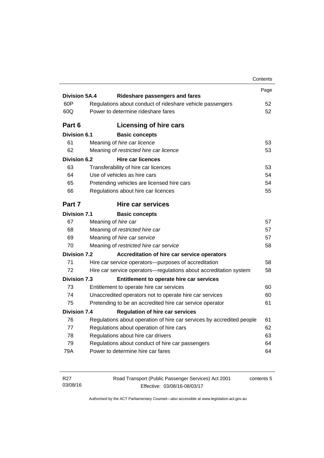|                      |                                                                       | Contents |
|----------------------|-----------------------------------------------------------------------|----------|
|                      |                                                                       | Page     |
| <b>Division 5A.4</b> | Rideshare passengers and fares                                        |          |
| 60P                  | Regulations about conduct of rideshare vehicle passengers             | 52       |
| 60Q                  | Power to determine rideshare fares                                    | 52       |
| Part 6               | Licensing of hire cars                                                |          |
| <b>Division 6.1</b>  | <b>Basic concepts</b>                                                 |          |
| 61                   | Meaning of hire car licence                                           | 53       |
| 62                   | Meaning of restricted hire car licence                                | 53       |
| <b>Division 6.2</b>  | <b>Hire car licences</b>                                              |          |
| 63                   | Transferability of hire car licences                                  | 53       |
| 64                   | Use of vehicles as hire cars                                          | 54       |
| 65                   | Pretending vehicles are licensed hire cars                            | 54       |
| 66                   | Regulations about hire car licences                                   | 55       |
| Part 7               | <b>Hire car services</b>                                              |          |
| <b>Division 7.1</b>  | <b>Basic concepts</b>                                                 |          |
| 67                   | Meaning of hire car                                                   | 57       |
| 68                   | Meaning of restricted hire car                                        | 57       |
| 69                   | Meaning of hire car service                                           | 57       |
| 70                   | Meaning of restricted hire car service                                | 58       |
| <b>Division 7.2</b>  | Accreditation of hire car service operators                           |          |
| 71                   | Hire car service operators—purposes of accreditation                  | 58       |
| 72                   | Hire car service operators-regulations about accreditation system     | 58       |
| <b>Division 7.3</b>  | Entitlement to operate hire car services                              |          |
| 73                   | Entitlement to operate hire car services                              | 60       |
| 74                   | Unaccredited operators not to operate hire car services               | 60       |
| 75                   | Pretending to be an accredited hire car service operator              | 61       |
| <b>Division 7.4</b>  | <b>Regulation of hire car services</b>                                |          |
| 76                   | Regulations about operation of hire car services by accredited people | 61       |
|                      | Regulations about operation of hire cars                              | 62       |
| 77                   | Regulations about hire car drivers                                    | 63       |
| 78                   |                                                                       |          |
| 79                   | Regulations about conduct of hire car passengers                      | 64       |

| R27      | Road Transport (Public Passenger Services) Act 2001 | contents 5 |
|----------|-----------------------------------------------------|------------|
| 03/08/16 | Effective: 03/08/16-08/03/17                        |            |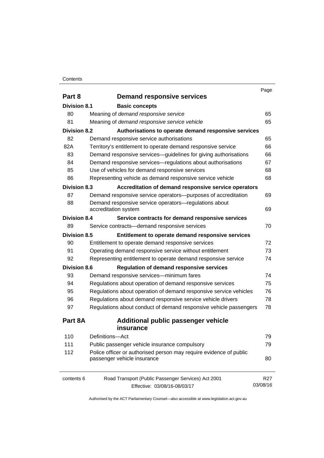#### **Contents**

|                     |                                                                    | Page            |
|---------------------|--------------------------------------------------------------------|-----------------|
| Part 8              | <b>Demand responsive services</b>                                  |                 |
| Division 8.1        | <b>Basic concepts</b>                                              |                 |
| 80                  | Meaning of demand responsive service                               | 65              |
| 81                  | Meaning of demand responsive service vehicle                       | 65              |
| <b>Division 8.2</b> | Authorisations to operate demand responsive services               |                 |
| 82                  | Demand responsive service authorisations                           | 65              |
| 82A                 | Territory's entitlement to operate demand responsive service       | 66              |
| 83                  | Demand responsive services-guidelines for giving authorisations    | 66              |
| 84                  | Demand responsive services—regulations about authorisations        | 67              |
| 85                  | Use of vehicles for demand responsive services                     | 68              |
| 86                  | Representing vehicle as demand responsive service vehicle          | 68              |
| <b>Division 8.3</b> | Accreditation of demand responsive service operators               |                 |
| 87                  | Demand responsive service operators-purposes of accreditation      | 69              |
| 88                  | Demand responsive service operators-regulations about              |                 |
|                     | accreditation system                                               | 69              |
| <b>Division 8.4</b> | Service contracts for demand responsive services                   |                 |
| 89                  | Service contracts-demand responsive services                       | 70              |
| <b>Division 8.5</b> | Entitlement to operate demand responsive services                  |                 |
| 90                  | Entitlement to operate demand responsive services                  | 72              |
| 91                  | Operating demand responsive service without entitlement            | 73              |
| 92                  | Representing entitlement to operate demand responsive service      | 74              |
| <b>Division 8.6</b> | <b>Regulation of demand responsive services</b>                    |                 |
| 93                  | Demand responsive services-minimum fares                           | 74              |
| 94                  | Regulations about operation of demand responsive services          | 75              |
| 95                  | Regulations about operation of demand responsive service vehicles  | 76              |
| 96                  | Regulations about demand responsive service vehicle drivers        | 78              |
| 97                  | Regulations about conduct of demand responsive vehicle passengers  | 78              |
| Part 8A             | <b>Additional public passenger vehicle</b>                         |                 |
|                     | insurance                                                          |                 |
| 110                 | Definitions-Act                                                    | 79              |
| 111                 | Public passenger vehicle insurance compulsory                      | 79              |
| 112                 | Police officer or authorised person may require evidence of public |                 |
|                     | passenger vehicle insurance                                        | 80              |
|                     |                                                                    |                 |
| contents 6          | Road Transport (Public Passenger Services) Act 2001                | R <sub>27</sub> |
|                     | Effective: 03/08/16-08/03/17                                       | 03/08/16        |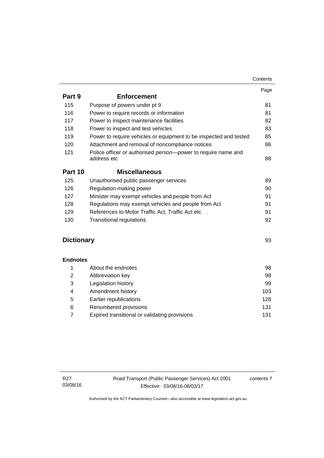|                   |                                                                              | Contents |
|-------------------|------------------------------------------------------------------------------|----------|
|                   |                                                                              | Page     |
| Part 9            | <b>Enforcement</b>                                                           |          |
| 115               | Purpose of powers under pt 9                                                 | 81       |
| 116               | Power to require records or information                                      | 81       |
| 117               | Power to inspect maintenance facilities                                      | 82       |
| 118               | Power to inspect and test vehicles                                           | 83       |
| 119               | Power to require vehicles or equipment to be inspected and tested            | 85       |
| 120               | Attachment and removal of noncompliance notices                              | 86       |
| 121               | Police officer or authorised person-power to require name and<br>address etc | 88       |
| Part 10           | <b>Miscellaneous</b>                                                         |          |
| 125               | Unauthorised public passenger services                                       | 89       |
| 126               | Regulation-making power                                                      | 90       |
| 127               | Minister may exempt vehicles and people from Act                             | 91       |
| 128               | Regulations may exempt vehicles and people from Act                          | 91       |
| 129               | References to Motor Traffic Act, Traffic Act etc                             | 91       |
| 130               | <b>Transitional regulations</b>                                              | 92       |
| <b>Dictionary</b> |                                                                              | 93       |
| <b>Endnotes</b>   |                                                                              |          |
| 1                 | About the endnotes                                                           | 98       |
| $\overline{2}$    | Abbreviation key                                                             | 98       |
| 3                 | Legislation history                                                          | 99       |
| 4                 | Amendment history                                                            | 103      |
| 5                 | Earlier republications                                                       | 128      |
| 6                 | Renumbered provisions                                                        | 131      |
| $\overline{7}$    | Expired transitional or validating provisions                                | 131      |

contents 7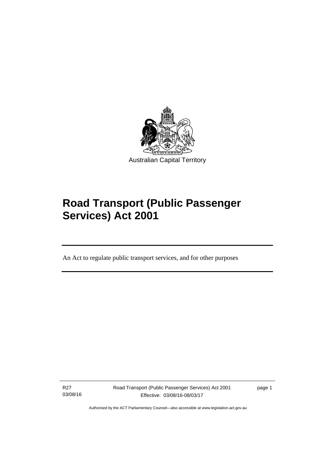

# **Road Transport (Public Passenger Services) Act 2001**

An Act to regulate public transport services, and for other purposes

R27 03/08/16

Ī

Road Transport (Public Passenger Services) Act 2001 Effective: 03/08/16-08/03/17

page 1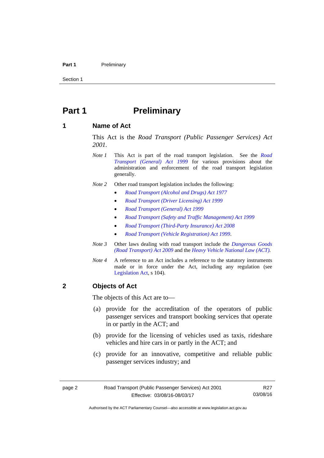#### Part 1 **Preliminary**

Section 1

### <span id="page-11-0"></span>**Part 1** Preliminary

### <span id="page-11-1"></span>**1 Name of Act**

This Act is the *Road Transport (Public Passenger Services) Act 2001.* 

- *Note 1* This Act is part of the road transport legislation. See the *[Road](http://www.legislation.act.gov.au/a/1999-77)  [Transport \(General\) Act 1999](http://www.legislation.act.gov.au/a/1999-77)* for various provisions about the administration and enforcement of the road transport legislation generally.
- *Note 2* Other road transport legislation includes the following:
	- *[Road Transport \(Alcohol and Drugs\) Act 1977](http://www.legislation.act.gov.au/a/1977-17)*
	- *[Road Transport \(Driver Licensing\) Act 1999](http://www.legislation.act.gov.au/a/1999-78)*
	- *[Road Transport \(General\) Act 1999](http://www.legislation.act.gov.au/a/1999-77)*
	- *[Road Transport \(Safety and Traffic Management\) Act 1999](http://www.legislation.act.gov.au/a/1999-80)*
	- *[Road Transport \(Third-Party Insurance\) Act 2008](http://www.legislation.act.gov.au/a/2008-1)*
	- *[Road Transport \(Vehicle Registration\) Act 1999](http://www.legislation.act.gov.au/a/1999-81)*.
- *Note 3* Other laws dealing with road transport include the *[Dangerous Goods](http://www.legislation.act.gov.au/a/2009-34)  [\(Road Transport\) Act 2009](http://www.legislation.act.gov.au/a/2009-34)* and the *[Heavy Vehicle National Law \(ACT\).](http://www.legislation.act.gov.au/a/db_49155/default.asp)*
- *Note 4* A reference to an Act includes a reference to the statutory instruments made or in force under the Act, including any regulation (see [Legislation Act,](http://www.legislation.act.gov.au/a/2001-14) s 104).

### <span id="page-11-2"></span>**2 Objects of Act**

The objects of this Act are to—

- (a) provide for the accreditation of the operators of public passenger services and transport booking services that operate in or partly in the ACT; and
- (b) provide for the licensing of vehicles used as taxis, rideshare vehicles and hire cars in or partly in the ACT; and
- (c) provide for an innovative, competitive and reliable public passenger services industry; and

R27 03/08/16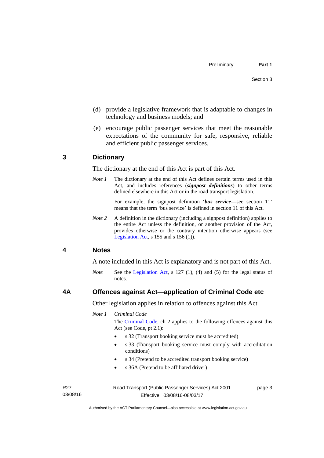- (d) provide a legislative framework that is adaptable to changes in technology and business models; and
- (e) encourage public passenger services that meet the reasonable expectations of the community for safe, responsive, reliable and efficient public passenger services.

### <span id="page-12-0"></span>**3 Dictionary**

The dictionary at the end of this Act is part of this Act.

*Note 1* The dictionary at the end of this Act defines certain terms used in this Act, and includes references (*signpost definitions*) to other terms defined elsewhere in this Act or in the road transport legislation.

> For example, the signpost definition '*bus service*—see section 11' means that the term 'bus service' is defined in section 11 of this Act.

*Note 2* A definition in the dictionary (including a signpost definition) applies to the entire Act unless the definition, or another provision of the Act, provides otherwise or the contrary intention otherwise appears (see [Legislation Act,](http://www.legislation.act.gov.au/a/2001-14) s  $155$  and s  $156$  (1)).

### <span id="page-12-1"></span>**4 Notes**

A note included in this Act is explanatory and is not part of this Act.

*Note* See the [Legislation Act](http://www.legislation.act.gov.au/a/2001-14), s 127 (1), (4) and (5) for the legal status of notes.

### <span id="page-12-2"></span>**4A Offences against Act—application of Criminal Code etc**

Other legislation applies in relation to offences against this Act.

*Note 1 Criminal Code*

The [Criminal Code](http://www.legislation.act.gov.au/a/2002-51), ch 2 applies to the following offences against this Act (see Code, pt 2.1):

- s 32 (Transport booking service must be accredited)
- s 33 (Transport booking service must comply with accreditation conditions)
- s 34 (Pretend to be accredited transport booking service)
- s 36A (Pretend to be affiliated driver)

R27 03/08/16 Road Transport (Public Passenger Services) Act 2001 Effective: 03/08/16-08/03/17

page 3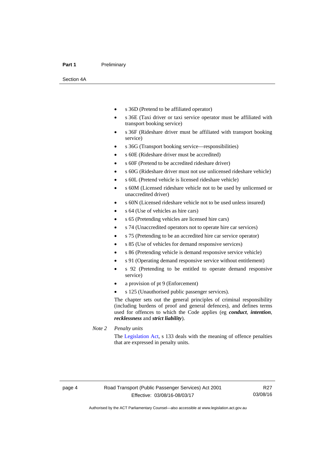#### Part 1 **Preliminary**

Section 4A

- s 36D (Pretend to be affiliated operator)
- s 36E (Taxi driver or taxi service operator must be affiliated with transport booking service)
- s 36F (Rideshare driver must be affiliated with transport booking service)
- s 36G (Transport booking service—responsibilities)
- s 60E (Rideshare driver must be accredited)
- s 60F (Pretend to be accredited rideshare driver)
- s 60G (Rideshare driver must not use unlicensed rideshare vehicle)
- s 60L (Pretend vehicle is licensed rideshare vehicle)
- s 60M (Licensed rideshare vehicle not to be used by unlicensed or unaccredited driver)
- s 60N (Licensed rideshare vehicle not to be used unless insured)
- s 64 (Use of vehicles as hire cars)
- s 65 (Pretending vehicles are licensed hire cars)
- s 74 (Unaccredited operators not to operate hire car services)
- s 75 (Pretending to be an accredited hire car service operator)
- s 85 (Use of vehicles for demand responsive services)
- s 86 (Pretending vehicle is demand responsive service vehicle)
- s 91 (Operating demand responsive service without entitlement)
- s 92 (Pretending to be entitled to operate demand responsive service)
- a provision of pt 9 (Enforcement)
- s 125 (Unauthorised public passenger services).

The chapter sets out the general principles of criminal responsibility (including burdens of proof and general defences), and defines terms used for offences to which the Code applies (eg *conduct*, *intention*, *recklessness* and *strict liability*).

*Note 2 Penalty units* 

The [Legislation Act](http://www.legislation.act.gov.au/a/2001-14), s 133 deals with the meaning of offence penalties that are expressed in penalty units.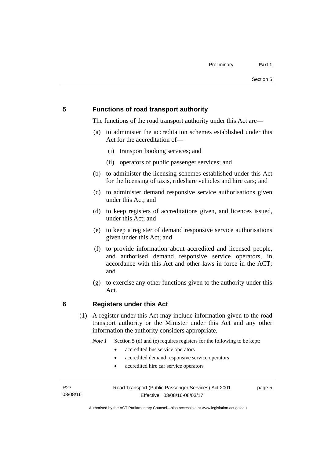### <span id="page-14-0"></span>**5 Functions of road transport authority**

The functions of the road transport authority under this Act are—

- (a) to administer the accreditation schemes established under this Act for the accreditation of—
	- (i) transport booking services; and
	- (ii) operators of public passenger services; and
- (b) to administer the licensing schemes established under this Act for the licensing of taxis, rideshare vehicles and hire cars; and
- (c) to administer demand responsive service authorisations given under this Act; and
- (d) to keep registers of accreditations given, and licences issued, under this Act; and
- (e) to keep a register of demand responsive service authorisations given under this Act; and
- (f) to provide information about accredited and licensed people, and authorised demand responsive service operators, in accordance with this Act and other laws in force in the ACT; and
- (g) to exercise any other functions given to the authority under this Act.

### <span id="page-14-1"></span>**6 Registers under this Act**

(1) A register under this Act may include information given to the road transport authority or the Minister under this Act and any other information the authority considers appropriate.

*Note 1* Section 5 (d) and (e) requires registers for the following to be kept:

- accredited bus service operators
- accredited demand responsive service operators
- accredited hire car service operators

R27 03/08/16 Road Transport (Public Passenger Services) Act 2001 Effective: 03/08/16-08/03/17

page 5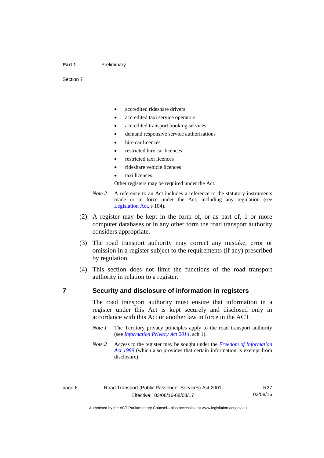#### Part 1 **Preliminary**

Section 7

- accredited rideshare drivers
- accredited taxi service operators
- accredited transport booking services
- demand responsive service authorisations
- hire car licences
- restricted hire car licences
- restricted taxi licences
- rideshare vehicle licences
- taxi licences.

Other registers may be required under the Act.

- *Note 2* A reference to an Act includes a reference to the statutory instruments made or in force under the Act, including any regulation (see [Legislation Act,](http://www.legislation.act.gov.au/a/2001-14) s 104).
- (2) A register may be kept in the form of, or as part of, 1 or more computer databases or in any other form the road transport authority considers appropriate.
- (3) The road transport authority may correct any mistake, error or omission in a register subject to the requirements (if any) prescribed by regulation.
- (4) This section does not limit the functions of the road transport authority in relation to a register.

### <span id="page-15-0"></span>**7 Security and disclosure of information in registers**

The road transport authority must ensure that information in a register under this Act is kept securely and disclosed only in accordance with this Act or another law in force in the ACT.

- *Note 1* The Territory privacy principles apply to the road transport authority (see *[Information Privacy Act 2014](http://www.legislation.act.gov.au/a/2014-24/default.asp)*, sch 1).
- *Note 2* Access to the register may be sought under the *[Freedom of Information](http://www.legislation.act.gov.au/a/alt_a1989-46co)  [Act 1989](http://www.legislation.act.gov.au/a/alt_a1989-46co)* (which also provides that certain information is exempt from disclosure).

Authorised by the ACT Parliamentary Counsel—also accessible at www.legislation.act.gov.au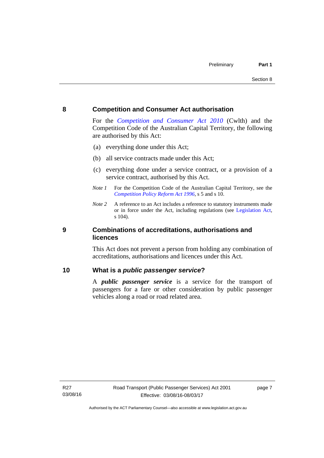### <span id="page-16-0"></span>**8 Competition and Consumer Act authorisation**

For the *[Competition and Consumer Act 2010](http://www.comlaw.gov.au/Details/C2013C00004)* (Cwlth) and the Competition Code of the Australian Capital Territory, the following are authorised by this Act:

- (a) everything done under this Act;
- (b) all service contracts made under this Act;
- (c) everything done under a service contract, or a provision of a service contract, authorised by this Act.
- *Note 1* For the Competition Code of the Australian Capital Territory, see the *[Competition Policy Reform Act 1996](http://www.legislation.act.gov.au/a/1996-21)*, s 5 and s 10.
- *Note 2* A reference to an Act includes a reference to statutory instruments made or in force under the Act, including regulations (see [Legislation Act,](http://www.legislation.act.gov.au/a/2001-14) s 104).

### <span id="page-16-1"></span>**9 Combinations of accreditations, authorisations and licences**

This Act does not prevent a person from holding any combination of accreditations, authorisations and licences under this Act.

### <span id="page-16-2"></span>**10 What is a** *public passenger service***?**

A *public passenger service* is a service for the transport of passengers for a fare or other consideration by public passenger vehicles along a road or road related area.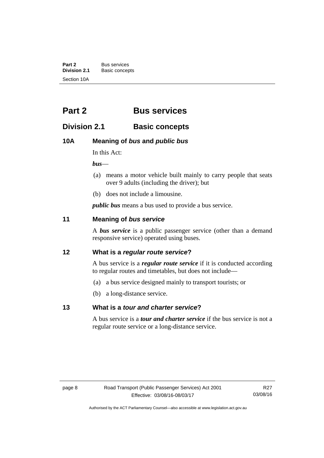**Part 2** Bus services<br> **Division 2.1** Basic concer **Division 2.1** Basic concepts Section 10A

## <span id="page-17-0"></span>**Part 2 Bus services**

### <span id="page-17-1"></span>**Division 2.1 Basic concepts**

### <span id="page-17-2"></span>**10A Meaning of** *bus* **and** *public bus*

In this Act:

*bus*—

- (a) means a motor vehicle built mainly to carry people that seats over 9 adults (including the driver); but
- (b) does not include a limousine.

*public bus* means a bus used to provide a bus service.

### <span id="page-17-3"></span>**11 Meaning of** *bus service*

A *bus service* is a public passenger service (other than a demand responsive service) operated using buses.

### <span id="page-17-4"></span>**12 What is a** *regular route service***?**

A bus service is a *regular route service* if it is conducted according to regular routes and timetables, but does not include—

- (a) a bus service designed mainly to transport tourists; or
- (b) a long-distance service.

### <span id="page-17-5"></span>**13 What is a** *tour and charter service***?**

A bus service is a *tour and charter service* if the bus service is not a regular route service or a long-distance service.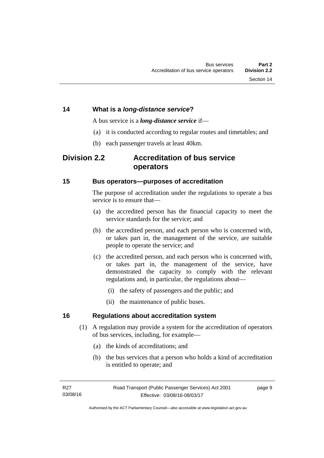### <span id="page-18-0"></span>**14 What is a** *long-distance service***?**

A bus service is a *long-distance service* if—

- (a) it is conducted according to regular routes and timetables; and
- (b) each passenger travels at least 40km.

### <span id="page-18-1"></span>**Division 2.2 Accreditation of bus service operators**

### <span id="page-18-2"></span>**15 Bus operators—purposes of accreditation**

The purpose of accreditation under the regulations to operate a bus service is to ensure that-

- (a) the accredited person has the financial capacity to meet the service standards for the service; and
- (b) the accredited person, and each person who is concerned with, or takes part in, the management of the service, are suitable people to operate the service; and
- (c) the accredited person, and each person who is concerned with, or takes part in, the management of the service, have demonstrated the capacity to comply with the relevant regulations and, in particular, the regulations about—
	- (i) the safety of passengers and the public; and
	- (ii) the maintenance of public buses.

### <span id="page-18-3"></span>**16 Regulations about accreditation system**

- (1) A regulation may provide a system for the accreditation of operators of bus services, including, for example—
	- (a) the kinds of accreditations; and
	- (b) the bus services that a person who holds a kind of accreditation is entitled to operate; and

page 9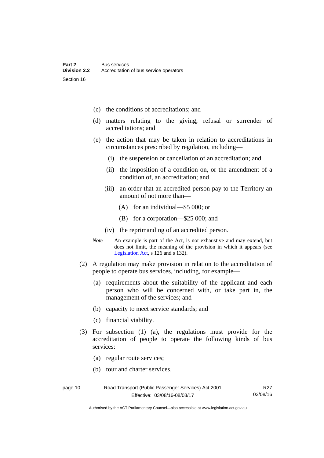- (c) the conditions of accreditations; and
- (d) matters relating to the giving, refusal or surrender of accreditations; and
- (e) the action that may be taken in relation to accreditations in circumstances prescribed by regulation, including—
	- (i) the suspension or cancellation of an accreditation; and
	- (ii) the imposition of a condition on, or the amendment of a condition of, an accreditation; and
	- (iii) an order that an accredited person pay to the Territory an amount of not more than—
		- (A) for an individual—\$5 000; or
		- (B) for a corporation—\$25 000; and
	- (iv) the reprimanding of an accredited person.
- *Note* An example is part of the Act, is not exhaustive and may extend, but does not limit, the meaning of the provision in which it appears (see [Legislation Act,](http://www.legislation.act.gov.au/a/2001-14) s 126 and s 132).
- (2) A regulation may make provision in relation to the accreditation of people to operate bus services, including, for example—
	- (a) requirements about the suitability of the applicant and each person who will be concerned with, or take part in, the management of the services; and
	- (b) capacity to meet service standards; and
	- (c) financial viability.
- (3) For subsection (1) (a), the regulations must provide for the accreditation of people to operate the following kinds of bus services:
	- (a) regular route services;
	- (b) tour and charter services.

| page 10 | Road Transport (Public Passenger Services) Act 2001 | R <sub>27</sub> |
|---------|-----------------------------------------------------|-----------------|
|         | Effective: 03/08/16-08/03/17                        | 03/08/16        |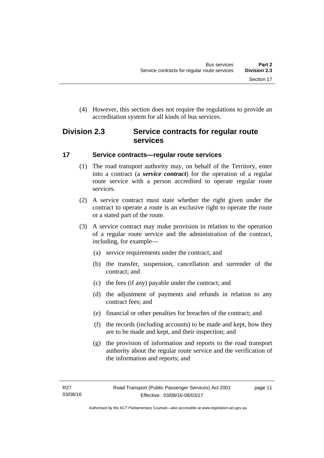(4) However, this section does not require the regulations to provide an accreditation system for all kinds of bus services.

### <span id="page-20-0"></span>**Division 2.3 Service contracts for regular route services**

### <span id="page-20-1"></span>**17 Service contracts—regular route services**

- (1) The road transport authority may, on behalf of the Territory, enter into a contract (a *service contract*) for the operation of a regular route service with a person accredited to operate regular route services.
- (2) A service contract must state whether the right given under the contract to operate a route is an exclusive right to operate the route or a stated part of the route.
- (3) A service contract may make provision in relation to the operation of a regular route service and the administration of the contract, including, for example—
	- (a) service requirements under the contract; and
	- (b) the transfer, suspension, cancellation and surrender of the contract; and
	- (c) the fees (if any) payable under the contract; and
	- (d) the adjustment of payments and refunds in relation to any contract fees; and
	- (e) financial or other penalties for breaches of the contract; and
	- (f) the records (including accounts) to be made and kept, how they are to be made and kept, and their inspection; and
	- (g) the provision of information and reports to the road transport authority about the regular route service and the verification of the information and reports; and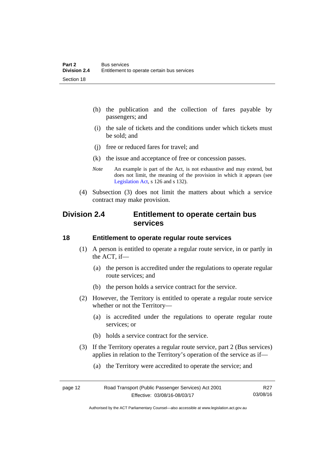- (h) the publication and the collection of fares payable by passengers; and
- (i) the sale of tickets and the conditions under which tickets must be sold; and
- (j) free or reduced fares for travel; and
- (k) the issue and acceptance of free or concession passes.
- *Note* An example is part of the Act, is not exhaustive and may extend, but does not limit, the meaning of the provision in which it appears (see [Legislation Act,](http://www.legislation.act.gov.au/a/2001-14) s 126 and s 132).
- (4) Subsection (3) does not limit the matters about which a service contract may make provision.

### <span id="page-21-0"></span>**Division 2.4 Entitlement to operate certain bus services**

### <span id="page-21-1"></span>**18 Entitlement to operate regular route services**

- (1) A person is entitled to operate a regular route service, in or partly in the ACT, if—
	- (a) the person is accredited under the regulations to operate regular route services; and
	- (b) the person holds a service contract for the service.
- (2) However, the Territory is entitled to operate a regular route service whether or not the Territory—
	- (a) is accredited under the regulations to operate regular route services; or
	- (b) holds a service contract for the service.
- (3) If the Territory operates a regular route service, part 2 (Bus services) applies in relation to the Territory's operation of the service as if—
	- (a) the Territory were accredited to operate the service; and

| page 12 | Road Transport (Public Passenger Services) Act 2001 | R27      |
|---------|-----------------------------------------------------|----------|
|         | Effective: 03/08/16-08/03/17                        | 03/08/16 |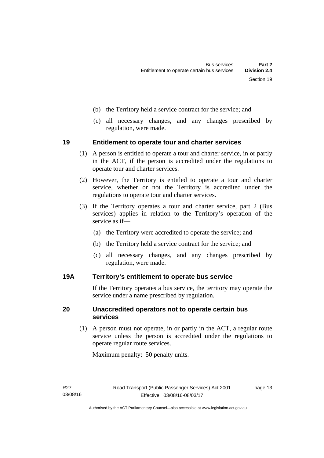- (b) the Territory held a service contract for the service; and
- (c) all necessary changes, and any changes prescribed by regulation, were made.

### <span id="page-22-0"></span>**19 Entitlement to operate tour and charter services**

- (1) A person is entitled to operate a tour and charter service, in or partly in the ACT, if the person is accredited under the regulations to operate tour and charter services.
- (2) However, the Territory is entitled to operate a tour and charter service, whether or not the Territory is accredited under the regulations to operate tour and charter services.
- (3) If the Territory operates a tour and charter service, part 2 (Bus services) applies in relation to the Territory's operation of the service as if—
	- (a) the Territory were accredited to operate the service; and
	- (b) the Territory held a service contract for the service; and
	- (c) all necessary changes, and any changes prescribed by regulation, were made.

### <span id="page-22-1"></span>**19A Territory's entitlement to operate bus service**

If the Territory operates a bus service, the territory may operate the service under a name prescribed by regulation.

### <span id="page-22-2"></span>**20 Unaccredited operators not to operate certain bus services**

(1) A person must not operate, in or partly in the ACT, a regular route service unless the person is accredited under the regulations to operate regular route services.

Maximum penalty: 50 penalty units.

page 13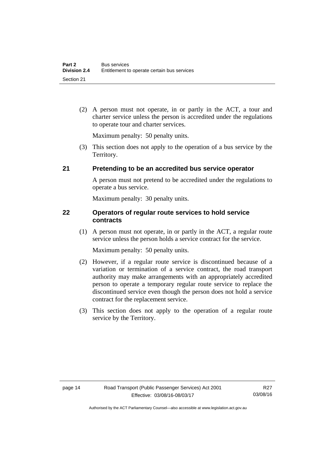(2) A person must not operate, in or partly in the ACT, a tour and charter service unless the person is accredited under the regulations to operate tour and charter services.

Maximum penalty: 50 penalty units.

 (3) This section does not apply to the operation of a bus service by the Territory.

### <span id="page-23-0"></span>**21 Pretending to be an accredited bus service operator**

A person must not pretend to be accredited under the regulations to operate a bus service.

Maximum penalty: 30 penalty units.

### <span id="page-23-1"></span>**22 Operators of regular route services to hold service contracts**

(1) A person must not operate, in or partly in the ACT, a regular route service unless the person holds a service contract for the service.

Maximum penalty: 50 penalty units.

- (2) However, if a regular route service is discontinued because of a variation or termination of a service contract, the road transport authority may make arrangements with an appropriately accredited person to operate a temporary regular route service to replace the discontinued service even though the person does not hold a service contract for the replacement service.
- (3) This section does not apply to the operation of a regular route service by the Territory.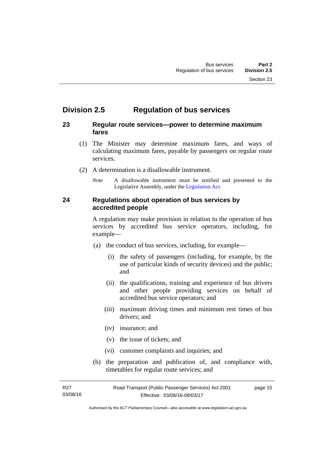### <span id="page-24-0"></span>**Division 2.5 Regulation of bus services**

### <span id="page-24-1"></span>**23 Regular route services—power to determine maximum fares**

- (1) The Minister may determine maximum fares, and ways of calculating maximum fares, payable by passengers on regular route services.
- (2) A determination is a disallowable instrument.
	- *Note* A disallowable instrument must be notified and presented to the Legislative Assembly, under the [Legislation Act.](http://www.legislation.act.gov.au/a/2001-14)

### <span id="page-24-2"></span>**24 Regulations about operation of bus services by accredited people**

A regulation may make provision in relation to the operation of bus services by accredited bus service operators, including, for example—

- (a) the conduct of bus services, including, for example—
	- (i) the safety of passengers (including, for example, by the use of particular kinds of security devices) and the public; and
	- (ii) the qualifications, training and experience of bus drivers and other people providing services on behalf of accredited bus service operators; and
	- (iii) maximum driving times and minimum rest times of bus drivers; and
	- (iv) insurance; and
	- (v) the issue of tickets; and
	- (vi) customer complaints and inquiries; and
- (b) the preparation and publication of, and compliance with, timetables for regular route services; and

R27 03/08/16 Road Transport (Public Passenger Services) Act 2001 Effective: 03/08/16-08/03/17 page 15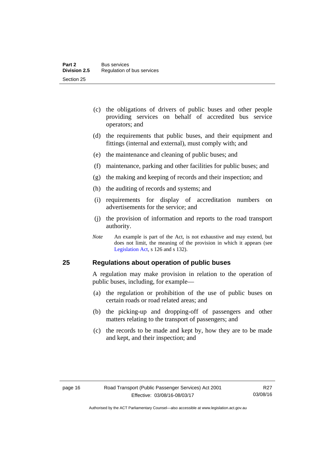- (c) the obligations of drivers of public buses and other people providing services on behalf of accredited bus service operators; and
- (d) the requirements that public buses, and their equipment and fittings (internal and external), must comply with; and
- (e) the maintenance and cleaning of public buses; and
- (f) maintenance, parking and other facilities for public buses; and
- (g) the making and keeping of records and their inspection; and
- (h) the auditing of records and systems; and
- (i) requirements for display of accreditation numbers on advertisements for the service; and
- (j) the provision of information and reports to the road transport authority.
- *Note* An example is part of the Act, is not exhaustive and may extend, but does not limit, the meaning of the provision in which it appears (see [Legislation Act,](http://www.legislation.act.gov.au/a/2001-14) s 126 and s 132).

### <span id="page-25-0"></span>**25 Regulations about operation of public buses**

A regulation may make provision in relation to the operation of public buses, including, for example—

- (a) the regulation or prohibition of the use of public buses on certain roads or road related areas; and
- (b) the picking-up and dropping-off of passengers and other matters relating to the transport of passengers; and
- (c) the records to be made and kept by, how they are to be made and kept, and their inspection; and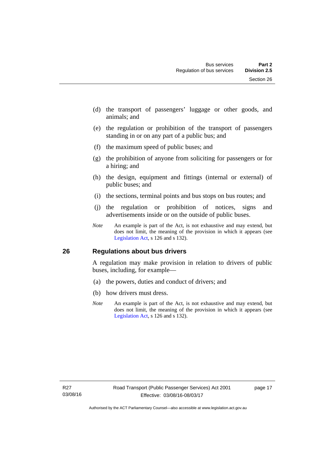- (d) the transport of passengers' luggage or other goods, and animals; and
- (e) the regulation or prohibition of the transport of passengers standing in or on any part of a public bus; and
- (f) the maximum speed of public buses; and
- (g) the prohibition of anyone from soliciting for passengers or for a hiring; and
- (h) the design, equipment and fittings (internal or external) of public buses; and
- (i) the sections, terminal points and bus stops on bus routes; and
- (j) the regulation or prohibition of notices, signs and advertisements inside or on the outside of public buses.
- *Note* An example is part of the Act, is not exhaustive and may extend, but does not limit, the meaning of the provision in which it appears (see [Legislation Act,](http://www.legislation.act.gov.au/a/2001-14) s 126 and s 132).

### <span id="page-26-0"></span>**26 Regulations about bus drivers**

A regulation may make provision in relation to drivers of public buses, including, for example—

- (a) the powers, duties and conduct of drivers; and
- (b) how drivers must dress.
- *Note* An example is part of the Act, is not exhaustive and may extend, but does not limit, the meaning of the provision in which it appears (see [Legislation Act,](http://www.legislation.act.gov.au/a/2001-14) s 126 and s 132).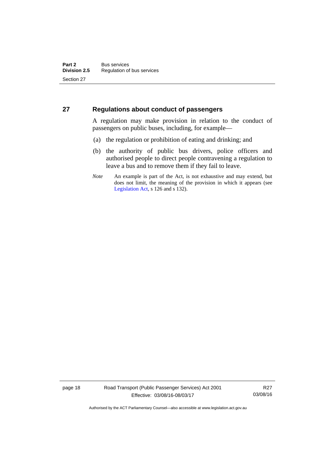### <span id="page-27-0"></span>**27 Regulations about conduct of passengers**

A regulation may make provision in relation to the conduct of passengers on public buses, including, for example—

- (a) the regulation or prohibition of eating and drinking; and
- (b) the authority of public bus drivers, police officers and authorised people to direct people contravening a regulation to leave a bus and to remove them if they fail to leave.
- *Note* An example is part of the Act, is not exhaustive and may extend, but does not limit, the meaning of the provision in which it appears (see [Legislation Act,](http://www.legislation.act.gov.au/a/2001-14) s 126 and s 132).

page 18 Road Transport (Public Passenger Services) Act 2001 Effective: 03/08/16-08/03/17

R27 03/08/16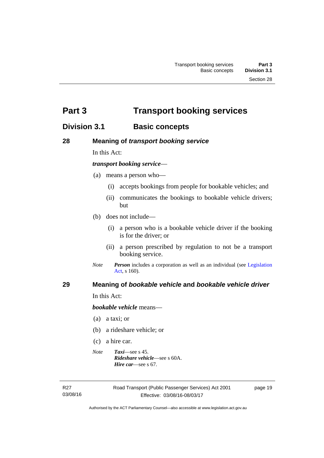<span id="page-28-0"></span>**Part 3 Transport booking services** 

### <span id="page-28-1"></span>**Division 3.1 Basic concepts**

<span id="page-28-2"></span>**28 Meaning of** *transport booking service*

In this Act:

### *transport booking service*—

- (a) means a person who—
	- (i) accepts bookings from people for bookable vehicles; and
	- (ii) communicates the bookings to bookable vehicle drivers; but
- (b) does not include—
	- (i) a person who is a bookable vehicle driver if the booking is for the driver; or
	- (ii) a person prescribed by regulation to not be a transport booking service.
- *Note Person* includes a corporation as well as an individual (see [Legislation](http://www.legislation.act.gov.au/a/2001-14)  [Act](http://www.legislation.act.gov.au/a/2001-14), s 160).

### <span id="page-28-3"></span>**29 Meaning of** *bookable vehicle* **and** *bookable vehicle driver*

In this Act:

*bookable vehicle* means—

- (a) a taxi; or
- (b) a rideshare vehicle; or
- (c) a hire car.
- *Note Taxi*—see s 45. *Rideshare vehicle*—see s 60A. *Hire car*—see s 67.

R27 03/08/16 page 19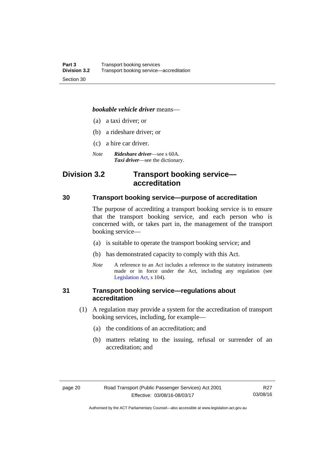### *bookable vehicle driver* means—

- (a) a taxi driver; or
- (b) a rideshare driver; or
- (c) a hire car driver.
- *Note Rideshare driver*—see s 60A. *Taxi driver*—see the dictionary.

### <span id="page-29-0"></span>**Division 3.2 Transport booking service accreditation**

### <span id="page-29-1"></span>**30 Transport booking service—purpose of accreditation**

The purpose of accrediting a transport booking service is to ensure that the transport booking service, and each person who is concerned with, or takes part in, the management of the transport booking service—

- (a) is suitable to operate the transport booking service; and
- (b) has demonstrated capacity to comply with this Act.
- *Note* A reference to an Act includes a reference to the statutory instruments made or in force under the Act, including any regulation (see [Legislation Act,](http://www.legislation.act.gov.au/a/2001-14) s 104).

### <span id="page-29-2"></span>**31 Transport booking service—regulations about accreditation**

- (1) A regulation may provide a system for the accreditation of transport booking services, including, for example—
	- (a) the conditions of an accreditation; and
	- (b) matters relating to the issuing, refusal or surrender of an accreditation; and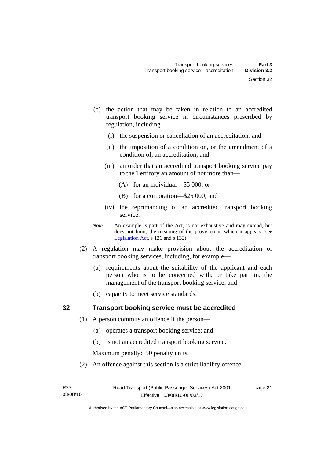- (c) the action that may be taken in relation to an accredited transport booking service in circumstances prescribed by regulation, including—
	- (i) the suspension or cancellation of an accreditation; and
	- (ii) the imposition of a condition on, or the amendment of a condition of, an accreditation; and
	- (iii) an order that an accredited transport booking service pay to the Territory an amount of not more than—
		- (A) for an individual—\$5 000; or
		- (B) for a corporation—\$25 000; and
	- (iv) the reprimanding of an accredited transport booking service.
- *Note* An example is part of the Act, is not exhaustive and may extend, but does not limit, the meaning of the provision in which it appears (see [Legislation Act,](http://www.legislation.act.gov.au/a/2001-14) s 126 and s 132).
- (2) A regulation may make provision about the accreditation of transport booking services, including, for example—
	- (a) requirements about the suitability of the applicant and each person who is to be concerned with, or take part in, the management of the transport booking service; and
	- (b) capacity to meet service standards.

### <span id="page-30-0"></span>**32 Transport booking service must be accredited**

- (1) A person commits an offence if the person—
	- (a) operates a transport booking service; and
	- (b) is not an accredited transport booking service.

Maximum penalty: 50 penalty units.

(2) An offence against this section is a strict liability offence.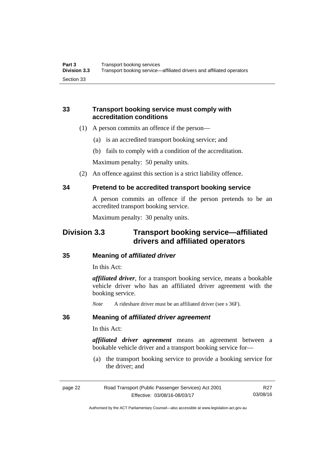### <span id="page-31-0"></span>**33 Transport booking service must comply with accreditation conditions**

- (1) A person commits an offence if the person—
	- (a) is an accredited transport booking service; and
	- (b) fails to comply with a condition of the accreditation.

Maximum penalty: 50 penalty units.

(2) An offence against this section is a strict liability offence.

### <span id="page-31-1"></span>**34 Pretend to be accredited transport booking service**

A person commits an offence if the person pretends to be an accredited transport booking service.

Maximum penalty: 30 penalty units.

### <span id="page-31-2"></span>**Division 3.3 Transport booking service—affiliated drivers and affiliated operators**

### <span id="page-31-3"></span>**35 Meaning of** *affiliated driver*

In this Act:

*affiliated driver*, for a transport booking service, means a bookable vehicle driver who has an affiliated driver agreement with the booking service.

*Note* A rideshare driver must be an affiliated driver (see s 36F).

### <span id="page-31-4"></span>**36 Meaning of** *affiliated driver agreement*

In this Act:

*affiliated driver agreement* means an agreement between a bookable vehicle driver and a transport booking service for—

 (a) the transport booking service to provide a booking service for the driver; and

| page 22 | Road Transport (Public Passenger Services) Act 2001 | R <sub>27</sub> |
|---------|-----------------------------------------------------|-----------------|
|         | Effective: 03/08/16-08/03/17                        | 03/08/16        |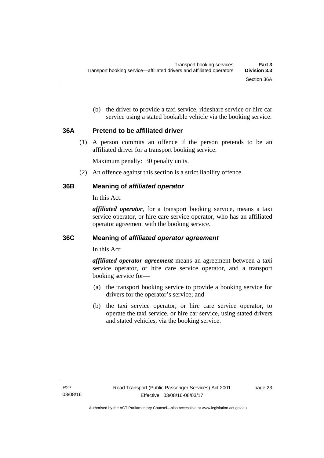(b) the driver to provide a taxi service, rideshare service or hire car service using a stated bookable vehicle via the booking service.

### <span id="page-32-0"></span>**36A Pretend to be affiliated driver**

(1) A person commits an offence if the person pretends to be an affiliated driver for a transport booking service.

Maximum penalty: 30 penalty units.

(2) An offence against this section is a strict liability offence.

### <span id="page-32-1"></span>**36B Meaning of** *affiliated operator*

In this Act:

*affiliated operator*, for a transport booking service, means a taxi service operator, or hire care service operator, who has an affiliated operator agreement with the booking service.

### <span id="page-32-2"></span>**36C Meaning of** *affiliated operator agreement*

In this Act:

*affiliated operator agreement* means an agreement between a taxi service operator, or hire care service operator, and a transport booking service for—

- (a) the transport booking service to provide a booking service for drivers for the operator's service; and
- (b) the taxi service operator, or hire care service operator, to operate the taxi service, or hire car service, using stated drivers and stated vehicles, via the booking service.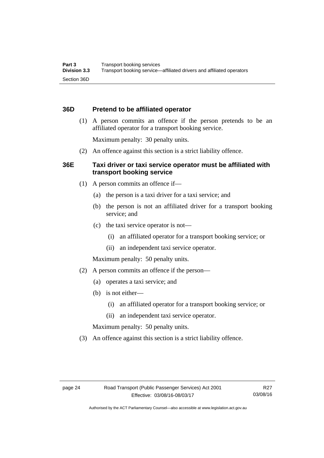### <span id="page-33-0"></span>**36D Pretend to be affiliated operator**

 (1) A person commits an offence if the person pretends to be an affiliated operator for a transport booking service.

Maximum penalty: 30 penalty units.

(2) An offence against this section is a strict liability offence.

### <span id="page-33-1"></span>**36E Taxi driver or taxi service operator must be affiliated with transport booking service**

- (1) A person commits an offence if—
	- (a) the person is a taxi driver for a taxi service; and
	- (b) the person is not an affiliated driver for a transport booking service; and
	- (c) the taxi service operator is not—
		- (i) an affiliated operator for a transport booking service; or
		- (ii) an independent taxi service operator.

Maximum penalty: 50 penalty units.

- (2) A person commits an offence if the person—
	- (a) operates a taxi service; and
	- (b) is not either—
		- (i) an affiliated operator for a transport booking service; or
		- (ii) an independent taxi service operator.

Maximum penalty: 50 penalty units.

(3) An offence against this section is a strict liability offence.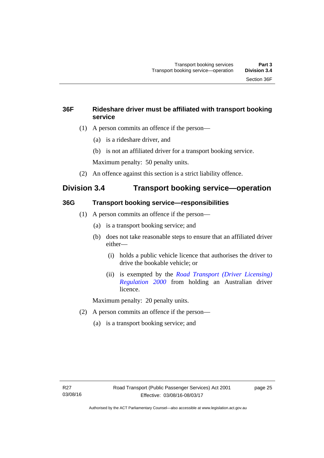### <span id="page-34-0"></span>**36F Rideshare driver must be affiliated with transport booking service**

- (1) A person commits an offence if the person—
	- (a) is a rideshare driver, and
	- (b) is not an affiliated driver for a transport booking service.

Maximum penalty: 50 penalty units.

(2) An offence against this section is a strict liability offence.

### <span id="page-34-1"></span>**Division 3.4 Transport booking service—operation**

### <span id="page-34-2"></span>**36G Transport booking service—responsibilities**

- (1) A person commits an offence if the person—
	- (a) is a transport booking service; and
	- (b) does not take reasonable steps to ensure that an affiliated driver either—
		- (i) holds a public vehicle licence that authorises the driver to drive the bookable vehicle; or
		- (ii) is exempted by the *[Road Transport \(Driver Licensing\)](http://www.legislation.act.gov.au/sl/2000-14)  [Regulation 2000](http://www.legislation.act.gov.au/sl/2000-14)* from holding an Australian driver licence.

Maximum penalty: 20 penalty units.

- (2) A person commits an offence if the person—
	- (a) is a transport booking service; and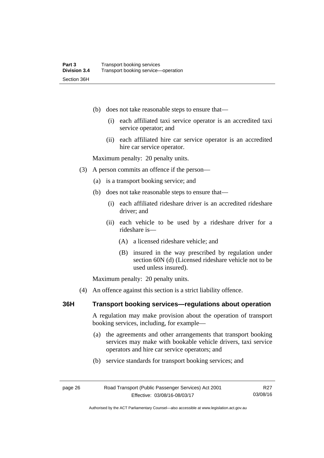- (b) does not take reasonable steps to ensure that—
	- (i) each affiliated taxi service operator is an accredited taxi service operator; and
	- (ii) each affiliated hire car service operator is an accredited hire car service operator.

Maximum penalty: 20 penalty units.

- (3) A person commits an offence if the person—
	- (a) is a transport booking service; and
	- (b) does not take reasonable steps to ensure that—
		- (i) each affiliated rideshare driver is an accredited rideshare driver; and
		- (ii) each vehicle to be used by a rideshare driver for a rideshare is—
			- (A) a licensed rideshare vehicle; and
			- (B) insured in the way prescribed by regulation under section 60N (d) (Licensed rideshare vehicle not to be used unless insured).

Maximum penalty: 20 penalty units.

(4) An offence against this section is a strict liability offence.

### <span id="page-35-0"></span>**36H Transport booking services—regulations about operation**

A regulation may make provision about the operation of transport booking services, including, for example—

 (a) the agreements and other arrangements that transport booking services may make with bookable vehicle drivers, taxi service operators and hire car service operators; and

> R27 03/08/16

(b) service standards for transport booking services; and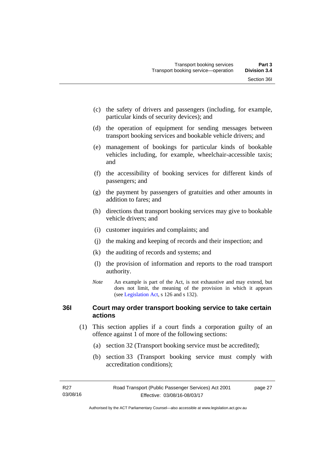- (c) the safety of drivers and passengers (including, for example, particular kinds of security devices); and
- (d) the operation of equipment for sending messages between transport booking services and bookable vehicle drivers; and
- (e) management of bookings for particular kinds of bookable vehicles including, for example, wheelchair-accessible taxis; and
- (f) the accessibility of booking services for different kinds of passengers; and
- (g) the payment by passengers of gratuities and other amounts in addition to fares; and
- (h) directions that transport booking services may give to bookable vehicle drivers; and
- (i) customer inquiries and complaints; and
- (j) the making and keeping of records and their inspection; and
- (k) the auditing of records and systems; and
- (l) the provision of information and reports to the road transport authority.
- *Note* An example is part of the Act, is not exhaustive and may extend, but does not limit, the meaning of the provision in which it appears (see [Legislation Act,](http://www.legislation.act.gov.au/a/2001-14) s 126 and s 132).

# **36I Court may order transport booking service to take certain actions**

- (1) This section applies if a court finds a corporation guilty of an offence against 1 of more of the following sections:
	- (a) section 32 (Transport booking service must be accredited);
	- (b) section 33 (Transport booking service must comply with accreditation conditions);

page 27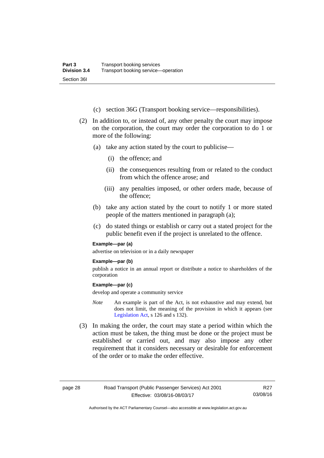- (c) section 36G (Transport booking service—responsibilities).
- (2) In addition to, or instead of, any other penalty the court may impose on the corporation, the court may order the corporation to do 1 or more of the following:
	- (a) take any action stated by the court to publicise—
		- (i) the offence; and
		- (ii) the consequences resulting from or related to the conduct from which the offence arose; and
		- (iii) any penalties imposed, or other orders made, because of the offence;
	- (b) take any action stated by the court to notify 1 or more stated people of the matters mentioned in paragraph (a);
	- (c) do stated things or establish or carry out a stated project for the public benefit even if the project is unrelated to the offence.

#### **Example—par (a)**

advertise on television or in a daily newspaper

#### **Example—par (b)**

publish a notice in an annual report or distribute a notice to shareholders of the corporation

#### **Example—par (c)**

develop and operate a community service

- *Note* An example is part of the Act, is not exhaustive and may extend, but does not limit, the meaning of the provision in which it appears (see [Legislation Act,](http://www.legislation.act.gov.au/a/2001-14) s 126 and s 132).
- (3) In making the order, the court may state a period within which the action must be taken, the thing must be done or the project must be established or carried out, and may also impose any other requirement that it considers necessary or desirable for enforcement of the order or to make the order effective.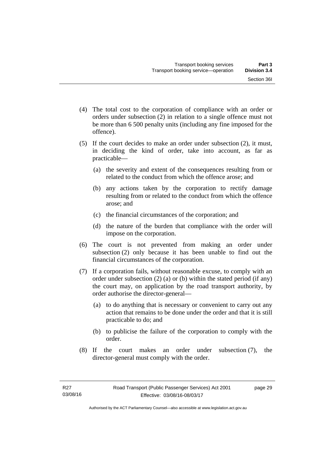- (4) The total cost to the corporation of compliance with an order or orders under subsection (2) in relation to a single offence must not be more than 6 500 penalty units (including any fine imposed for the offence).
- (5) If the court decides to make an order under subsection (2), it must, in deciding the kind of order, take into account, as far as practicable—
	- (a) the severity and extent of the consequences resulting from or related to the conduct from which the offence arose; and
	- (b) any actions taken by the corporation to rectify damage resulting from or related to the conduct from which the offence arose; and
	- (c) the financial circumstances of the corporation; and
	- (d) the nature of the burden that compliance with the order will impose on the corporation.
- (6) The court is not prevented from making an order under subsection (2) only because it has been unable to find out the financial circumstances of the corporation.
- (7) If a corporation fails, without reasonable excuse, to comply with an order under subsection (2) (a) or (b) within the stated period (if any) the court may, on application by the road transport authority, by order authorise the director-general—
	- (a) to do anything that is necessary or convenient to carry out any action that remains to be done under the order and that it is still practicable to do; and
	- (b) to publicise the failure of the corporation to comply with the order.
- (8) If the court makes an order under subsection (7), the director-general must comply with the order.

page 29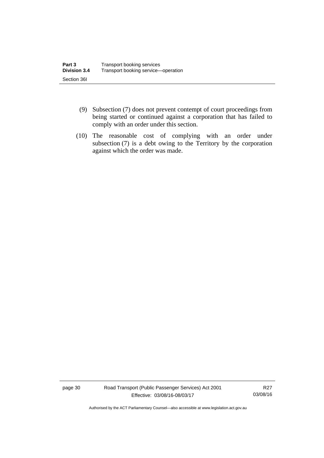- (9) Subsection (7) does not prevent contempt of court proceedings from being started or continued against a corporation that has failed to comply with an order under this section.
- (10) The reasonable cost of complying with an order under subsection (7) is a debt owing to the Territory by the corporation against which the order was made.

page 30 Road Transport (Public Passenger Services) Act 2001 Effective: 03/08/16-08/03/17

R27 03/08/16

Authorised by the ACT Parliamentary Counsel—also accessible at www.legislation.act.gov.au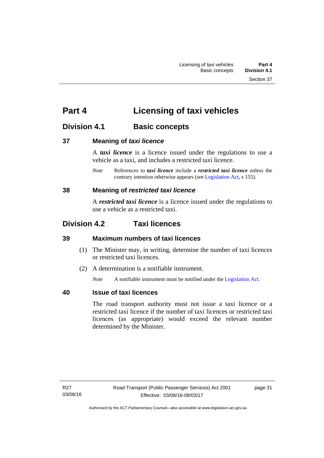# **Part 4 Licensing of taxi vehicles**

# **Division 4.1 Basic concepts**

# **37 Meaning of** *taxi licence*

A *taxi licence* is a licence issued under the regulations to use a vehicle as a taxi, and includes a restricted taxi licence.

*Note* References to *taxi licence* include a *restricted taxi licence* unless the contrary intention otherwise appears (see [Legislation Act,](http://www.legislation.act.gov.au/a/2001-14) s 155).

# **38 Meaning of** *restricted taxi licence*

A *restricted taxi licence* is a licence issued under the regulations to use a vehicle as a restricted taxi.

# **Division 4.2 Taxi licences**

# **39 Maximum numbers of taxi licences**

- (1) The Minister may, in writing, determine the number of taxi licences or restricted taxi licences.
- (2) A determination is a notifiable instrument.

*Note* A notifiable instrument must be notified under the [Legislation Act](http://www.legislation.act.gov.au/a/2001-14).

# **40 Issue of taxi licences**

The road transport authority must not issue a taxi licence or a restricted taxi licence if the number of taxi licences or restricted taxi licences (as appropriate) would exceed the relevant number determined by the Minister.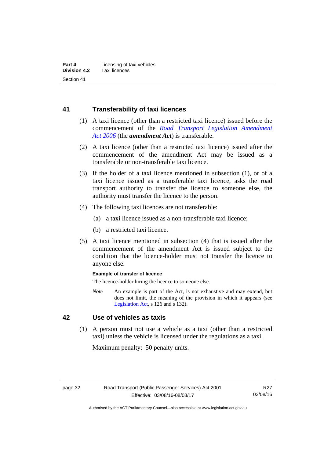# **41 Transferability of taxi licences**

- (1) A taxi licence (other than a restricted taxi licence) issued before the commencement of the *[Road Transport Legislation Amendment](http://www.legislation.act.gov.au/a/2006-26)  [Act 2006](http://www.legislation.act.gov.au/a/2006-26)* (the *amendment Act*) is transferable.
- (2) A taxi licence (other than a restricted taxi licence) issued after the commencement of the amendment Act may be issued as a transferable or non-transferable taxi licence.
- (3) If the holder of a taxi licence mentioned in subsection (1), or of a taxi licence issued as a transferable taxi licence, asks the road transport authority to transfer the licence to someone else, the authority must transfer the licence to the person.
- (4) The following taxi licences are not transferable:
	- (a) a taxi licence issued as a non-transferable taxi licence;
	- (b) a restricted taxi licence.
- (5) A taxi licence mentioned in subsection (4) that is issued after the commencement of the amendment Act is issued subject to the condition that the licence-holder must not transfer the licence to anyone else.

#### **Example of transfer of licence**

The licence-holder hiring the licence to someone else.

*Note* An example is part of the Act, is not exhaustive and may extend, but does not limit, the meaning of the provision in which it appears (see [Legislation Act,](http://www.legislation.act.gov.au/a/2001-14) s 126 and s 132).

# **42 Use of vehicles as taxis**

 (1) A person must not use a vehicle as a taxi (other than a restricted taxi) unless the vehicle is licensed under the regulations as a taxi.

Maximum penalty: 50 penalty units.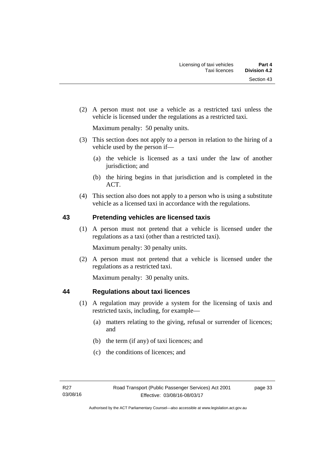(2) A person must not use a vehicle as a restricted taxi unless the vehicle is licensed under the regulations as a restricted taxi.

Maximum penalty: 50 penalty units.

- (3) This section does not apply to a person in relation to the hiring of a vehicle used by the person if—
	- (a) the vehicle is licensed as a taxi under the law of another jurisdiction; and
	- (b) the hiring begins in that jurisdiction and is completed in the ACT.
- (4) This section also does not apply to a person who is using a substitute vehicle as a licensed taxi in accordance with the regulations.

# **43 Pretending vehicles are licensed taxis**

(1) A person must not pretend that a vehicle is licensed under the regulations as a taxi (other than a restricted taxi).

Maximum penalty: 30 penalty units.

 (2) A person must not pretend that a vehicle is licensed under the regulations as a restricted taxi.

Maximum penalty: 30 penalty units.

# **44 Regulations about taxi licences**

- (1) A regulation may provide a system for the licensing of taxis and restricted taxis, including, for example—
	- (a) matters relating to the giving, refusal or surrender of licences; and
	- (b) the term (if any) of taxi licences; and
	- (c) the conditions of licences; and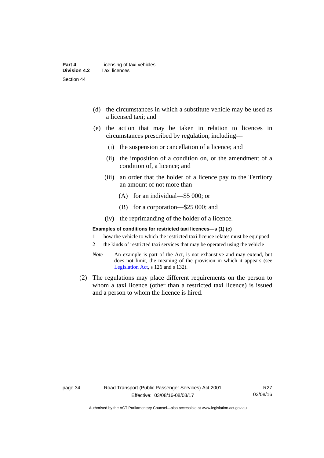- (d) the circumstances in which a substitute vehicle may be used as a licensed taxi; and
- (e) the action that may be taken in relation to licences in circumstances prescribed by regulation, including—
	- (i) the suspension or cancellation of a licence; and
	- (ii) the imposition of a condition on, or the amendment of a condition of, a licence; and
	- (iii) an order that the holder of a licence pay to the Territory an amount of not more than—
		- (A) for an individual—\$5 000; or
		- (B) for a corporation—\$25 000; and
	- (iv) the reprimanding of the holder of a licence.

#### **Examples of conditions for restricted taxi licences—s (1) (c)**

- 1 how the vehicle to which the restricted taxi licence relates must be equipped
- 2 the kinds of restricted taxi services that may be operated using the vehicle
- *Note* An example is part of the Act, is not exhaustive and may extend, but does not limit, the meaning of the provision in which it appears (see [Legislation Act,](http://www.legislation.act.gov.au/a/2001-14) s 126 and s 132).
- (2) The regulations may place different requirements on the person to whom a taxi licence (other than a restricted taxi licence) is issued and a person to whom the licence is hired.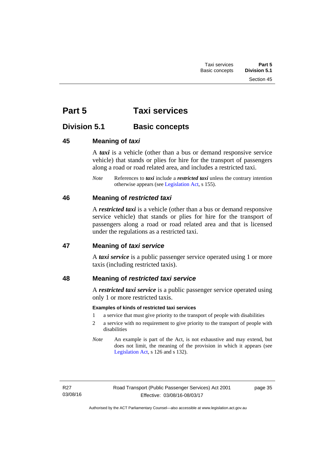# **Part 5 Taxi services**

# **Division 5.1 Basic concepts**

# **45 Meaning of** *taxi*

A *taxi* is a vehicle (other than a bus or demand responsive service vehicle) that stands or plies for hire for the transport of passengers along a road or road related area, and includes a restricted taxi.

*Note* References to *taxi* include a *restricted taxi* unless the contrary intention otherwise appears (see [Legislation Act,](http://www.legislation.act.gov.au/a/2001-14) s 155).

# **46 Meaning of** *restricted taxi*

A *restricted taxi* is a vehicle (other than a bus or demand responsive service vehicle) that stands or plies for hire for the transport of passengers along a road or road related area and that is licensed under the regulations as a restricted taxi.

# **47 Meaning of** *taxi service*

A *taxi service* is a public passenger service operated using 1 or more taxis (including restricted taxis).

# **48 Meaning of** *restricted taxi service*

A *restricted taxi service* is a public passenger service operated using only 1 or more restricted taxis.

#### **Examples of kinds of restricted taxi services**

- 1 a service that must give priority to the transport of people with disabilities
- 2 a service with no requirement to give priority to the transport of people with disabilities
- *Note* An example is part of the Act, is not exhaustive and may extend, but does not limit, the meaning of the provision in which it appears (see [Legislation Act,](http://www.legislation.act.gov.au/a/2001-14) s 126 and s 132).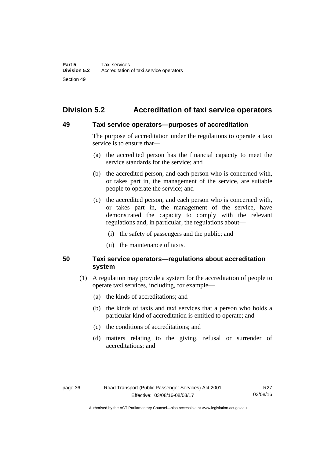# **Division 5.2 Accreditation of taxi service operators**

### **49 Taxi service operators—purposes of accreditation**

The purpose of accreditation under the regulations to operate a taxi service is to ensure that—

- (a) the accredited person has the financial capacity to meet the service standards for the service; and
- (b) the accredited person, and each person who is concerned with, or takes part in, the management of the service, are suitable people to operate the service; and
- (c) the accredited person, and each person who is concerned with, or takes part in, the management of the service, have demonstrated the capacity to comply with the relevant regulations and, in particular, the regulations about—
	- (i) the safety of passengers and the public; and
	- (ii) the maintenance of taxis.

# **50 Taxi service operators—regulations about accreditation system**

- (1) A regulation may provide a system for the accreditation of people to operate taxi services, including, for example—
	- (a) the kinds of accreditations; and
	- (b) the kinds of taxis and taxi services that a person who holds a particular kind of accreditation is entitled to operate; and
	- (c) the conditions of accreditations; and
	- (d) matters relating to the giving, refusal or surrender of accreditations; and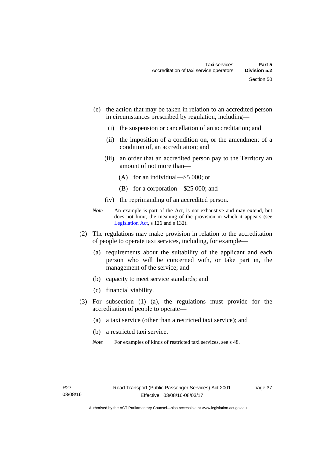- (e) the action that may be taken in relation to an accredited person in circumstances prescribed by regulation, including—
	- (i) the suspension or cancellation of an accreditation; and
	- (ii) the imposition of a condition on, or the amendment of a condition of, an accreditation; and
	- (iii) an order that an accredited person pay to the Territory an amount of not more than—
		- (A) for an individual—\$5 000; or
		- (B) for a corporation—\$25 000; and
	- (iv) the reprimanding of an accredited person.
- *Note* An example is part of the Act, is not exhaustive and may extend, but does not limit, the meaning of the provision in which it appears (see [Legislation Act,](http://www.legislation.act.gov.au/a/2001-14) s 126 and s 132).
- (2) The regulations may make provision in relation to the accreditation of people to operate taxi services, including, for example—
	- (a) requirements about the suitability of the applicant and each person who will be concerned with, or take part in, the management of the service; and
	- (b) capacity to meet service standards; and
	- (c) financial viability.
- (3) For subsection (1) (a), the regulations must provide for the accreditation of people to operate—
	- (a) a taxi service (other than a restricted taxi service); and
	- (b) a restricted taxi service.
	- *Note* For examples of kinds of restricted taxi services, see s 48.

page 37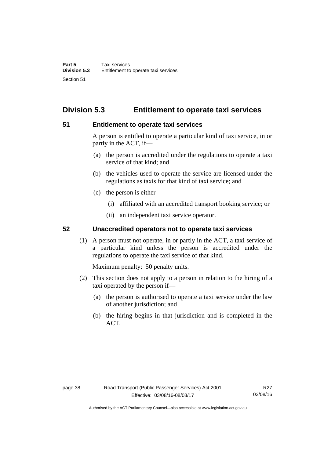# **Division 5.3 Entitlement to operate taxi services**

# **51 Entitlement to operate taxi services**

A person is entitled to operate a particular kind of taxi service, in or partly in the ACT, if—

- (a) the person is accredited under the regulations to operate a taxi service of that kind; and
- (b) the vehicles used to operate the service are licensed under the regulations as taxis for that kind of taxi service; and
- (c) the person is either—
	- (i) affiliated with an accredited transport booking service; or
	- (ii) an independent taxi service operator.

# **52 Unaccredited operators not to operate taxi services**

(1) A person must not operate, in or partly in the ACT, a taxi service of a particular kind unless the person is accredited under the regulations to operate the taxi service of that kind.

Maximum penalty: 50 penalty units.

- (2) This section does not apply to a person in relation to the hiring of a taxi operated by the person if—
	- (a) the person is authorised to operate a taxi service under the law of another jurisdiction; and
	- (b) the hiring begins in that jurisdiction and is completed in the ACT.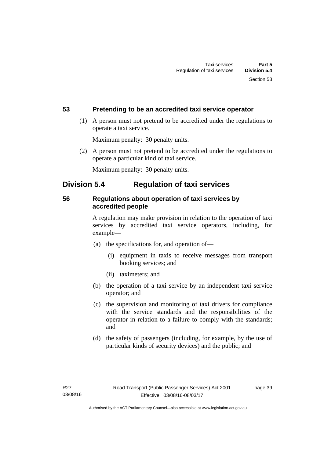# **53 Pretending to be an accredited taxi service operator**

 (1) A person must not pretend to be accredited under the regulations to operate a taxi service.

Maximum penalty: 30 penalty units.

 (2) A person must not pretend to be accredited under the regulations to operate a particular kind of taxi service.

Maximum penalty: 30 penalty units.

# **Division 5.4 Regulation of taxi services**

# **56 Regulations about operation of taxi services by accredited people**

A regulation may make provision in relation to the operation of taxi services by accredited taxi service operators, including, for example—

- (a) the specifications for, and operation of—
	- (i) equipment in taxis to receive messages from transport booking services; and
	- (ii) taximeters; and
- (b) the operation of a taxi service by an independent taxi service operator; and
- (c) the supervision and monitoring of taxi drivers for compliance with the service standards and the responsibilities of the operator in relation to a failure to comply with the standards; and
- (d) the safety of passengers (including, for example, by the use of particular kinds of security devices) and the public; and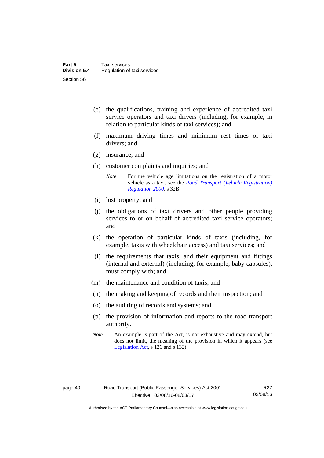- (e) the qualifications, training and experience of accredited taxi service operators and taxi drivers (including, for example, in relation to particular kinds of taxi services); and
- (f) maximum driving times and minimum rest times of taxi drivers; and
- (g) insurance; and
- (h) customer complaints and inquiries; and
	- *Note* For the vehicle age limitations on the registration of a motor vehicle as a taxi, see the *[Road Transport \(Vehicle Registration\)](http://www.legislation.act.gov.au/sl/2000-12)  [Regulation 2000](http://www.legislation.act.gov.au/sl/2000-12)*, s 32B.
- (i) lost property; and
- (j) the obligations of taxi drivers and other people providing services to or on behalf of accredited taxi service operators; and
- (k) the operation of particular kinds of taxis (including, for example, taxis with wheelchair access) and taxi services; and
- (l) the requirements that taxis, and their equipment and fittings (internal and external) (including, for example, baby capsules), must comply with; and
- (m) the maintenance and condition of taxis; and
- (n) the making and keeping of records and their inspection; and
- (o) the auditing of records and systems; and
- (p) the provision of information and reports to the road transport authority.
- *Note* An example is part of the Act, is not exhaustive and may extend, but does not limit, the meaning of the provision in which it appears (see [Legislation Act,](http://www.legislation.act.gov.au/a/2001-14) s 126 and s 132).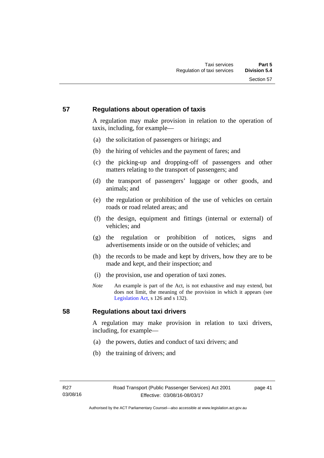# **57 Regulations about operation of taxis**

A regulation may make provision in relation to the operation of taxis, including, for example—

- (a) the solicitation of passengers or hirings; and
- (b) the hiring of vehicles and the payment of fares; and
- (c) the picking-up and dropping-off of passengers and other matters relating to the transport of passengers; and
- (d) the transport of passengers' luggage or other goods, and animals; and
- (e) the regulation or prohibition of the use of vehicles on certain roads or road related areas; and
- (f) the design, equipment and fittings (internal or external) of vehicles; and
- (g) the regulation or prohibition of notices, signs and advertisements inside or on the outside of vehicles; and
- (h) the records to be made and kept by drivers, how they are to be made and kept, and their inspection; and
- (i) the provision, use and operation of taxi zones.
- *Note* An example is part of the Act, is not exhaustive and may extend, but does not limit, the meaning of the provision in which it appears (see [Legislation Act,](http://www.legislation.act.gov.au/a/2001-14) s 126 and s 132).

# **58 Regulations about taxi drivers**

A regulation may make provision in relation to taxi drivers, including, for example—

- (a) the powers, duties and conduct of taxi drivers; and
- (b) the training of drivers; and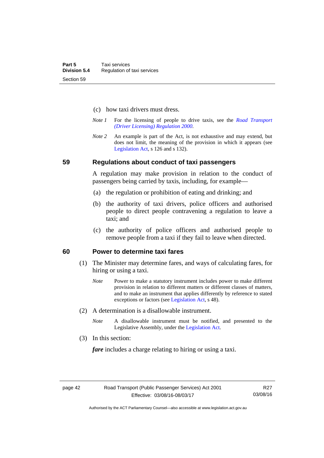- (c) how taxi drivers must dress.
- *Note 1* For the licensing of people to drive taxis, see the *[Road Transport](http://www.legislation.act.gov.au/sl/2000-14)  [\(Driver Licensing\) Regulation 2000](http://www.legislation.act.gov.au/sl/2000-14)*.
- *Note 2* An example is part of the Act, is not exhaustive and may extend, but does not limit, the meaning of the provision in which it appears (see [Legislation Act,](http://www.legislation.act.gov.au/a/2001-14) s 126 and s 132).

#### **59 Regulations about conduct of taxi passengers**

A regulation may make provision in relation to the conduct of passengers being carried by taxis, including, for example—

- (a) the regulation or prohibition of eating and drinking; and
- (b) the authority of taxi drivers, police officers and authorised people to direct people contravening a regulation to leave a taxi; and
- (c) the authority of police officers and authorised people to remove people from a taxi if they fail to leave when directed.

### **60 Power to determine taxi fares**

- (1) The Minister may determine fares, and ways of calculating fares, for hiring or using a taxi.
	- *Note* Power to make a statutory instrument includes power to make different provision in relation to different matters or different classes of matters, and to make an instrument that applies differently by reference to stated exceptions or factors (see [Legislation Act](http://www.legislation.act.gov.au/a/2001-14), s 48).
- (2) A determination is a disallowable instrument.
	- *Note* A disallowable instrument must be notified, and presented to the Legislative Assembly, under the [Legislation Act.](http://www.legislation.act.gov.au/a/2001-14)
- (3) In this section:

*fare* includes a charge relating to hiring or using a taxi.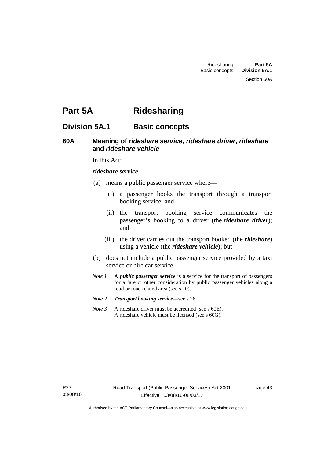Section 60A

# **Part 5A Ridesharing**

# **Division 5A.1 Basic concepts**

# **60A Meaning of** *rideshare service***,** *rideshare driver***,** *rideshare* **and** *rideshare vehicle*

In this Act:

#### *rideshare service*—

- (a) means a public passenger service where—
	- (i) a passenger books the transport through a transport booking service; and
	- (ii) the transport booking service communicates the passenger's booking to a driver (the *rideshare driver*); and
	- (iii) the driver carries out the transport booked (the *rideshare*) using a vehicle (the *rideshare vehicle*); but
- (b) does not include a public passenger service provided by a taxi service or hire car service.
- *Note 1* A *public passenger service* is a service for the transport of passengers for a fare or other consideration by public passenger vehicles along a road or road related area (see s 10).
- *Note 2 Transport booking service*—see s 28.
- *Note 3* A rideshare driver must be accredited (see s 60E). A rideshare vehicle must be licensed (see s 60G).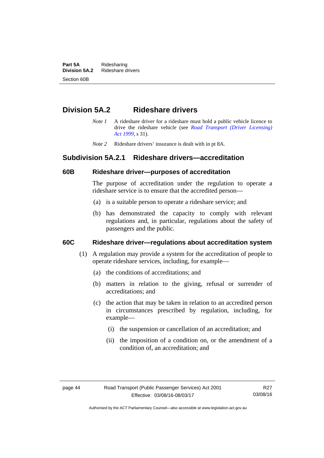**Part 5A** Ridesharing<br>**Division 5A.2** Rideshare d **Division 5A.2** Rideshare drivers Section 60B

# **Division 5A.2 Rideshare drivers**

- *Note 1* A rideshare driver for a rideshare must hold a public vehicle licence to drive the rideshare vehicle (see *[Road Transport \(Driver Licensing\)](http://www.legislation.act.gov.au/a/1999-78)  [Act 1999](http://www.legislation.act.gov.au/a/1999-78)*, s 31).
- *Note 2* Rideshare drivers' insurance is dealt with in pt 8A.

# **Subdivision 5A.2.1 Rideshare drivers—accreditation**

### **60B Rideshare driver—purposes of accreditation**

The purpose of accreditation under the regulation to operate a rideshare service is to ensure that the accredited person—

- (a) is a suitable person to operate a rideshare service; and
- (b) has demonstrated the capacity to comply with relevant regulations and, in particular, regulations about the safety of passengers and the public.

# **60C Rideshare driver—regulations about accreditation system**

- (1) A regulation may provide a system for the accreditation of people to operate rideshare services, including, for example—
	- (a) the conditions of accreditations; and
	- (b) matters in relation to the giving, refusal or surrender of accreditations; and
	- (c) the action that may be taken in relation to an accredited person in circumstances prescribed by regulation, including, for example—
		- (i) the suspension or cancellation of an accreditation; and
		- (ii) the imposition of a condition on, or the amendment of a condition of, an accreditation; and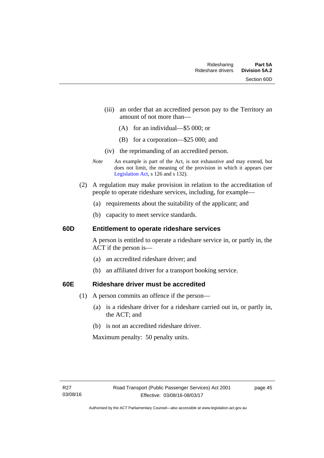- (iii) an order that an accredited person pay to the Territory an amount of not more than—
	- (A) for an individual—\$5 000; or
	- (B) for a corporation—\$25 000; and
- (iv) the reprimanding of an accredited person.
- *Note* An example is part of the Act, is not exhaustive and may extend, but does not limit, the meaning of the provision in which it appears (see [Legislation Act,](http://www.legislation.act.gov.au/a/2001-14) s 126 and s 132).
- (2) A regulation may make provision in relation to the accreditation of people to operate rideshare services, including, for example—
	- (a) requirements about the suitability of the applicant; and
	- (b) capacity to meet service standards.

### **60D Entitlement to operate rideshare services**

A person is entitled to operate a rideshare service in, or partly in, the ACT if the person is—

- (a) an accredited rideshare driver; and
- (b) an affiliated driver for a transport booking service.

# **60E Rideshare driver must be accredited**

- (1) A person commits an offence if the person—
	- (a) is a rideshare driver for a rideshare carried out in, or partly in, the ACT; and
	- (b) is not an accredited rideshare driver.

Maximum penalty: 50 penalty units.

page 45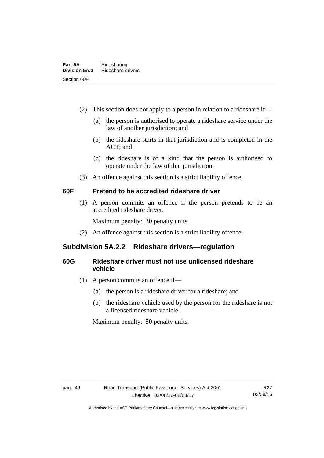- (2) This section does not apply to a person in relation to a rideshare if—
	- (a) the person is authorised to operate a rideshare service under the law of another jurisdiction; and
	- (b) the rideshare starts in that jurisdiction and is completed in the ACT; and
	- (c) the rideshare is of a kind that the person is authorised to operate under the law of that jurisdiction.
- (3) An offence against this section is a strict liability offence.

# **60F Pretend to be accredited rideshare driver**

(1) A person commits an offence if the person pretends to be an accredited rideshare driver.

Maximum penalty: 30 penalty units.

(2) An offence against this section is a strict liability offence.

# **Subdivision 5A.2.2 Rideshare drivers—regulation**

# **60G Rideshare driver must not use unlicensed rideshare vehicle**

- (1) A person commits an offence if—
	- (a) the person is a rideshare driver for a rideshare; and
	- (b) the rideshare vehicle used by the person for the rideshare is not a licensed rideshare vehicle.

Maximum penalty: 50 penalty units.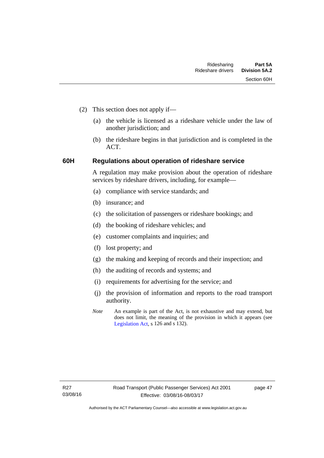- (2) This section does not apply if—
	- (a) the vehicle is licensed as a rideshare vehicle under the law of another jurisdiction; and
	- (b) the rideshare begins in that jurisdiction and is completed in the ACT.

# **60H Regulations about operation of rideshare service**

A regulation may make provision about the operation of rideshare services by rideshare drivers, including, for example—

- (a) compliance with service standards; and
- (b) insurance; and
- (c) the solicitation of passengers or rideshare bookings; and
- (d) the booking of rideshare vehicles; and
- (e) customer complaints and inquiries; and
- (f) lost property; and
- (g) the making and keeping of records and their inspection; and
- (h) the auditing of records and systems; and
- (i) requirements for advertising for the service; and
- (j) the provision of information and reports to the road transport authority.
- *Note* An example is part of the Act, is not exhaustive and may extend, but does not limit, the meaning of the provision in which it appears (see [Legislation Act,](http://www.legislation.act.gov.au/a/2001-14) s 126 and s 132).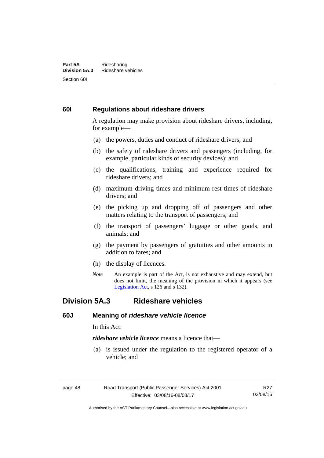#### **Part 5A** Ridesharing<br>**Division 5A.3** Rideshare ve **Division 5A.3** Rideshare vehicles Section 60I

# **60I Regulations about rideshare drivers**

A regulation may make provision about rideshare drivers, including, for example—

- (a) the powers, duties and conduct of rideshare drivers; and
- (b) the safety of rideshare drivers and passengers (including, for example, particular kinds of security devices); and
- (c) the qualifications, training and experience required for rideshare drivers; and
- (d) maximum driving times and minimum rest times of rideshare drivers; and
- (e) the picking up and dropping off of passengers and other matters relating to the transport of passengers; and
- (f) the transport of passengers' luggage or other goods, and animals; and
- (g) the payment by passengers of gratuities and other amounts in addition to fares; and
- (h) the display of licences.
- *Note* An example is part of the Act, is not exhaustive and may extend, but does not limit, the meaning of the provision in which it appears (see [Legislation Act,](http://www.legislation.act.gov.au/a/2001-14) s 126 and s 132).

# **Division 5A.3 Rideshare vehicles**

### **60J Meaning of** *rideshare vehicle licence*

In this Act:

*rideshare vehicle licence* means a licence that—

 (a) is issued under the regulation to the registered operator of a vehicle; and

R27 03/08/16

page 48 Road Transport (Public Passenger Services) Act 2001 Effective: 03/08/16-08/03/17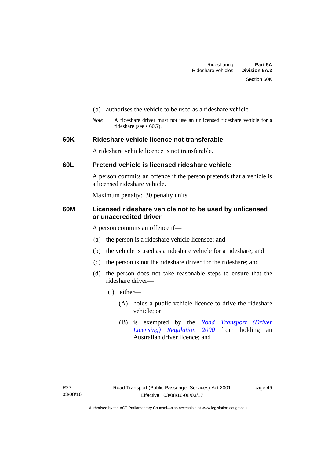- (b) authorises the vehicle to be used as a rideshare vehicle.
- *Note* A rideshare driver must not use an unlicensed rideshare vehicle for a rideshare (see s 60G).

# **60K Rideshare vehicle licence not transferable**

A rideshare vehicle licence is not transferable.

# **60L Pretend vehicle is licensed rideshare vehicle**

A person commits an offence if the person pretends that a vehicle is a licensed rideshare vehicle.

Maximum penalty: 30 penalty units.

# **60M Licensed rideshare vehicle not to be used by unlicensed or unaccredited driver**

A person commits an offence if—

- (a) the person is a rideshare vehicle licensee; and
- (b) the vehicle is used as a rideshare vehicle for a rideshare; and
- (c) the person is not the rideshare driver for the rideshare; and
- (d) the person does not take reasonable steps to ensure that the rideshare driver—
	- (i) either—
		- (A) holds a public vehicle licence to drive the rideshare vehicle; or
		- (B) is exempted by the *[Road Transport \(Driver](http://www.legislation.act.gov.au/sl/2000-14/default.asp)  [Licensing\) Regulation 2000](http://www.legislation.act.gov.au/sl/2000-14/default.asp)* from holding an Australian driver licence; and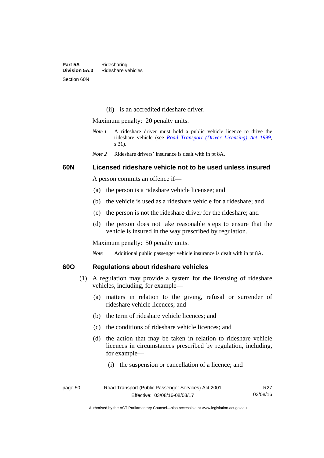(ii) is an accredited rideshare driver.

Maximum penalty: 20 penalty units.

- *Note 1* A rideshare driver must hold a public vehicle licence to drive the rideshare vehicle (see *[Road Transport \(Driver Licensing\) Act 1999](http://www.legislation.act.gov.au/a/1999-78)*, s 31).
- *Note 2* Rideshare drivers' insurance is dealt with in pt 8A.

# **60N Licensed rideshare vehicle not to be used unless insured**

A person commits an offence if—

- (a) the person is a rideshare vehicle licensee; and
- (b) the vehicle is used as a rideshare vehicle for a rideshare; and
- (c) the person is not the rideshare driver for the rideshare; and
- (d) the person does not take reasonable steps to ensure that the vehicle is insured in the way prescribed by regulation.

Maximum penalty: 50 penalty units.

*Note* Additional public passenger vehicle insurance is dealt with in pt 8A.

# **60O Regulations about rideshare vehicles**

- (1) A regulation may provide a system for the licensing of rideshare vehicles, including, for example—
	- (a) matters in relation to the giving, refusal or surrender of rideshare vehicle licences; and
	- (b) the term of rideshare vehicle licences; and
	- (c) the conditions of rideshare vehicle licences; and
	- (d) the action that may be taken in relation to rideshare vehicle licences in circumstances prescribed by regulation, including, for example—
		- (i) the suspension or cancellation of a licence; and

| page 50 | Road Transport (Public Passenger Services) Act 2001 | R <sub>27</sub> |
|---------|-----------------------------------------------------|-----------------|
|         | Effective: 03/08/16-08/03/17                        | 03/08/16        |

Authorised by the ACT Parliamentary Counsel—also accessible at www.legislation.act.gov.au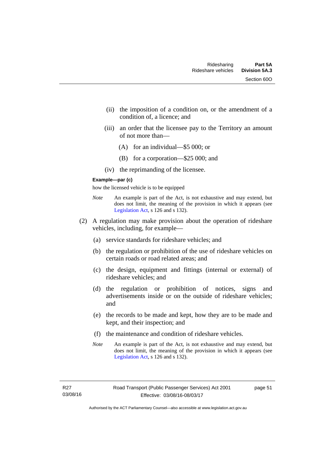- (ii) the imposition of a condition on, or the amendment of a condition of, a licence; and
- (iii) an order that the licensee pay to the Territory an amount of not more than—
	- (A) for an individual—\$5 000; or
	- (B) for a corporation—\$25 000; and
- (iv) the reprimanding of the licensee.

#### **Example—par (c)**

how the licensed vehicle is to be equipped

- *Note* An example is part of the Act, is not exhaustive and may extend, but does not limit, the meaning of the provision in which it appears (see [Legislation Act,](http://www.legislation.act.gov.au/a/2001-14) s 126 and s 132).
- (2) A regulation may make provision about the operation of rideshare vehicles, including, for example—
	- (a) service standards for rideshare vehicles; and
	- (b) the regulation or prohibition of the use of rideshare vehicles on certain roads or road related areas; and
	- (c) the design, equipment and fittings (internal or external) of rideshare vehicles; and
	- (d) the regulation or prohibition of notices, signs and advertisements inside or on the outside of rideshare vehicles; and
	- (e) the records to be made and kept, how they are to be made and kept, and their inspection; and
	- (f) the maintenance and condition of rideshare vehicles.
	- *Note* An example is part of the Act, is not exhaustive and may extend, but does not limit, the meaning of the provision in which it appears (see [Legislation Act,](http://www.legislation.act.gov.au/a/2001-14) s 126 and s 132).

page 51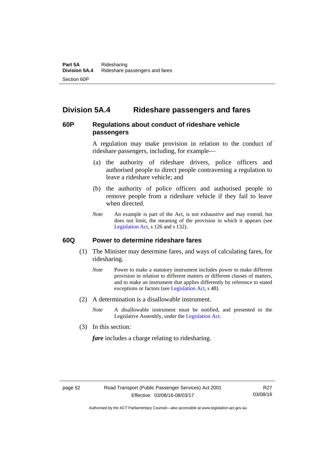# **Division 5A.4 Rideshare passengers and fares**

# **60P Regulations about conduct of rideshare vehicle passengers**

A regulation may make provision in relation to the conduct of rideshare passengers, including, for example—

- (a) the authority of rideshare drivers, police officers and authorised people to direct people contravening a regulation to leave a rideshare vehicle; and
- (b) the authority of police officers and authorised people to remove people from a rideshare vehicle if they fail to leave when directed.
- *Note* An example is part of the Act, is not exhaustive and may extend, but does not limit, the meaning of the provision in which it appears (see [Legislation Act,](http://www.legislation.act.gov.au/a/2001-14) s 126 and s 132).

#### **60Q Power to determine rideshare fares**

- (1) The Minister may determine fares, and ways of calculating fares, for ridesharing.
	- *Note* Power to make a statutory instrument includes power to make different provision in relation to different matters or different classes of matters, and to make an instrument that applies differently by reference to stated exceptions or factors (see [Legislation Act](http://www.legislation.act.gov.au/a/2001-14), s 48).
- (2) A determination is a disallowable instrument.
	- *Note* A disallowable instrument must be notified, and presented to the Legislative Assembly, under the [Legislation Act.](http://www.legislation.act.gov.au/a/2001-14)
- (3) In this section:

*fare* includes a charge relating to ridesharing.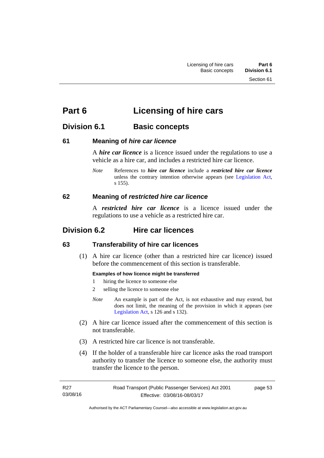# **Part 6 Licensing of hire cars**

# **Division 6.1 Basic concepts**

# **61 Meaning of** *hire car licence*

A *hire car licence* is a licence issued under the regulations to use a vehicle as a hire car, and includes a restricted hire car licence.

*Note* References to *hire car licence* include a *restricted hire car licence* unless the contrary intention otherwise appears (see [Legislation Act,](http://www.legislation.act.gov.au/a/2001-14) s 155).

# **62 Meaning of** *restricted hire car licence*

A *restricted hire car licence* is a licence issued under the regulations to use a vehicle as a restricted hire car.

# **Division 6.2 Hire car licences**

# **63 Transferability of hire car licences**

 (1) A hire car licence (other than a restricted hire car licence) issued before the commencement of this section is transferable.

#### **Examples of how licence might be transferred**

- 1 hiring the licence to someone else
- 2 selling the licence to someone else
- *Note* An example is part of the Act, is not exhaustive and may extend, but does not limit, the meaning of the provision in which it appears (see [Legislation Act,](http://www.legislation.act.gov.au/a/2001-14) s 126 and s 132).
- (2) A hire car licence issued after the commencement of this section is not transferable.
- (3) A restricted hire car licence is not transferable.
- (4) If the holder of a transferable hire car licence asks the road transport authority to transfer the licence to someone else, the authority must transfer the licence to the person.

| R27      | Road Transport (Public Passenger Services) Act 2001 | page 53 |
|----------|-----------------------------------------------------|---------|
| 03/08/16 | Effective: 03/08/16-08/03/17                        |         |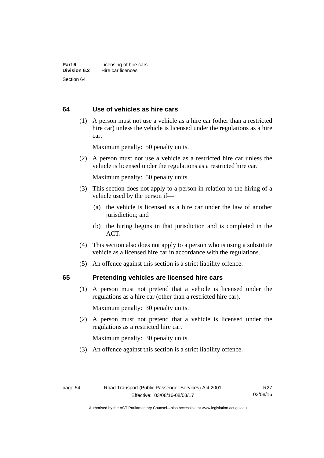# **64 Use of vehicles as hire cars**

 (1) A person must not use a vehicle as a hire car (other than a restricted hire car) unless the vehicle is licensed under the regulations as a hire car.

Maximum penalty: 50 penalty units.

 (2) A person must not use a vehicle as a restricted hire car unless the vehicle is licensed under the regulations as a restricted hire car.

Maximum penalty: 50 penalty units.

- (3) This section does not apply to a person in relation to the hiring of a vehicle used by the person if—
	- (a) the vehicle is licensed as a hire car under the law of another jurisdiction; and
	- (b) the hiring begins in that jurisdiction and is completed in the ACT.
- (4) This section also does not apply to a person who is using a substitute vehicle as a licensed hire car in accordance with the regulations.
- (5) An offence against this section is a strict liability offence.

# **65 Pretending vehicles are licensed hire cars**

(1) A person must not pretend that a vehicle is licensed under the regulations as a hire car (other than a restricted hire car).

Maximum penalty: 30 penalty units.

 (2) A person must not pretend that a vehicle is licensed under the regulations as a restricted hire car.

Maximum penalty: 30 penalty units.

(3) An offence against this section is a strict liability offence.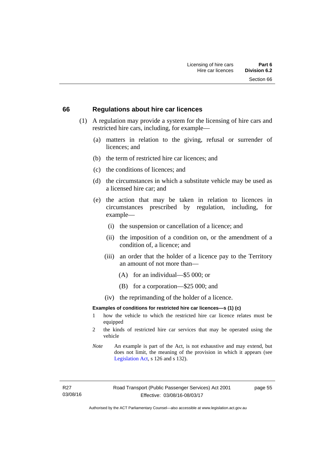#### **66 Regulations about hire car licences**

- (1) A regulation may provide a system for the licensing of hire cars and restricted hire cars, including, for example—
	- (a) matters in relation to the giving, refusal or surrender of licences; and
	- (b) the term of restricted hire car licences; and
	- (c) the conditions of licences; and
	- (d) the circumstances in which a substitute vehicle may be used as a licensed hire car; and
	- (e) the action that may be taken in relation to licences in circumstances prescribed by regulation, including, for example—
		- (i) the suspension or cancellation of a licence; and
		- (ii) the imposition of a condition on, or the amendment of a condition of, a licence; and
		- (iii) an order that the holder of a licence pay to the Territory an amount of not more than—
			- (A) for an individual—\$5 000; or
			- (B) for a corporation—\$25 000; and
		- (iv) the reprimanding of the holder of a licence.

#### **Examples of conditions for restricted hire car licences—s (1) (c)**

- 1 how the vehicle to which the restricted hire car licence relates must be equipped
- 2 the kinds of restricted hire car services that may be operated using the vehicle
- *Note* An example is part of the Act, is not exhaustive and may extend, but does not limit, the meaning of the provision in which it appears (see [Legislation Act,](http://www.legislation.act.gov.au/a/2001-14) s 126 and s 132).

page 55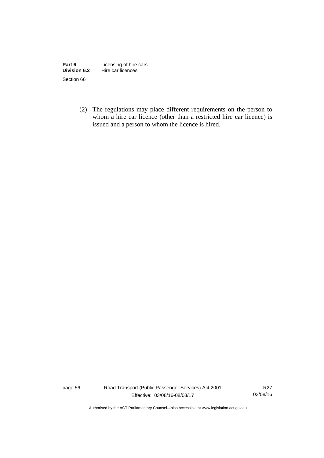| Part 6              | Licensing of hire cars |
|---------------------|------------------------|
| <b>Division 6.2</b> | Hire car licences      |
| Section 66          |                        |

 (2) The regulations may place different requirements on the person to whom a hire car licence (other than a restricted hire car licence) is issued and a person to whom the licence is hired.

page 56 Road Transport (Public Passenger Services) Act 2001 Effective: 03/08/16-08/03/17

R27 03/08/16

Authorised by the ACT Parliamentary Counsel—also accessible at www.legislation.act.gov.au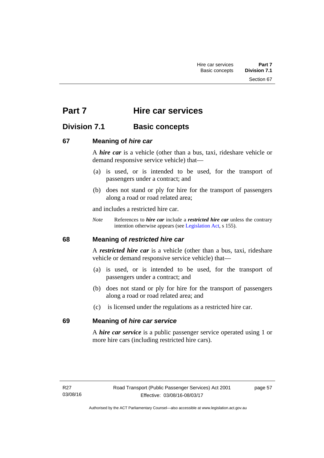Section 67

# **Part 7 Hire car services**

# **Division 7.1 Basic concepts**

# **67 Meaning of** *hire car*

A *hire car* is a vehicle (other than a bus, taxi, rideshare vehicle or demand responsive service vehicle) that—

- (a) is used, or is intended to be used, for the transport of passengers under a contract; and
- (b) does not stand or ply for hire for the transport of passengers along a road or road related area;

and includes a restricted hire car.

*Note* References to *hire car* include a *restricted hire car* unless the contrary intention otherwise appears (see [Legislation Act](http://www.legislation.act.gov.au/a/2001-14), s 155).

# **68 Meaning of** *restricted hire car*

A *restricted hire car* is a vehicle (other than a bus, taxi, rideshare vehicle or demand responsive service vehicle) that—

- (a) is used, or is intended to be used, for the transport of passengers under a contract; and
- (b) does not stand or ply for hire for the transport of passengers along a road or road related area; and
- (c) is licensed under the regulations as a restricted hire car.

# **69 Meaning of** *hire car service*

A *hire car service* is a public passenger service operated using 1 or more hire cars (including restricted hire cars).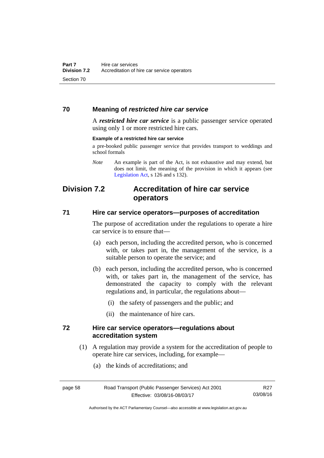# **70 Meaning of** *restricted hire car service*

A *restricted hire car service* is a public passenger service operated using only 1 or more restricted hire cars.

#### **Example of a restricted hire car service**

a pre-booked public passenger service that provides transport to weddings and school formals

# **Division 7.2 Accreditation of hire car service operators**

### **71 Hire car service operators—purposes of accreditation**

The purpose of accreditation under the regulations to operate a hire car service is to ensure that—

- (a) each person, including the accredited person, who is concerned with, or takes part in, the management of the service, is a suitable person to operate the service; and
- (b) each person, including the accredited person, who is concerned with, or takes part in, the management of the service, has demonstrated the capacity to comply with the relevant regulations and, in particular, the regulations about—
	- (i) the safety of passengers and the public; and
	- (ii) the maintenance of hire cars.

### **72 Hire car service operators—regulations about accreditation system**

(1) A regulation may provide a system for the accreditation of people to operate hire car services, including, for example—

> R27 03/08/16

(a) the kinds of accreditations; and

| page 58 | Road Transport (Public Passenger Services) Act 2001 |  |
|---------|-----------------------------------------------------|--|
|         | Effective: 03/08/16-08/03/17                        |  |

Authorised by the ACT Parliamentary Counsel—also accessible at www.legislation.act.gov.au

*Note* An example is part of the Act, is not exhaustive and may extend, but does not limit, the meaning of the provision in which it appears (see [Legislation Act,](http://www.legislation.act.gov.au/a/2001-14) s 126 and s 132).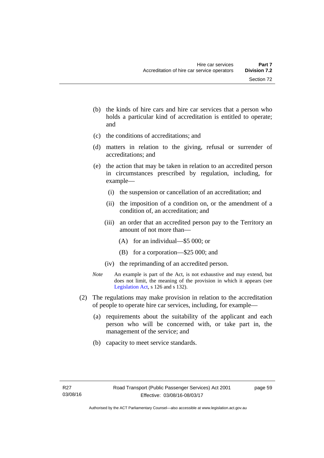- (b) the kinds of hire cars and hire car services that a person who holds a particular kind of accreditation is entitled to operate; and
- (c) the conditions of accreditations; and
- (d) matters in relation to the giving, refusal or surrender of accreditations; and
- (e) the action that may be taken in relation to an accredited person in circumstances prescribed by regulation, including, for example—
	- (i) the suspension or cancellation of an accreditation; and
	- (ii) the imposition of a condition on, or the amendment of a condition of, an accreditation; and
	- (iii) an order that an accredited person pay to the Territory an amount of not more than—
		- (A) for an individual—\$5 000; or
		- (B) for a corporation—\$25 000; and
	- (iv) the reprimanding of an accredited person.
- *Note* An example is part of the Act, is not exhaustive and may extend, but does not limit, the meaning of the provision in which it appears (see [Legislation Act,](http://www.legislation.act.gov.au/a/2001-14) s 126 and s 132).
- (2) The regulations may make provision in relation to the accreditation of people to operate hire car services, including, for example—
	- (a) requirements about the suitability of the applicant and each person who will be concerned with, or take part in, the management of the service; and
	- (b) capacity to meet service standards.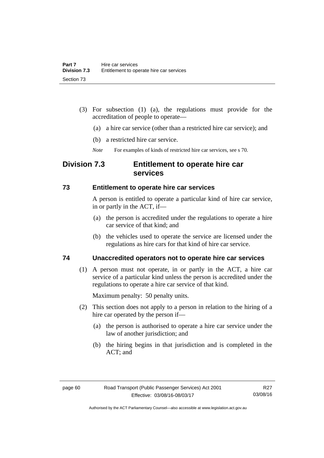- (3) For subsection (1) (a), the regulations must provide for the accreditation of people to operate—
	- (a) a hire car service (other than a restricted hire car service); and
	- (b) a restricted hire car service.
	- *Note* For examples of kinds of restricted hire car services, see s 70.

# **Division 7.3 Entitlement to operate hire car services**

### **73 Entitlement to operate hire car services**

A person is entitled to operate a particular kind of hire car service, in or partly in the ACT, if—

- (a) the person is accredited under the regulations to operate a hire car service of that kind; and
- (b) the vehicles used to operate the service are licensed under the regulations as hire cars for that kind of hire car service.

# **74 Unaccredited operators not to operate hire car services**

(1) A person must not operate, in or partly in the ACT, a hire car service of a particular kind unless the person is accredited under the regulations to operate a hire car service of that kind.

Maximum penalty: 50 penalty units.

- (2) This section does not apply to a person in relation to the hiring of a hire car operated by the person if—
	- (a) the person is authorised to operate a hire car service under the law of another jurisdiction; and
	- (b) the hiring begins in that jurisdiction and is completed in the ACT; and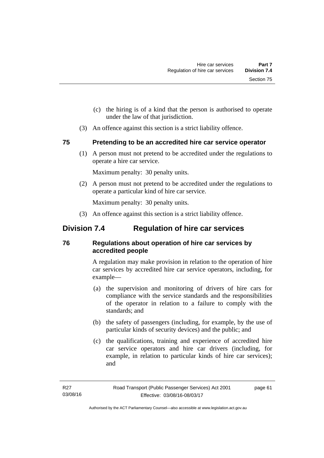- (c) the hiring is of a kind that the person is authorised to operate under the law of that jurisdiction.
- (3) An offence against this section is a strict liability offence.

# **75 Pretending to be an accredited hire car service operator**

(1) A person must not pretend to be accredited under the regulations to operate a hire car service.

Maximum penalty: 30 penalty units.

 (2) A person must not pretend to be accredited under the regulations to operate a particular kind of hire car service.

Maximum penalty: 30 penalty units.

(3) An offence against this section is a strict liability offence.

# **Division 7.4 Regulation of hire car services**

# **76 Regulations about operation of hire car services by accredited people**

A regulation may make provision in relation to the operation of hire car services by accredited hire car service operators, including, for example—

- (a) the supervision and monitoring of drivers of hire cars for compliance with the service standards and the responsibilities of the operator in relation to a failure to comply with the standards; and
- (b) the safety of passengers (including, for example, by the use of particular kinds of security devices) and the public; and
- (c) the qualifications, training and experience of accredited hire car service operators and hire car drivers (including, for example, in relation to particular kinds of hire car services); and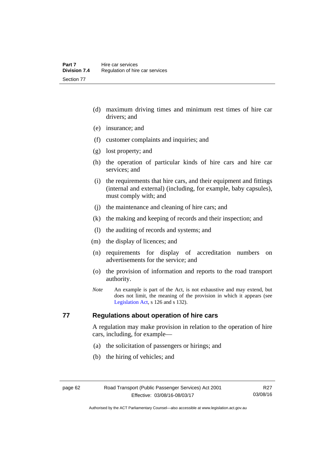- (d) maximum driving times and minimum rest times of hire car drivers; and
- (e) insurance; and
- (f) customer complaints and inquiries; and
- (g) lost property; and
- (h) the operation of particular kinds of hire cars and hire car services; and
- (i) the requirements that hire cars, and their equipment and fittings (internal and external) (including, for example, baby capsules), must comply with; and
- (j) the maintenance and cleaning of hire cars; and
- (k) the making and keeping of records and their inspection; and
- (l) the auditing of records and systems; and
- (m) the display of licences; and
- (n) requirements for display of accreditation numbers on advertisements for the service; and
- (o) the provision of information and reports to the road transport authority.
- *Note* An example is part of the Act, is not exhaustive and may extend, but does not limit, the meaning of the provision in which it appears (see [Legislation Act,](http://www.legislation.act.gov.au/a/2001-14) s 126 and s 132).

# **77 Regulations about operation of hire cars**

A regulation may make provision in relation to the operation of hire cars, including, for example—

- (a) the solicitation of passengers or hirings; and
- (b) the hiring of vehicles; and

R27 03/08/16

Authorised by the ACT Parliamentary Counsel—also accessible at www.legislation.act.gov.au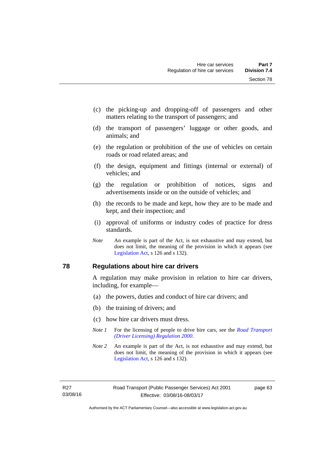- (c) the picking-up and dropping-off of passengers and other matters relating to the transport of passengers; and
- (d) the transport of passengers' luggage or other goods, and animals; and
- (e) the regulation or prohibition of the use of vehicles on certain roads or road related areas; and
- (f) the design, equipment and fittings (internal or external) of vehicles; and
- (g) the regulation or prohibition of notices, signs and advertisements inside or on the outside of vehicles; and
- (h) the records to be made and kept, how they are to be made and kept, and their inspection; and
- (i) approval of uniforms or industry codes of practice for dress standards.
- *Note* An example is part of the Act, is not exhaustive and may extend, but does not limit, the meaning of the provision in which it appears (see [Legislation Act,](http://www.legislation.act.gov.au/a/2001-14) s 126 and s 132).

#### **78 Regulations about hire car drivers**

A regulation may make provision in relation to hire car drivers, including, for example—

- (a) the powers, duties and conduct of hire car drivers; and
- (b) the training of drivers; and
- (c) how hire car drivers must dress.
- *Note 1* For the licensing of people to drive hire cars, see the *Road Transport [\(Driver Licensing\) Regulation 2000](http://www.legislation.act.gov.au/sl/2000-14)*.
- *Note 2* An example is part of the Act, is not exhaustive and may extend, but does not limit, the meaning of the provision in which it appears (see [Legislation Act,](http://www.legislation.act.gov.au/a/2001-14) s 126 and s 132).

page 63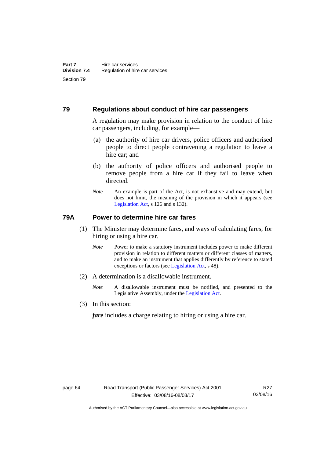#### **79 Regulations about conduct of hire car passengers**

A regulation may make provision in relation to the conduct of hire car passengers, including, for example—

- (a) the authority of hire car drivers, police officers and authorised people to direct people contravening a regulation to leave a hire car; and
- (b) the authority of police officers and authorised people to remove people from a hire car if they fail to leave when directed.
- *Note* An example is part of the Act, is not exhaustive and may extend, but does not limit, the meaning of the provision in which it appears (see [Legislation Act,](http://www.legislation.act.gov.au/a/2001-14) s 126 and s 132).

### **79A Power to determine hire car fares**

- (1) The Minister may determine fares, and ways of calculating fares, for hiring or using a hire car.
	- *Note* Power to make a statutory instrument includes power to make different provision in relation to different matters or different classes of matters, and to make an instrument that applies differently by reference to stated exceptions or factors (see [Legislation Act](http://www.legislation.act.gov.au/a/2001-14), s 48).
- (2) A determination is a disallowable instrument.
	- *Note* A disallowable instrument must be notified, and presented to the Legislative Assembly, under the [Legislation Act.](http://www.legislation.act.gov.au/a/2001-14)
- (3) In this section:

*fare* includes a charge relating to hiring or using a hire car.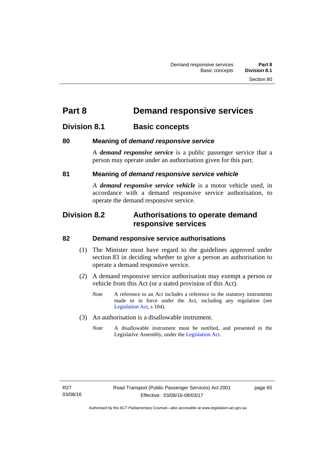# **Part 8 Demand responsive services**

## **Division 8.1 Basic concepts**

### **80 Meaning of** *demand responsive service*

A *demand responsive service* is a public passenger service that a person may operate under an authorisation given for this part.

### **81 Meaning of** *demand responsive service vehicle*

A *demand responsive service vehicle* is a motor vehicle used, in accordance with a demand responsive service authorisation, to operate the demand responsive service.

## **Division 8.2 Authorisations to operate demand responsive services**

#### **82 Demand responsive service authorisations**

- (1) The Minister must have regard to the guidelines approved under section 83 in deciding whether to give a person an authorisation to operate a demand responsive service.
- (2) A demand responsive service authorisation may exempt a person or vehicle from this Act (or a stated provision of this Act).
	- *Note* A reference to an Act includes a reference to the statutory instruments made or in force under the Act, including any regulation (see [Legislation Act,](http://www.legislation.act.gov.au/a/2001-14) s 104).
- (3) An authorisation is a disallowable instrument.
	- *Note* A disallowable instrument must be notified, and presented to the Legislative Assembly, under the [Legislation Act.](http://www.legislation.act.gov.au/a/2001-14)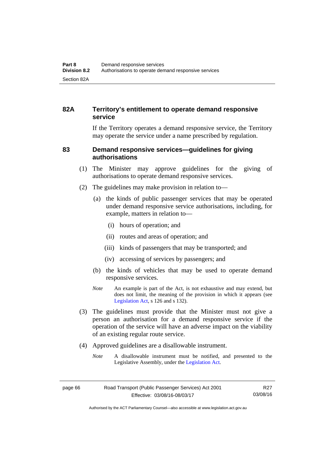## **82A Territory's entitlement to operate demand responsive service**

If the Territory operates a demand responsive service, the Territory may operate the service under a name prescribed by regulation.

#### **83 Demand responsive services—guidelines for giving authorisations**

- (1) The Minister may approve guidelines for the giving of authorisations to operate demand responsive services.
- (2) The guidelines may make provision in relation to—
	- (a) the kinds of public passenger services that may be operated under demand responsive service authorisations, including, for example, matters in relation to—
		- (i) hours of operation; and
		- (ii) routes and areas of operation; and
		- (iii) kinds of passengers that may be transported; and
		- (iv) accessing of services by passengers; and
	- (b) the kinds of vehicles that may be used to operate demand responsive services.
	- *Note* An example is part of the Act, is not exhaustive and may extend, but does not limit, the meaning of the provision in which it appears (see [Legislation Act,](http://www.legislation.act.gov.au/a/2001-14) s 126 and s 132).
- (3) The guidelines must provide that the Minister must not give a person an authorisation for a demand responsive service if the operation of the service will have an adverse impact on the viability of an existing regular route service.
- (4) Approved guidelines are a disallowable instrument.
	- *Note* A disallowable instrument must be notified, and presented to the Legislative Assembly, under the [Legislation Act.](http://www.legislation.act.gov.au/a/2001-14)

Authorised by the ACT Parliamentary Counsel—also accessible at www.legislation.act.gov.au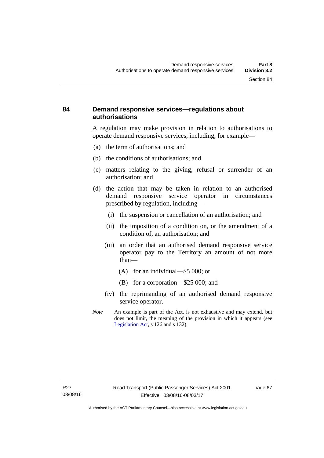#### **84 Demand responsive services—regulations about authorisations**

A regulation may make provision in relation to authorisations to operate demand responsive services, including, for example—

- (a) the term of authorisations; and
- (b) the conditions of authorisations; and
- (c) matters relating to the giving, refusal or surrender of an authorisation; and
- (d) the action that may be taken in relation to an authorised demand responsive service operator in circumstances prescribed by regulation, including—
	- (i) the suspension or cancellation of an authorisation; and
	- (ii) the imposition of a condition on, or the amendment of a condition of, an authorisation; and
	- (iii) an order that an authorised demand responsive service operator pay to the Territory an amount of not more than—
		- (A) for an individual—\$5 000; or
		- (B) for a corporation—\$25 000; and
	- (iv) the reprimanding of an authorised demand responsive service operator.
- *Note* An example is part of the Act, is not exhaustive and may extend, but does not limit, the meaning of the provision in which it appears (see [Legislation Act,](http://www.legislation.act.gov.au/a/2001-14) s 126 and s 132).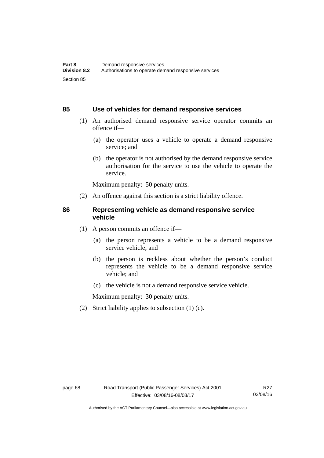#### **85 Use of vehicles for demand responsive services**

- (1) An authorised demand responsive service operator commits an offence if—
	- (a) the operator uses a vehicle to operate a demand responsive service; and
	- (b) the operator is not authorised by the demand responsive service authorisation for the service to use the vehicle to operate the service.

Maximum penalty: 50 penalty units.

(2) An offence against this section is a strict liability offence.

#### **86 Representing vehicle as demand responsive service vehicle**

- (1) A person commits an offence if—
	- (a) the person represents a vehicle to be a demand responsive service vehicle; and
	- (b) the person is reckless about whether the person's conduct represents the vehicle to be a demand responsive service vehicle; and
	- (c) the vehicle is not a demand responsive service vehicle.

Maximum penalty: 30 penalty units.

(2) Strict liability applies to subsection (1) (c).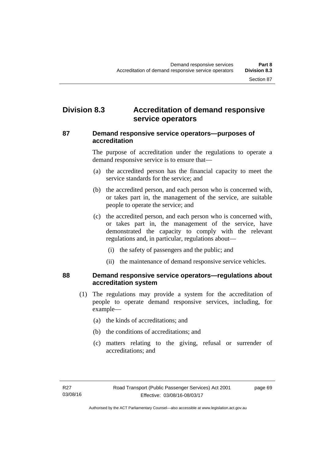# **Division 8.3 Accreditation of demand responsive service operators**

#### **87 Demand responsive service operators—purposes of accreditation**

The purpose of accreditation under the regulations to operate a demand responsive service is to ensure that—

- (a) the accredited person has the financial capacity to meet the service standards for the service; and
- (b) the accredited person, and each person who is concerned with, or takes part in, the management of the service, are suitable people to operate the service; and
- (c) the accredited person, and each person who is concerned with, or takes part in, the management of the service, have demonstrated the capacity to comply with the relevant regulations and, in particular, regulations about—
	- (i) the safety of passengers and the public; and
	- (ii) the maintenance of demand responsive service vehicles.

#### **88 Demand responsive service operators—regulations about accreditation system**

- (1) The regulations may provide a system for the accreditation of people to operate demand responsive services, including, for example—
	- (a) the kinds of accreditations; and
	- (b) the conditions of accreditations; and
	- (c) matters relating to the giving, refusal or surrender of accreditations; and

page 69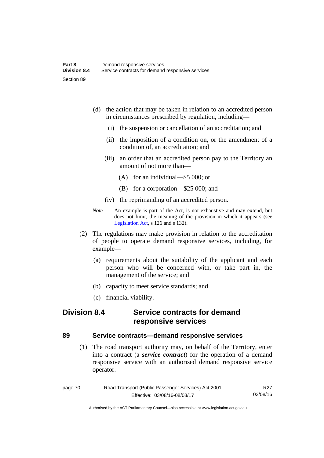- (d) the action that may be taken in relation to an accredited person in circumstances prescribed by regulation, including—
	- (i) the suspension or cancellation of an accreditation; and
	- (ii) the imposition of a condition on, or the amendment of a condition of, an accreditation; and
	- (iii) an order that an accredited person pay to the Territory an amount of not more than—
		- (A) for an individual—\$5 000; or
		- (B) for a corporation—\$25 000; and
	- (iv) the reprimanding of an accredited person.
- *Note* An example is part of the Act, is not exhaustive and may extend, but does not limit, the meaning of the provision in which it appears (see [Legislation Act,](http://www.legislation.act.gov.au/a/2001-14) s 126 and s 132).
- (2) The regulations may make provision in relation to the accreditation of people to operate demand responsive services, including, for example—
	- (a) requirements about the suitability of the applicant and each person who will be concerned with, or take part in, the management of the service; and
	- (b) capacity to meet service standards; and
	- (c) financial viability.

## **Division 8.4 Service contracts for demand responsive services**

#### **89 Service contracts—demand responsive services**

 (1) The road transport authority may, on behalf of the Territory, enter into a contract (a *service contract*) for the operation of a demand responsive service with an authorised demand responsive service operator.

| page 70 | Road Transport (Public Passenger Services) Act 2001 | R27      |
|---------|-----------------------------------------------------|----------|
|         | Effective: 03/08/16-08/03/17                        | 03/08/16 |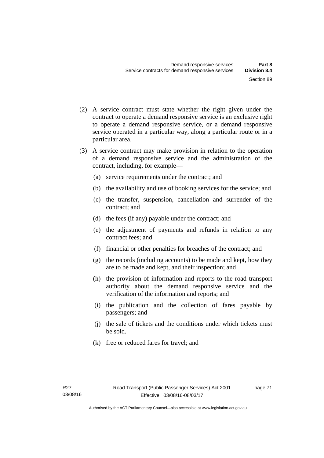- (2) A service contract must state whether the right given under the contract to operate a demand responsive service is an exclusive right to operate a demand responsive service, or a demand responsive service operated in a particular way, along a particular route or in a particular area.
- (3) A service contract may make provision in relation to the operation of a demand responsive service and the administration of the contract, including, for example—
	- (a) service requirements under the contract; and
	- (b) the availability and use of booking services for the service; and
	- (c) the transfer, suspension, cancellation and surrender of the contract; and
	- (d) the fees (if any) payable under the contract; and
	- (e) the adjustment of payments and refunds in relation to any contract fees; and
	- (f) financial or other penalties for breaches of the contract; and
	- (g) the records (including accounts) to be made and kept, how they are to be made and kept, and their inspection; and
	- (h) the provision of information and reports to the road transport authority about the demand responsive service and the verification of the information and reports; and
	- (i) the publication and the collection of fares payable by passengers; and
	- (j) the sale of tickets and the conditions under which tickets must be sold.
	- (k) free or reduced fares for travel; and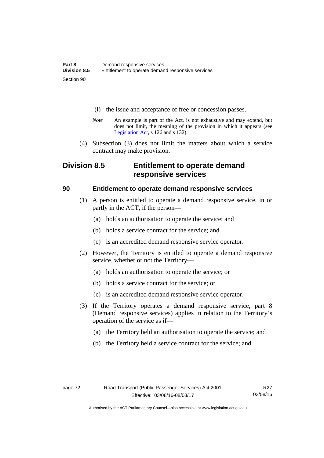- (l) the issue and acceptance of free or concession passes.
- *Note* An example is part of the Act, is not exhaustive and may extend, but does not limit, the meaning of the provision in which it appears (see [Legislation Act,](http://www.legislation.act.gov.au/a/2001-14) s 126 and s 132).
- (4) Subsection (3) does not limit the matters about which a service contract may make provision.

# **Division 8.5 Entitlement to operate demand responsive services**

#### **90 Entitlement to operate demand responsive services**

- (1) A person is entitled to operate a demand responsive service, in or partly in the ACT, if the person—
	- (a) holds an authorisation to operate the service; and
	- (b) holds a service contract for the service; and
	- (c) is an accredited demand responsive service operator.
- (2) However, the Territory is entitled to operate a demand responsive service, whether or not the Territory—
	- (a) holds an authorisation to operate the service; or
	- (b) holds a service contract for the service; or
	- (c) is an accredited demand responsive service operator.
- (3) If the Territory operates a demand responsive service, part 8 (Demand responsive services) applies in relation to the Territory's operation of the service as if—
	- (a) the Territory held an authorisation to operate the service; and
	- (b) the Territory held a service contract for the service; and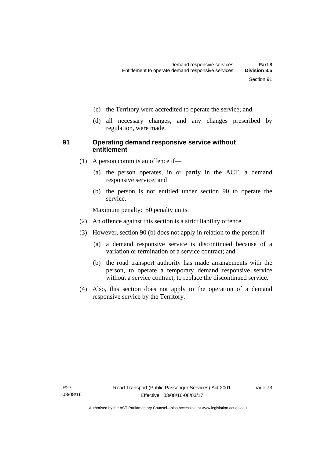- (c) the Territory were accredited to operate the service; and
- (d) all necessary changes, and any changes prescribed by regulation, were made.

#### **91 Operating demand responsive service without entitlement**

- (1) A person commits an offence if—
	- (a) the person operates, in or partly in the ACT, a demand responsive service; and
	- (b) the person is not entitled under section 90 to operate the service.

Maximum penalty: 50 penalty units.

- (2) An offence against this section is a strict liability offence.
- (3) However, section 90 (b) does not apply in relation to the person if—
	- (a) a demand responsive service is discontinued because of a variation or termination of a service contract; and
	- (b) the road transport authority has made arrangements with the person, to operate a temporary demand responsive service without a service contract, to replace the discontinued service.
- (4) Also, this section does not apply to the operation of a demand responsive service by the Territory.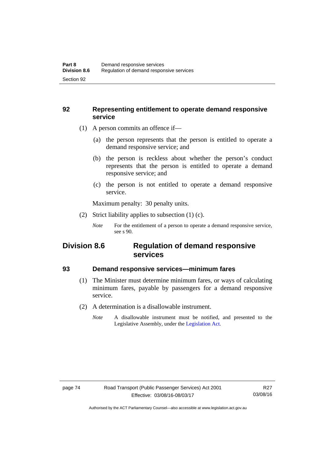#### **92 Representing entitlement to operate demand responsive service**

- (1) A person commits an offence if—
	- (a) the person represents that the person is entitled to operate a demand responsive service; and
	- (b) the person is reckless about whether the person's conduct represents that the person is entitled to operate a demand responsive service; and
	- (c) the person is not entitled to operate a demand responsive service.

Maximum penalty: 30 penalty units.

(2) Strict liability applies to subsection (1) (c).

## **Division 8.6 Regulation of demand responsive services**

#### **93 Demand responsive services—minimum fares**

- (1) The Minister must determine minimum fares, or ways of calculating minimum fares, payable by passengers for a demand responsive service.
- (2) A determination is a disallowable instrument.
	- *Note* A disallowable instrument must be notified, and presented to the Legislative Assembly, under the [Legislation Act.](http://www.legislation.act.gov.au/a/2001-14)

*Note* For the entitlement of a person to operate a demand responsive service, see s 90.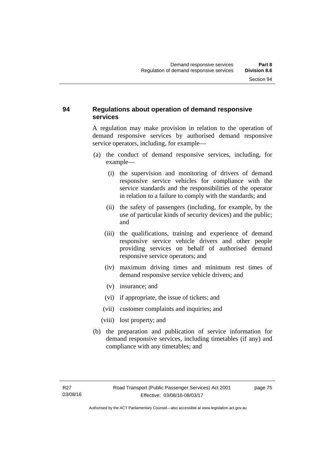## **94 Regulations about operation of demand responsive services**

A regulation may make provision in relation to the operation of demand responsive services by authorised demand responsive service operators, including, for example—

- (a) the conduct of demand responsive services, including, for example—
	- (i) the supervision and monitoring of drivers of demand responsive service vehicles for compliance with the service standards and the responsibilities of the operator in relation to a failure to comply with the standards; and
	- (ii) the safety of passengers (including, for example, by the use of particular kinds of security devices) and the public; and
	- (iii) the qualifications, training and experience of demand responsive service vehicle drivers and other people providing services on behalf of authorised demand responsive service operators; and
	- (iv) maximum driving times and minimum rest times of demand responsive service vehicle drivers; and
	- (v) insurance; and
	- (vi) if appropriate, the issue of tickets; and
	- (vii) customer complaints and inquiries; and
	- (viii) lost property; and
- (b) the preparation and publication of service information for demand responsive services, including timetables (if any) and compliance with any timetables; and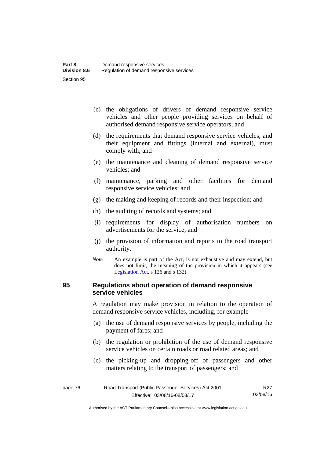- (c) the obligations of drivers of demand responsive service vehicles and other people providing services on behalf of authorised demand responsive service operators; and
- (d) the requirements that demand responsive service vehicles, and their equipment and fittings (internal and external), must comply with; and
- (e) the maintenance and cleaning of demand responsive service vehicles; and
- (f) maintenance, parking and other facilities for demand responsive service vehicles; and
- (g) the making and keeping of records and their inspection; and
- (h) the auditing of records and systems; and
- (i) requirements for display of authorisation numbers on advertisements for the service; and
- (j) the provision of information and reports to the road transport authority.
- *Note* An example is part of the Act, is not exhaustive and may extend, but does not limit, the meaning of the provision in which it appears (see [Legislation Act,](http://www.legislation.act.gov.au/a/2001-14) s 126 and s 132).

#### **95 Regulations about operation of demand responsive service vehicles**

A regulation may make provision in relation to the operation of demand responsive service vehicles, including, for example—

- (a) the use of demand responsive services by people, including the payment of fares; and
- (b) the regulation or prohibition of the use of demand responsive service vehicles on certain roads or road related areas; and
- (c) the picking-up and dropping-off of passengers and other matters relating to the transport of passengers; and

| page 76 | Road Transport (Public Passenger Services) Act 2001 | R <sub>27</sub> |
|---------|-----------------------------------------------------|-----------------|
|         | Effective: 03/08/16-08/03/17                        | 03/08/16        |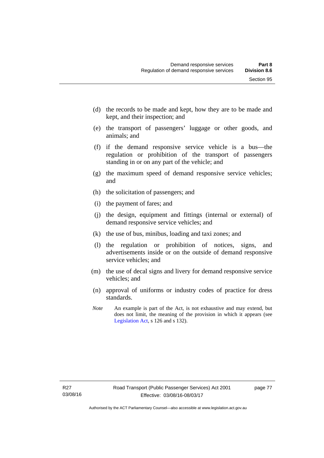- (d) the records to be made and kept, how they are to be made and kept, and their inspection; and
- (e) the transport of passengers' luggage or other goods, and animals; and
- (f) if the demand responsive service vehicle is a bus—the regulation or prohibition of the transport of passengers standing in or on any part of the vehicle; and
- (g) the maximum speed of demand responsive service vehicles; and
- (h) the solicitation of passengers; and
- (i) the payment of fares; and
- (j) the design, equipment and fittings (internal or external) of demand responsive service vehicles; and
- (k) the use of bus, minibus, loading and taxi zones; and
- (l) the regulation or prohibition of notices, signs, and advertisements inside or on the outside of demand responsive service vehicles; and
- (m) the use of decal signs and livery for demand responsive service vehicles; and
- (n) approval of uniforms or industry codes of practice for dress standards.
- *Note* An example is part of the Act, is not exhaustive and may extend, but does not limit, the meaning of the provision in which it appears (see [Legislation Act,](http://www.legislation.act.gov.au/a/2001-14) s 126 and s 132).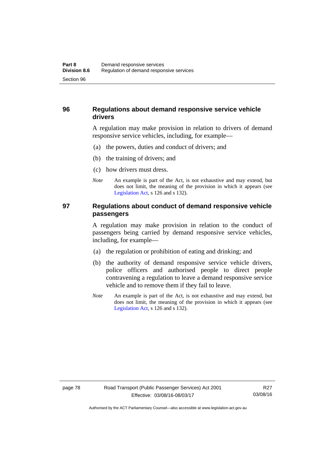### **96 Regulations about demand responsive service vehicle drivers**

A regulation may make provision in relation to drivers of demand responsive service vehicles, including, for example—

- (a) the powers, duties and conduct of drivers; and
- (b) the training of drivers; and
- (c) how drivers must dress.
- *Note* An example is part of the Act, is not exhaustive and may extend, but does not limit, the meaning of the provision in which it appears (see [Legislation Act,](http://www.legislation.act.gov.au/a/2001-14) s 126 and s 132).

#### **97 Regulations about conduct of demand responsive vehicle passengers**

A regulation may make provision in relation to the conduct of passengers being carried by demand responsive service vehicles, including, for example—

- (a) the regulation or prohibition of eating and drinking; and
- (b) the authority of demand responsive service vehicle drivers, police officers and authorised people to direct people contravening a regulation to leave a demand responsive service vehicle and to remove them if they fail to leave.
- *Note* An example is part of the Act, is not exhaustive and may extend, but does not limit, the meaning of the provision in which it appears (see [Legislation Act,](http://www.legislation.act.gov.au/a/2001-14) s 126 and s 132).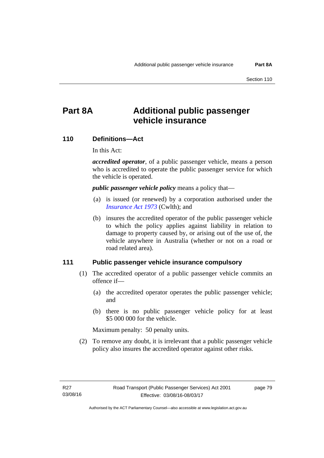# **Part 8A Additional public passenger vehicle insurance**

#### **110 Definitions—Act**

In this Act:

*accredited operator*, of a public passenger vehicle, means a person who is accredited to operate the public passenger service for which the vehicle is operated.

*public passenger vehicle policy* means a policy that—

- (a) is issued (or renewed) by a corporation authorised under the *[Insurance Act 1973](http://www.comlaw.gov.au/Details/C2013C00019)* (Cwlth); and
- (b) insures the accredited operator of the public passenger vehicle to which the policy applies against liability in relation to damage to property caused by, or arising out of the use of, the vehicle anywhere in Australia (whether or not on a road or road related area).

#### **111 Public passenger vehicle insurance compulsory**

- (1) The accredited operator of a public passenger vehicle commits an offence if—
	- (a) the accredited operator operates the public passenger vehicle; and
	- (b) there is no public passenger vehicle policy for at least \$5 000 000 for the vehicle.

Maximum penalty: 50 penalty units.

 (2) To remove any doubt, it is irrelevant that a public passenger vehicle policy also insures the accredited operator against other risks.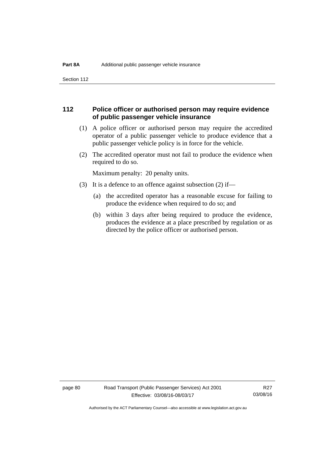Section 112

#### **112 Police officer or authorised person may require evidence of public passenger vehicle insurance**

- (1) A police officer or authorised person may require the accredited operator of a public passenger vehicle to produce evidence that a public passenger vehicle policy is in force for the vehicle.
- (2) The accredited operator must not fail to produce the evidence when required to do so.

Maximum penalty: 20 penalty units.

- (3) It is a defence to an offence against subsection (2) if—
	- (a) the accredited operator has a reasonable excuse for failing to produce the evidence when required to do so; and
	- (b) within 3 days after being required to produce the evidence, produces the evidence at a place prescribed by regulation or as directed by the police officer or authorised person.

page 80 Road Transport (Public Passenger Services) Act 2001 Effective: 03/08/16-08/03/17

R27 03/08/16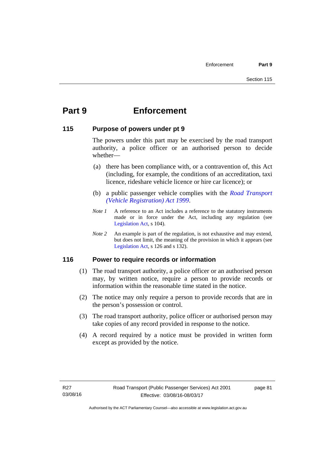# **Part 9 Enforcement**

#### **115 Purpose of powers under pt 9**

The powers under this part may be exercised by the road transport authority, a police officer or an authorised person to decide whether—

- (a) there has been compliance with, or a contravention of, this Act (including, for example, the conditions of an accreditation, taxi licence, rideshare vehicle licence or hire car licence); or
- (b) a public passenger vehicle complies with the *[Road Transport](http://www.legislation.act.gov.au/a/1999-81)  [\(Vehicle Registration\) Act 1999](http://www.legislation.act.gov.au/a/1999-81)*.
- *Note 1* A reference to an Act includes a reference to the statutory instruments made or in force under the Act, including any regulation (see [Legislation Act,](http://www.legislation.act.gov.au/a/2001-14) s 104).
- *Note 2* An example is part of the regulation, is not exhaustive and may extend, but does not limit, the meaning of the provision in which it appears (see [Legislation Act,](http://www.legislation.act.gov.au/a/2001-14) s 126 and s 132).

## **116 Power to require records or information**

- (1) The road transport authority, a police officer or an authorised person may, by written notice, require a person to provide records or information within the reasonable time stated in the notice.
- (2) The notice may only require a person to provide records that are in the person's possession or control.
- (3) The road transport authority, police officer or authorised person may take copies of any record provided in response to the notice.
- (4) A record required by a notice must be provided in written form except as provided by the notice.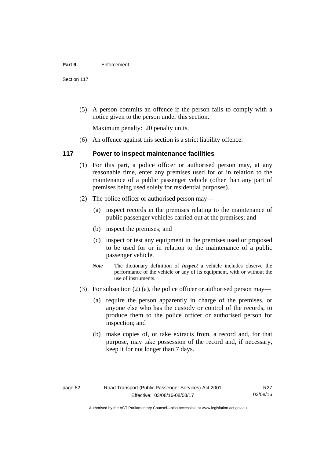Section 117

 (5) A person commits an offence if the person fails to comply with a notice given to the person under this section.

Maximum penalty: 20 penalty units.

(6) An offence against this section is a strict liability offence.

#### **117 Power to inspect maintenance facilities**

- (1) For this part, a police officer or authorised person may, at any reasonable time, enter any premises used for or in relation to the maintenance of a public passenger vehicle (other than any part of premises being used solely for residential purposes).
- (2) The police officer or authorised person may—
	- (a) inspect records in the premises relating to the maintenance of public passenger vehicles carried out at the premises; and
	- (b) inspect the premises; and
	- (c) inspect or test any equipment in the premises used or proposed to be used for or in relation to the maintenance of a public passenger vehicle.
	- *Note* The dictionary definition of *inspect* a vehicle includes observe the performance of the vehicle or any of its equipment, with or without the use of instruments.
- (3) For subsection (2) (a), the police officer or authorised person may—
	- (a) require the person apparently in charge of the premises, or anyone else who has the custody or control of the records, to produce them to the police officer or authorised person for inspection; and
	- (b) make copies of, or take extracts from, a record and, for that purpose, may take possession of the record and, if necessary, keep it for not longer than 7 days.

R27 03/08/16

Authorised by the ACT Parliamentary Counsel—also accessible at www.legislation.act.gov.au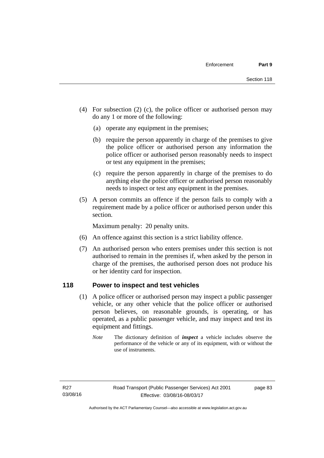- (4) For subsection (2) (c), the police officer or authorised person may do any 1 or more of the following:
	- (a) operate any equipment in the premises;
	- (b) require the person apparently in charge of the premises to give the police officer or authorised person any information the police officer or authorised person reasonably needs to inspect or test any equipment in the premises;
	- (c) require the person apparently in charge of the premises to do anything else the police officer or authorised person reasonably needs to inspect or test any equipment in the premises.
- (5) A person commits an offence if the person fails to comply with a requirement made by a police officer or authorised person under this section.

Maximum penalty: 20 penalty units.

- (6) An offence against this section is a strict liability offence.
- (7) An authorised person who enters premises under this section is not authorised to remain in the premises if, when asked by the person in charge of the premises, the authorised person does not produce his or her identity card for inspection.

#### **118 Power to inspect and test vehicles**

- (1) A police officer or authorised person may inspect a public passenger vehicle, or any other vehicle that the police officer or authorised person believes, on reasonable grounds, is operating, or has operated, as a public passenger vehicle, and may inspect and test its equipment and fittings.
	- *Note* The dictionary definition of *inspect* a vehicle includes observe the performance of the vehicle or any of its equipment, with or without the use of instruments.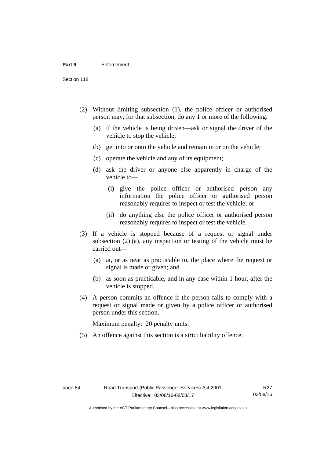Section 118

- (2) Without limiting subsection (1), the police officer or authorised person may, for that subsection, do any 1 or more of the following:
	- (a) if the vehicle is being driven—ask or signal the driver of the vehicle to stop the vehicle;
	- (b) get into or onto the vehicle and remain in or on the vehicle;
	- (c) operate the vehicle and any of its equipment;
	- (d) ask the driver or anyone else apparently in charge of the vehicle to—
		- (i) give the police officer or authorised person any information the police officer or authorised person reasonably requires to inspect or test the vehicle; or
		- (ii) do anything else the police officer or authorised person reasonably requires to inspect or test the vehicle.
- (3) If a vehicle is stopped because of a request or signal under subsection (2) (a), any inspection or testing of the vehicle must be carried out—
	- (a) at, or as near as practicable to, the place where the request or signal is made or given; and
	- (b) as soon as practicable, and in any case within 1 hour, after the vehicle is stopped.
- (4) A person commits an offence if the person fails to comply with a request or signal made or given by a police officer or authorised person under this section.

Maximum penalty: 20 penalty units.

(5) An offence against this section is a strict liability offence.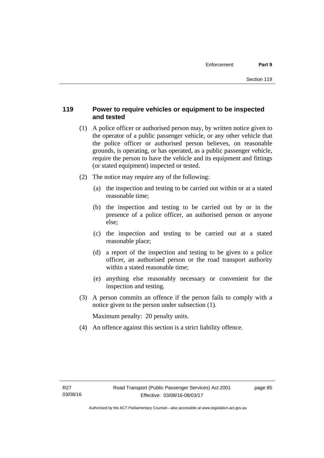## **119 Power to require vehicles or equipment to be inspected and tested**

- (1) A police officer or authorised person may, by written notice given to the operator of a public passenger vehicle, or any other vehicle that the police officer or authorised person believes, on reasonable grounds, is operating, or has operated, as a public passenger vehicle, require the person to have the vehicle and its equipment and fittings (or stated equipment) inspected or tested.
- (2) The notice may require any of the following:
	- (a) the inspection and testing to be carried out within or at a stated reasonable time;
	- (b) the inspection and testing to be carried out by or in the presence of a police officer, an authorised person or anyone else;
	- (c) the inspection and testing to be carried out at a stated reasonable place;
	- (d) a report of the inspection and testing to be given to a police officer, an authorised person or the road transport authority within a stated reasonable time;
	- (e) anything else reasonably necessary or convenient for the inspection and testing.
- (3) A person commits an offence if the person fails to comply with a notice given to the person under subsection (1).

Maximum penalty: 20 penalty units.

(4) An offence against this section is a strict liability offence.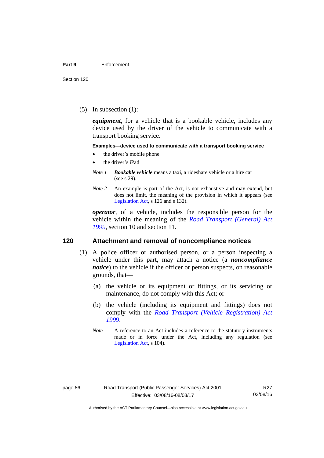(5) In subsection (1):

*equipment*, for a vehicle that is a bookable vehicle, includes any device used by the driver of the vehicle to communicate with a transport booking service.

#### **Examples—device used to communicate with a transport booking service**

- the driver's mobile phone
- the driver's iPad
- *Note 1 Bookable vehicle* means a taxi, a rideshare vehicle or a hire car (see s 29).
- *Note 2* An example is part of the Act, is not exhaustive and may extend, but does not limit, the meaning of the provision in which it appears (see [Legislation Act,](http://www.legislation.act.gov.au/a/2001-14) s 126 and s 132).

*operator*, of a vehicle, includes the responsible person for the vehicle within the meaning of the *[Road Transport \(General\) Act](http://www.legislation.act.gov.au/a/1999-77)  [1999](http://www.legislation.act.gov.au/a/1999-77)*, section 10 and section 11.

#### **120 Attachment and removal of noncompliance notices**

- (1) A police officer or authorised person, or a person inspecting a vehicle under this part, may attach a notice (a *noncompliance notice*) to the vehicle if the officer or person suspects, on reasonable grounds, that—
	- (a) the vehicle or its equipment or fittings, or its servicing or maintenance, do not comply with this Act; or
	- (b) the vehicle (including its equipment and fittings) does not comply with the *[Road Transport \(Vehicle Registration\) Act](http://www.legislation.act.gov.au/a/1999-81)  [1999](http://www.legislation.act.gov.au/a/1999-81)*.
	- *Note* A reference to an Act includes a reference to the statutory instruments made or in force under the Act, including any regulation (see [Legislation Act,](http://www.legislation.act.gov.au/a/2001-14) s 104).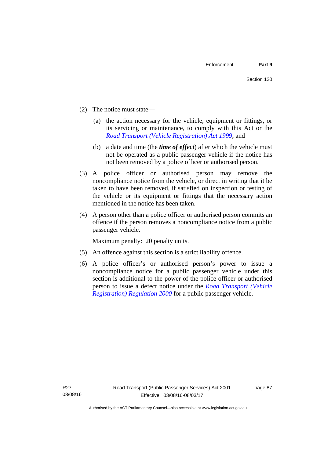- (2) The notice must state—
	- (a) the action necessary for the vehicle, equipment or fittings, or its servicing or maintenance, to comply with this Act or the *[Road Transport \(Vehicle Registration\) Act 1999](http://www.legislation.act.gov.au/a/1999-81)*; and
	- (b) a date and time (the *time of effect*) after which the vehicle must not be operated as a public passenger vehicle if the notice has not been removed by a police officer or authorised person.
- (3) A police officer or authorised person may remove the noncompliance notice from the vehicle, or direct in writing that it be taken to have been removed, if satisfied on inspection or testing of the vehicle or its equipment or fittings that the necessary action mentioned in the notice has been taken.
- (4) A person other than a police officer or authorised person commits an offence if the person removes a noncompliance notice from a public passenger vehicle.

Maximum penalty: 20 penalty units.

- (5) An offence against this section is a strict liability offence.
- (6) A police officer's or authorised person's power to issue a noncompliance notice for a public passenger vehicle under this section is additional to the power of the police officer or authorised person to issue a defect notice under the *[Road Transport \(Vehicle](http://www.legislation.act.gov.au/sl/2000-12)  [Registration\) Regulation 2000](http://www.legislation.act.gov.au/sl/2000-12)* for a public passenger vehicle.

page 87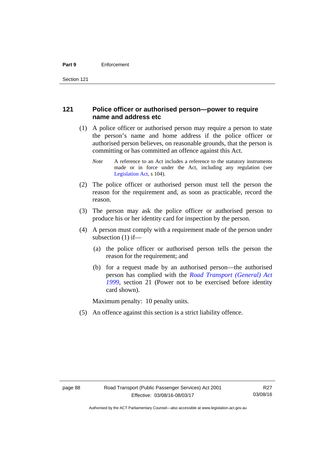#### **121 Police officer or authorised person—power to require name and address etc**

- (1) A police officer or authorised person may require a person to state the person's name and home address if the police officer or authorised person believes, on reasonable grounds, that the person is committing or has committed an offence against this Act.
	- *Note* A reference to an Act includes a reference to the statutory instruments made or in force under the Act, including any regulation (see [Legislation Act,](http://www.legislation.act.gov.au/a/2001-14) s 104).
- (2) The police officer or authorised person must tell the person the reason for the requirement and, as soon as practicable, record the reason.
- (3) The person may ask the police officer or authorised person to produce his or her identity card for inspection by the person.
- (4) A person must comply with a requirement made of the person under subsection (1) if—
	- (a) the police officer or authorised person tells the person the reason for the requirement; and
	- (b) for a request made by an authorised person—the authorised person has complied with the *[Road Transport \(General\) Act](http://www.legislation.act.gov.au/a/1999-77)  [1999](http://www.legislation.act.gov.au/a/1999-77)*, section 21 (Power not to be exercised before identity card shown).

Maximum penalty: 10 penalty units.

(5) An offence against this section is a strict liability offence.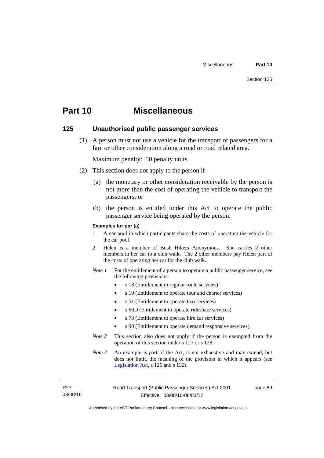# **Part 10 Miscellaneous**

#### **125 Unauthorised public passenger services**

 (1) A person must not use a vehicle for the transport of passengers for a fare or other consideration along a road or road related area.

Maximum penalty: 50 penalty units.

- (2) This section does not apply to the person if—
	- (a) the monetary or other consideration receivable by the person is not more than the cost of operating the vehicle to transport the passengers; or
	- (b) the person is entitled under this Act to operate the public passenger service being operated by the person.

#### **Examples for par (a)**

- 1 A car pool in which participants share the costs of operating the vehicle for the car pool.
- 2 Helen is a member of Bush Hikers Anonymous. She carries 2 other members in her car to a club walk. The 2 other members pay Helen part of the costs of operating her car for the club walk.
- *Note 1* For the entitlement of a person to operate a public passenger service, see the following provisions:
	- s 18 (Entitlement to regular route services)
	- s 19 (Entitlement to operate tour and charter services)
	- s 51 (Entitlement to operate taxi services)
	- s 60D (Entitlement to operate rideshare services)
	- s 73 (Entitlement to operate hire car services)
	- s 90 (Entitlement to operate demand responsive services).
- *Note 2* This section also does not apply if the person is exempted from the operation of this section under s 127 or s 128.
- *Note 3* An example is part of the Act, is not exhaustive and may extend, but does not limit, the meaning of the provision in which it appears (see [Legislation Act,](http://www.legislation.act.gov.au/a/2001-14) s 126 and s 132).

R27 03/08/16 page 89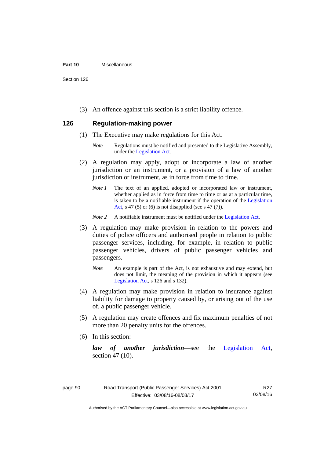#### **Part 10** Miscellaneous

Section 126

(3) An offence against this section is a strict liability offence.

### **126 Regulation-making power**

- (1) The Executive may make regulations for this Act.
	- *Note* Regulations must be notified and presented to the Legislative Assembly, under the [Legislation Act.](http://www.legislation.act.gov.au/a/2001-14)
- (2) A regulation may apply, adopt or incorporate a law of another jurisdiction or an instrument, or a provision of a law of another jurisdiction or instrument, as in force from time to time.
	- *Note 1* The text of an applied, adopted or incorporated law or instrument, whether applied as in force from time to time or as at a particular time, is taken to be a notifiable instrument if the operation of the [Legislation](http://www.legislation.act.gov.au/a/2001-14)  [Act](http://www.legislation.act.gov.au/a/2001-14), s 47 (5) or (6) is not disapplied (see s 47 (7)).
	- *Note 2* A notifiable instrument must be notified under the [Legislation Act](http://www.legislation.act.gov.au/a/2001-14).
- (3) A regulation may make provision in relation to the powers and duties of police officers and authorised people in relation to public passenger services, including, for example, in relation to public passenger vehicles, drivers of public passenger vehicles and passengers.
	- *Note* An example is part of the Act, is not exhaustive and may extend, but does not limit, the meaning of the provision in which it appears (see [Legislation Act,](http://www.legislation.act.gov.au/a/2001-14) s 126 and s 132).
- (4) A regulation may make provision in relation to insurance against liability for damage to property caused by, or arising out of the use of, a public passenger vehicle.
- (5) A regulation may create offences and fix maximum penalties of not more than 20 penalty units for the offences.
- (6) In this section:

*law of another jurisdiction*—see the [Legislation Act](http://www.legislation.act.gov.au/a/2001-14), section 47 (10).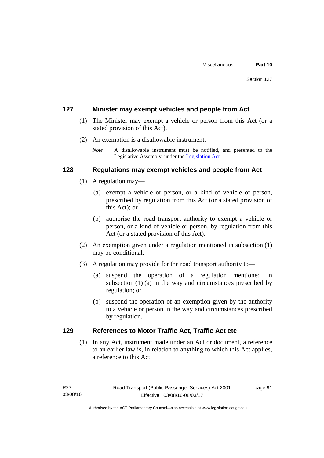#### **127 Minister may exempt vehicles and people from Act**

- (1) The Minister may exempt a vehicle or person from this Act (or a stated provision of this Act).
- (2) An exemption is a disallowable instrument.
	- *Note* A disallowable instrument must be notified, and presented to the Legislative Assembly, under the [Legislation Act.](http://www.legislation.act.gov.au/a/2001-14)

#### **128 Regulations may exempt vehicles and people from Act**

- (1) A regulation may—
	- (a) exempt a vehicle or person, or a kind of vehicle or person, prescribed by regulation from this Act (or a stated provision of this Act); or
	- (b) authorise the road transport authority to exempt a vehicle or person, or a kind of vehicle or person, by regulation from this Act (or a stated provision of this Act).
- (2) An exemption given under a regulation mentioned in subsection (1) may be conditional.
- (3) A regulation may provide for the road transport authority to—
	- (a) suspend the operation of a regulation mentioned in subsection (1) (a) in the way and circumstances prescribed by regulation; or
	- (b) suspend the operation of an exemption given by the authority to a vehicle or person in the way and circumstances prescribed by regulation.

### **129 References to Motor Traffic Act, Traffic Act etc**

(1) In any Act, instrument made under an Act or document, a reference to an earlier law is, in relation to anything to which this Act applies, a reference to this Act.

page 91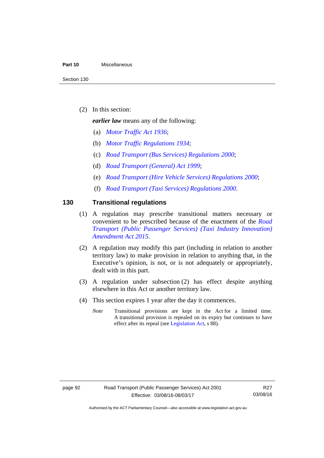#### **Part 10** Miscellaneous

(2) In this section:

*earlier law* means any of the following:

- (a) *[Motor Traffic Act 1936](http://www.legislation.act.gov.au/a/1936-45)*;
- (b) *[Motor Traffic Regulations 1934](http://www.legislation.act.gov.au/sl/1934-6)*;
- (c) *[Road Transport \(Bus Services\) Regulations 2000](http://www.legislation.act.gov.au/sl/2000-9)*;
- (d) *[Road Transport \(General\) Act 1999](http://www.legislation.act.gov.au/a/1999-77)*;
- (e) *[Road Transport \(Hire Vehicle Services\) Regulations 2000](http://www.legislation.act.gov.au/sl/2000-4)*;
- (f) *[Road Transport \(Taxi Services\) Regulations 2000](http://www.legislation.act.gov.au/sl/2000-5)*.

#### **130 Transitional regulations**

- (1) A regulation may prescribe transitional matters necessary or convenient to be prescribed because of the enactment of the *[Road](http://www.legislation.act.gov.au/a/2015-47/default.asp)  [Transport \(Public Passenger Services\) \(Taxi Industry Innovation\)](http://www.legislation.act.gov.au/a/2015-47/default.asp)  [Amendment Act 2015](http://www.legislation.act.gov.au/a/2015-47/default.asp)*.
- (2) A regulation may modify this part (including in relation to another territory law) to make provision in relation to anything that, in the Executive's opinion, is not, or is not adequately or appropriately, dealt with in this part.
- (3) A regulation under subsection (2) has effect despite anything elsewhere in this Act or another territory law.
- (4) This section expires 1 year after the day it commences.
	- *Note* Transitional provisions are kept in the Act for a limited time. A transitional provision is repealed on its expiry but continues to have effect after its repeal (see [Legislation Act,](http://www.legislation.act.gov.au/a/2001-14) s 88).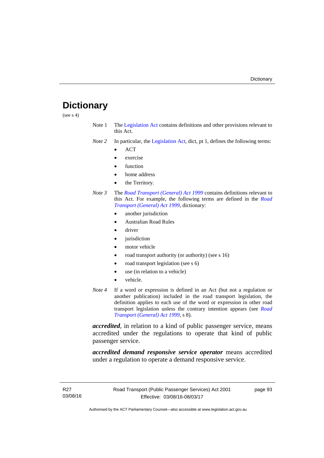# **Dictionary**

(see s 4)

- Note 1 The [Legislation Act](http://www.legislation.act.gov.au/a/2001-14) contains definitions and other provisions relevant to this Act.
- *Note 2* In particular, the [Legislation Act,](http://www.legislation.act.gov.au/a/2001-14) dict, pt 1, defines the following terms:
	- ACT
	- exercise
	- function
	- home address
	- the Territory.
- *Note 3* The *[Road Transport \(General\) Act 1999](http://www.legislation.act.gov.au/a/1999-77)* contains definitions relevant to this Act. For example, the following terms are defined in the *[Road](http://www.legislation.act.gov.au/a/1999-77)  [Transport \(General\) Act 1999](http://www.legislation.act.gov.au/a/1999-77)*, dictionary:
	- another jurisdiction
	- Australian Road Rules
	- driver
	- jurisdiction
	- motor vehicle
	- road transport authority (or authority) (see s 16)
	- road transport legislation (see s 6)
	- use (in relation to a vehicle)
	- vehicle.
- *Note 4* If a word or expression is defined in an Act (but not a regulation or another publication) included in the road transport legislation, the definition applies to each use of the word or expression in other road transport legislation unless the contrary intention appears (see *[Road](http://www.legislation.act.gov.au/a/1999-77)  [Transport \(General\) Act 1999](http://www.legislation.act.gov.au/a/1999-77)*, s 8).

*accredited*, in relation to a kind of public passenger service, means accredited under the regulations to operate that kind of public passenger service.

*accredited demand responsive service operator* means accredited under a regulation to operate a demand responsive service.

page 93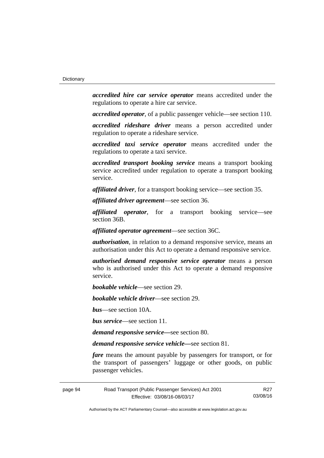*accredited hire car service operator* means accredited under the regulations to operate a hire car service.

*accredited operator*, of a public passenger vehicle—see section 110.

*accredited rideshare driver* means a person accredited under regulation to operate a rideshare service.

*accredited taxi service operator* means accredited under the regulations to operate a taxi service.

*accredited transport booking service* means a transport booking service accredited under regulation to operate a transport booking service.

*affiliated driver*, for a transport booking service—see section 35.

*affiliated driver agreement*—see section 36.

*affiliated operator*, for a transport booking service—see section 36B.

*affiliated operator agreement*—see section 36C.

*authorisation*, in relation to a demand responsive service, means an authorisation under this Act to operate a demand responsive service.

*authorised demand responsive service operator* means a person who is authorised under this Act to operate a demand responsive service.

*bookable vehicle*—see section 29.

*bookable vehicle driver*—see section 29.

*bus*—see section 10A.

*bus service*—see section 11.

*demand responsive service—*see section 80.

*demand responsive service vehicle—*see section 81.

*fare* means the amount payable by passengers for transport, or for the transport of passengers' luggage or other goods, on public passenger vehicles.

page 94 Road Transport (Public Passenger Services) Act 2001 Effective: 03/08/16-08/03/17

R27 03/08/16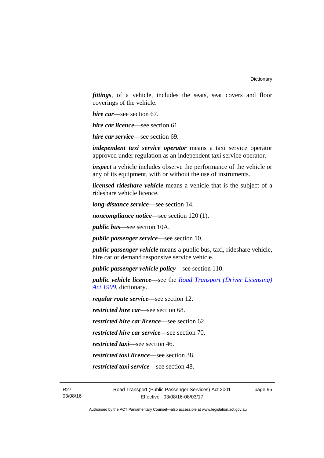*fittings*, of a vehicle, includes the seats, seat covers and floor coverings of the vehicle.

*hire car*—see section 67.

*hire car licence*—see section 61.

*hire car service*—see section 69.

*independent taxi service operator* means a taxi service operator approved under regulation as an independent taxi service operator.

*inspect* a vehicle includes observe the performance of the vehicle or any of its equipment, with or without the use of instruments.

*licensed rideshare vehicle* means a vehicle that is the subject of a rideshare vehicle licence.

*long-distance service*—see section 14.

*noncompliance notice*—see section 120 (1).

*public bus*—see section 10A.

*public passenger service*—see section 10.

*public passenger vehicle* means a public bus, taxi, rideshare vehicle, hire car or demand responsive service vehicle.

*public passenger vehicle policy*—see section 110.

*public vehicle licence*—see the *[Road Transport \(Driver Licensing\)](http://www.legislation.act.gov.au/a/1999-78)  [Act 1999](http://www.legislation.act.gov.au/a/1999-78)*, dictionary.

*regular route service*—see section 12.

*restricted hire car*—see section 68.

*restricted hire car licence*—see section 62.

*restricted hire car service*—see section 70.

*restricted taxi*—see section 46.

*restricted taxi licence*—see section 38.

*restricted taxi service*—see section 48.

page 95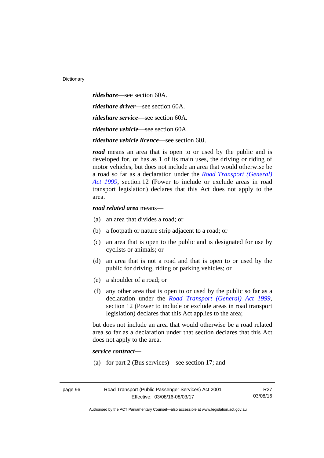*rideshare*—see section 60A. *rideshare driver*—see section 60A. *rideshare service*—see section 60A. *rideshare vehicle*—see section 60A. *rideshare vehicle licence*—see section 60J.

*road* means an area that is open to or used by the public and is developed for, or has as 1 of its main uses, the driving or riding of motor vehicles, but does not include an area that would otherwise be a road so far as a declaration under the *[Road Transport \(General\)](http://www.legislation.act.gov.au/a/1999-77)  [Act 1999](http://www.legislation.act.gov.au/a/1999-77)*, section 12 (Power to include or exclude areas in road transport legislation) declares that this Act does not apply to the area.

#### *road related area* means—

- (a) an area that divides a road; or
- (b) a footpath or nature strip adjacent to a road; or
- (c) an area that is open to the public and is designated for use by cyclists or animals; or
- (d) an area that is not a road and that is open to or used by the public for driving, riding or parking vehicles; or
- (e) a shoulder of a road; or
- (f) any other area that is open to or used by the public so far as a declaration under the *[Road Transport \(General\) Act 1999](http://www.legislation.act.gov.au/a/1999-77)*, section 12 (Power to include or exclude areas in road transport legislation) declares that this Act applies to the area;

but does not include an area that would otherwise be a road related area so far as a declaration under that section declares that this Act does not apply to the area.

#### *service contract—*

(a) for part 2 (Bus services)—see section 17; and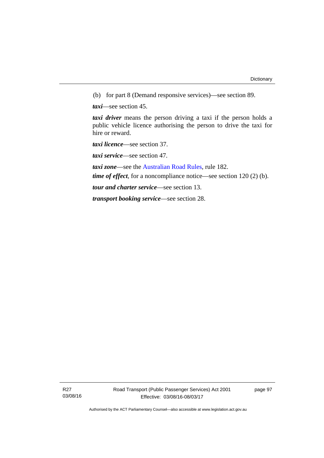(b) for part 8 (Demand responsive services)—see section 89.

*taxi*—see section 45.

*taxi driver* means the person driving a taxi if the person holds a public vehicle licence authorising the person to drive the taxi for hire or reward.

*taxi licence*—see section 37.

*taxi service*—see section 47.

*taxi zone*—see the [Australian Road Rules](http://www.legislation.act.gov.au//ni/db_37271/default.asp), rule 182.

*time of effect*, for a noncompliance notice—see section 120 (2) (b).

*tour and charter service*—see section 13.

*transport booking service*—see section 28.

R27 03/08/16 page 97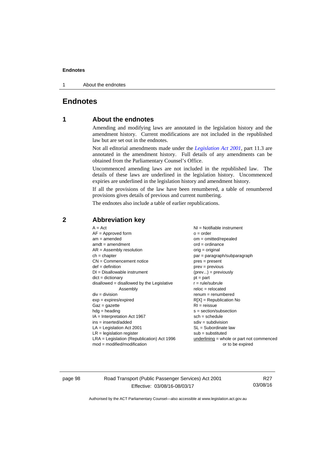#### **Endnotes**

1 About the endnotes

## **Endnotes**

### **1 About the endnotes**

Amending and modifying laws are annotated in the legislation history and the amendment history. Current modifications are not included in the republished law but are set out in the endnotes.

Not all editorial amendments made under the *[Legislation Act 2001](http://www.legislation.act.gov.au/a/2001-14/default.asp)*, part 11.3 are annotated in the amendment history. Full details of any amendments can be obtained from the Parliamentary Counsel's Office.

Uncommenced amending laws are not included in the republished law. The details of these laws are underlined in the legislation history. Uncommenced expiries are underlined in the legislation history and amendment history.

If all the provisions of the law have been renumbered, a table of renumbered provisions gives details of previous and current numbering.

The endnotes also include a table of earlier republications.

| $A = Act$                                    | NI = Notifiable instrument                  |
|----------------------------------------------|---------------------------------------------|
| $AF =$ Approved form                         | $o = order$                                 |
| $am = amended$                               | $om = omitted/repealed$                     |
| $amdt = amendment$                           | $ord = ordinance$                           |
| $AR = Assembly resolution$                   | $orig = original$                           |
| $ch = chapter$                               | $par = paragraph/subparagraph$              |
| $CN =$ Commencement notice                   | $pres = present$                            |
| $def = definition$                           | $prev = previous$                           |
| $DI = Disallowable instrument$               | $(\text{prev}) = \text{previously}$         |
| $dict = dictionary$                          | $pt = part$                                 |
| disallowed = disallowed by the Legislative   | $r = rule/subrule$                          |
| Assembly                                     | $reloc = relocated$                         |
| $div = division$                             | $remum = renumbered$                        |
| $exp = expires/expired$                      | $R[X]$ = Republication No                   |
| $Gaz = gazette$                              | $RI = reissue$                              |
| $hdg =$ heading                              | $s = section/subsection$                    |
| $IA = Interpretation Act 1967$               | $sch = schedule$                            |
| $ins = inserted/added$                       | $sdiv = subdivision$                        |
| $LA =$ Legislation Act 2001                  | $SL = Subordinate$ law                      |
| $LR =$ legislation register                  | $sub =$ substituted                         |
| $LRA =$ Legislation (Republication) Act 1996 | $underlining = whole or part not commenced$ |
| $mod = modified/modification$                | or to be expired                            |

#### **2 Abbreviation key**

page 98 Road Transport (Public Passenger Services) Act 2001 Effective: 03/08/16-08/03/17

R27 03/08/16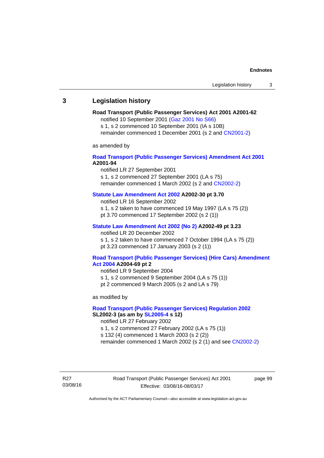# **3 Legislation history**

# **Road Transport (Public Passenger Services) Act 2001 A2001-62**

notified 10 September 2001 [\(Gaz 2001 No S66\)](http://www.legislation.act.gov.au/gaz/2001-S66/default.asp)

s 1, s 2 commenced 10 September 2001 (IA s 10B) remainder commenced 1 December 2001 (s 2 and [CN2001-2\)](http://www.legislation.act.gov.au/cn/2001-2/default.asp)

as amended by

## **[Road Transport \(Public Passenger Services\) Amendment Act 2001](http://www.legislation.act.gov.au/a/2001-94) A2001-94**

notified LR 27 September 2001

s 1, s 2 commenced 27 September 2001 (LA s 75) remainder commenced 1 March 2002 (s 2 and [CN2002-2\)](http://www.legislation.act.gov.au/cn/2002-2/default.asp)

# **[Statute Law Amendment Act 2002](http://www.legislation.act.gov.au/a/2002-30) A2002-30 pt 3.70**

notified LR 16 September 2002

- s 1, s 2 taken to have commenced 19 May 1997 (LA s 75 (2))
- pt 3.70 commenced 17 September 2002 (s 2 (1))

### **[Statute Law Amendment Act 2002 \(No 2\)](http://www.legislation.act.gov.au/a/2002-49) A2002-49 pt 3.23**

notified LR 20 December 2002 s 1, s 2 taken to have commenced 7 October 1994 (LA s 75 (2)) pt 3.23 commenced 17 January 2003 (s 2 (1))

#### **[Road Transport \(Public Passenger Services\) \(Hire Cars\) Amendment](http://www.legislation.act.gov.au/a/2004-69)  [Act 2004](http://www.legislation.act.gov.au/a/2004-69) A2004-69 pt 2**

notified LR 9 September 2004 s 1, s 2 commenced 9 September 2004 (LA s 75 (1)) pt 2 commenced 9 March 2005 (s 2 and LA s 79)

as modified by

## **[Road Transport \(Public Passenger Services\) Regulation 2002](http://www.legislation.act.gov.au/sl/2002-3) SL2002-3 (as am by [SL2005-4](http://www.legislation.act.gov.au/sl/2005-4) s 12)**

notified LR 27 February 2002

s 1, s 2 commenced 27 February 2002 (LA s 75 (1))

s 132 (4) commenced 1 March 2003 (s 2 (2))

remainder commenced 1 March 2002 (s 2 (1) and see [CN2002-2](http://www.legislation.act.gov.au/cn/2002-2/default.asp))

R27 03/08/16 Road Transport (Public Passenger Services) Act 2001 Effective: 03/08/16-08/03/17

page 99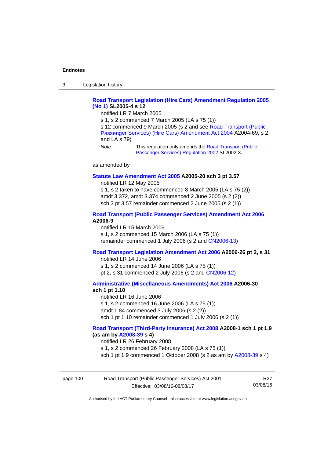3 Legislation history

# **[Road Transport Legislation \(Hire Cars\) Amendment Regulation 2005](http://www.legislation.act.gov.au/sl/2005-4)  [\(No 1\)](http://www.legislation.act.gov.au/sl/2005-4) SL2005-4 s 12**

notified LR 7 March 2005

s 1, s 2 commenced 7 March 2005 (LA s 75 (1))

s 12 commenced 9 March 2005 (s 2 and see [Road Transport \(Public](http://www.legislation.act.gov.au/a/2004-69)  [Passenger Services\) \(Hire Cars\) Amendment Act 2004](http://www.legislation.act.gov.au/a/2004-69) A2004-69, s 2 and LA s 79)

*Note* This regulation only amends the [Road Transport \(Public](http://www.legislation.act.gov.au/sl/2002-3)  [Passenger Services\) Regulation 2002](http://www.legislation.act.gov.au/sl/2002-3) SL2002-3.

as amended by

#### **[Statute Law Amendment Act 2005](http://www.legislation.act.gov.au/a/2005-20) A2005-20 sch 3 pt 3.57**

notified LR 12 May 2005

s 1, s 2 taken to have commenced 8 March 2005 (LA s 75 (2)) amdt 3.372, amdt 3.374 commenced 2 June 2005 (s 2 (2)) sch 3 pt 3.57 remainder commenced 2 June 2005 (s 2 (1))

### **[Road Transport \(Public Passenger Services\) Amendment Act 2006](http://www.legislation.act.gov.au/a/2006-9) A2006-9**

notified LR 15 March 2006 s 1, s 2 commenced 15 March 2006 (LA s 75 (1)) remainder commenced 1 July 2006 (s 2 and [CN2006-13](http://www.legislation.act.gov.au/cn/2006-13/default.asp))

### **[Road Transport Legislation Amendment Act 2006](http://www.legislation.act.gov.au/a/2006-26) A2006-26 pt 2, s 31**

notified LR 14 June 2006 s 1, s 2 commenced 14 June 2006 (LA s 75 (1)) pt 2, s 31 commenced 2 July 2006 (s 2 and [CN2006-12](http://www.legislation.act.gov.au/cn/2006-12/default.asp))

**[Administrative \(Miscellaneous Amendments\) Act 2006](http://www.legislation.act.gov.au/a/2006-30) A2006-30 sch 1 pt 1.10** 

notified LR 16 June 2006 s 1, s 2 commenced 16 June 2006 (LA s 75 (1)) amdt 1.84 commenced 3 July 2006 (s 2 (2)) sch 1 pt 1.10 remainder commenced 1 July 2006 (s 2 (1))

### **[Road Transport \(Third-Party Insurance\) Act 2008](http://www.legislation.act.gov.au/a/2008-1) A2008-1 sch 1 pt 1.9 (as am by [A2008-39](http://www.legislation.act.gov.au/a/2008-39) s 4)**

notified LR 26 February 2008

s 1, s 2 commenced 26 February 2008 (LA s 75 (1))

sch 1 pt 1.9 commenced 1 October 2008 (s 2 as am by [A2008-39](http://www.legislation.act.gov.au/a/2008-39) s 4)

| page 100 | Road Transport (Public Passenger Services) Act 2001 | R <sub>27</sub> |
|----------|-----------------------------------------------------|-----------------|
|          | Effective: 03/08/16-08/03/17                        | 03/08/16        |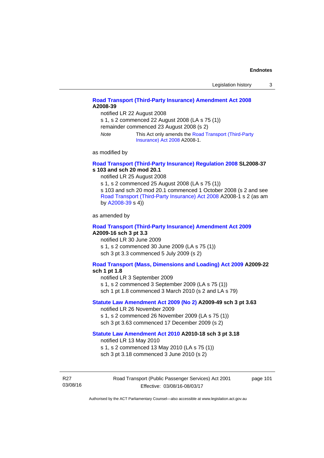# **[Road Transport \(Third-Party Insurance\) Amendment Act 2008](http://www.legislation.act.gov.au/a/2008-39) A2008-39**

notified LR 22 August 2008

s 1, s 2 commenced 22 August 2008 (LA s 75 (1))

remainder commenced 23 August 2008 (s 2)

*Note* This Act only amends the [Road Transport \(Third-Party](http://www.legislation.act.gov.au/a/2008-1)  [Insurance\) Act 2008](http://www.legislation.act.gov.au/a/2008-1) A2008-1.

as modified by

### **[Road Transport \(Third-Party Insurance\) Regulation 2008](http://www.legislation.act.gov.au/sl/2008-37) SL2008-37 s 103 and sch 20 mod 20.1**

notified LR 25 August 2008

s 1, s 2 commenced 25 August 2008 (LA s 75 (1)) s 103 and sch 20 mod 20.1 commenced 1 October 2008 (s 2 and see [Road Transport \(Third-Party Insurance\) Act 2008](http://www.legislation.act.gov.au/a/2008-1) A2008-1 s 2 (as am by [A2008-39](http://www.legislation.act.gov.au/a/2008-39) s 4))

as amended by

#### **[Road Transport \(Third-Party Insurance\) Amendment Act 2009](http://www.legislation.act.gov.au/a/2009-16) A2009-16 sch 3 pt 3.3**

notified LR 30 June 2009 s 1, s 2 commenced 30 June 2009 (LA s 75 (1)) sch 3 pt 3.3 commenced 5 July 2009 (s 2)

## **[Road Transport \(Mass, Dimensions and Loading\) Act 2009](http://www.legislation.act.gov.au/a/2009-22/default.asp) A2009-22**

### **sch 1 pt 1.8**

notified LR 3 September 2009

s 1, s 2 commenced 3 September 2009 (LA s 75 (1))

sch 1 pt 1.8 commenced 3 March 2010 (s 2 and LA s 79)

# **[Statute Law Amendment Act 2009 \(No 2\)](http://www.legislation.act.gov.au/a/2009-49) A2009-49 sch 3 pt 3.63**

notified LR 26 November 2009 s 1, s 2 commenced 26 November 2009 (LA s 75 (1)) sch 3 pt 3.63 commenced 17 December 2009 (s 2)

#### **[Statute Law Amendment Act 2010](http://www.legislation.act.gov.au/a/2010-18) A2010-18 sch 3 pt 3.18**

notified LR 13 May 2010

s 1, s 2 commenced 13 May 2010 (LA s 75 (1))

sch 3 pt 3.18 commenced 3 June 2010 (s 2)

R27 03/08/16 Road Transport (Public Passenger Services) Act 2001 Effective: 03/08/16-08/03/17

page 101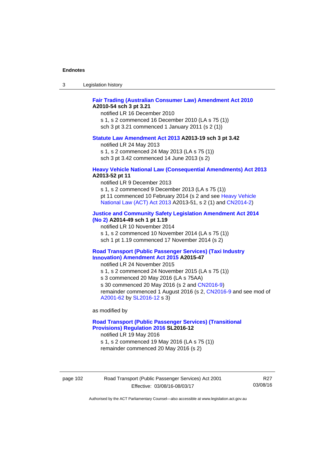| -3 | Legislation history |  |
|----|---------------------|--|
|----|---------------------|--|

# **[Fair Trading \(Australian Consumer Law\) Amendment Act 2010](http://www.legislation.act.gov.au/a/2010-54) A2010-54 sch 3 pt 3.21**

notified LR 16 December 2010 s 1, s 2 commenced 16 December 2010 (LA s 75 (1)) sch 3 pt 3.21 commenced 1 January 2011 (s 2 (1))

#### **[Statute Law Amendment Act 2013](http://www.legislation.act.gov.au/a/2013-19) A2013-19 sch 3 pt 3.42**

notified LR 24 May 2013

s 1, s 2 commenced 24 May 2013 (LA s 75 (1))

sch 3 pt 3.42 commenced 14 June 2013 (s 2)

#### **[Heavy Vehicle National Law \(Consequential Amendments\) Act 2013](http://www.legislation.act.gov.au/a/2013-52) A2013-52 pt 11**

notified LR 9 December 2013

s 1, s 2 commenced 9 December 2013 (LA s 75 (1)) pt 11 commenced 10 February 2014 (s 2 and see [Heavy Vehicle](http://www.legislation.act.gov.au/a/2013-51/default.asp)  [National Law \(ACT\) Act 2013](http://www.legislation.act.gov.au/a/2013-51/default.asp) A2013-51, s 2 (1) and [CN2014-2](http://www.legislation.act.gov.au/cn/2014-2/default.asp))

# **[Justice and Community Safety Legislation Amendment Act 2014](http://www.legislation.act.gov.au/a/2014-49)**

**[\(No 2\)](http://www.legislation.act.gov.au/a/2014-49) A2014-49 sch 1 pt 1.19** 

notified LR 10 November 2014

s 1, s 2 commenced 10 November 2014 (LA s 75 (1))

sch 1 pt 1.19 commenced 17 November 2014 (s 2)

#### **[Road Transport \(Public Passenger Services\) \(Taxi Industry](http://www.legislation.act.gov.au/a/2015-47/default.asp)  [Innovation\) Amendment Act 2015](http://www.legislation.act.gov.au/a/2015-47/default.asp) A2015-47**

notified LR 24 November 2015

s 1, s 2 commenced 24 November 2015 (LA s 75 (1))

s 3 commenced 20 May 2016 (LA s 75AA)

s 30 commenced 20 May 2016 (s 2 and [CN2016-9](http://www.legislation.act.gov.au/cn/2016-9/default.asp))

remainder commenced 1 August 2016 (s 2, [CN2016-9](http://www.legislation.act.gov.au/cn/2016-9/default.asp) and see mod of [A2001-62](http://www.legislation.act.gov.au/a/2001-62/default.asp) by [SL2016-12](http://www.legislation.act.gov.au/sl/2016-12/default.asp) s 3)

as modified by

## **[Road Transport \(Public Passenger Services\) \(Transitional](http://www.legislation.act.gov.au/sl/2016-12/default.asp)  [Provisions\) Regulation 2016](http://www.legislation.act.gov.au/sl/2016-12/default.asp) SL2016-12**

notified LR 19 May 2016

s 1, s 2 commenced 19 May 2016 (LA s 75 (1)) remainder commenced 20 May 2016 (s 2)

page 102 Road Transport (Public Passenger Services) Act 2001 Effective: 03/08/16-08/03/17

R27 03/08/16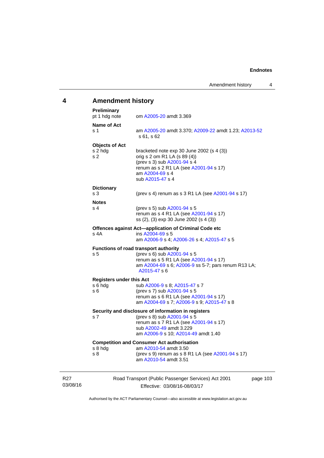# **4 Amendment history**

| <b>Preliminary</b><br>pt 1 hdg note                | om A2005-20 amdt 3.369                                                                                                                                                                    |
|----------------------------------------------------|-------------------------------------------------------------------------------------------------------------------------------------------------------------------------------------------|
| Name of Act<br>s 1                                 | am A2005-20 amdt 3.370; A2009-22 amdt 1.23; A2013-52<br>s 61, s 62                                                                                                                        |
| <b>Objects of Act</b><br>s 2 hdg<br>s <sub>2</sub> | bracketed note exp 30 June 2002 (s 4 (3))<br>orig s 2 om R1 LA (s 89 (4))<br>(prev s 3) sub A2001-94 s 4<br>renum as s 2 R1 LA (see A2001-94 s 17)<br>am A2004-69 s 4<br>sub A2015-47 s 4 |
| <b>Dictionary</b><br>s <sub>3</sub>                | (prev s 4) renum as s 3 R1 LA (see A2001-94 s 17)                                                                                                                                         |
| <b>Notes</b><br>s 4                                | (prev s 5) sub A2001-94 s 5<br>renum as s 4 R1 LA (see A2001-94 s 17)<br>ss (2), (3) exp 30 June 2002 (s 4 (3))                                                                           |
| s 4A                                               | Offences against Act-application of Criminal Code etc<br>ins A2004-69 s 5<br>am A2006-9 s 4; A2006-26 s 4; A2015-47 s 5                                                                   |
| s <sub>5</sub>                                     | Functions of road transport authority<br>(prev s 6) sub A2001-94 s 5<br>renum as s 5 R1 LA (see A2001-94 s 17)<br>am A2004-69 s 6; A2006-9 ss 5-7; pars renum R13 LA;<br>A2015-47 s 6     |
| <b>Registers under this Act</b>                    |                                                                                                                                                                                           |
| s 6 hdg<br>s 6                                     | sub A2006-9 s 8; A2015-47 s 7<br>(prev s 7) sub A2001-94 s 5<br>renum as s 6 R1 LA (see A2001-94 s 17)<br>am A2004-69 s 7; A2006-9 s 9; A2015-47 s 8                                      |
| s 7                                                | Security and disclosure of information in registers<br>(prev s 8) sub A2001-94 s 5<br>renum as s 7 R1 LA (see A2001-94 s 17)                                                              |
|                                                    | sub A2002-49 amdt 3.229<br>am A2006-9 s 10; A2014-49 amdt 1.40                                                                                                                            |

R27 03/08/16

Effective: 03/08/16-08/03/17

03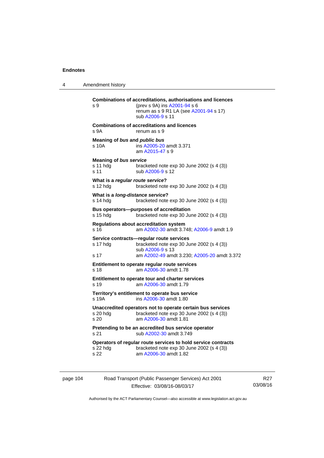4 Amendment history

```
Combinations of accreditations, authorisations and licences 
s 9 (prev s 9A) ins A2001-94 s 6 
                renum as s 9 R1 LA (see A2001-94 s 17)
                 sub A2006-9 s 11 
Combinations of accreditations and licences 
s 9A renum as s 9
Meaning of bus and public bus
s 10A ins A2005-20 amdt 3.371 
                 am A2015-47 s 9 
Meaning of bus service
s 11 hdg bracketed note exp 30 June 2002 (s 4 (3))
A2006-9 s 12
What is a regular route service? 
s 12 hdg bracketed note exp 30 June 2002 (s 4 (3))
What is a long-distance service? 
s 14 hdg bracketed note exp 30 June 2002 (s 4 (3))
Bus operators—purposes of accreditation 
s 15 hdg bracketed note exp 30 June 2002 (s 4 (3)) 
Regulations about accreditation system 
s 16 am A2002-30 amdt 3.748; A2006-9 amdt 1.9
Service contracts—regular route services 
s 17 hdg bracketed note exp 30 June 2002 (s 4 (3)) 
                 sub A2006-9 s 13 
s 17 am A2002-49 amdt 3.230; A2005-20 amdt 3.372 
Entitlement to operate regular route services 
s 18 am A2006-30 amdt 1.78
Entitlement to operate tour and charter services 
s 19 am A2006-30 amdt 1.79
Territory's entitlement to operate bus service 
s 19A ins A2006-30 amdt 1.80 
Unaccredited operators not to operate certain bus services 
s 20 hdg bracketed note \exp 30 June 2002 (s 4 (3))<br>s 20 \sin A2006-30 amdt 1.81
                 A2006-30 amdt 1.81
Pretending to be an accredited bus service operator 
A2002-30 amdt 3.749
Operators of regular route services to hold service contracts 
s 22 hdg bracketed note exp 30 June 2002 (s 4 (3))
s 22 am A2006-30 amdt 1.82
```
page 104 Road Transport (Public Passenger Services) Act 2001 Effective: 03/08/16-08/03/17

R27 03/08/16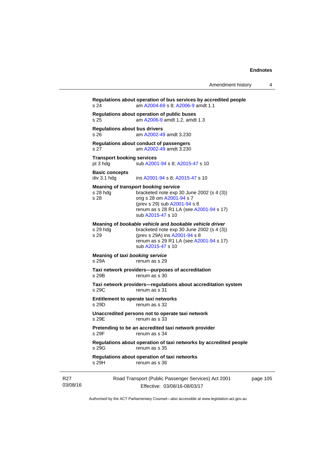|                             | s 24                                                                                                                                                                                                                        | Regulations about operation of bus services by accredited people<br>am A2004-69 s 8; A2006-9 amdt 1.1                                                                                                            |          |  |  |
|-----------------------------|-----------------------------------------------------------------------------------------------------------------------------------------------------------------------------------------------------------------------------|------------------------------------------------------------------------------------------------------------------------------------------------------------------------------------------------------------------|----------|--|--|
|                             | s 25                                                                                                                                                                                                                        | Regulations about operation of public buses<br>am A2006-9 amdt 1.2, amdt 1.3                                                                                                                                     |          |  |  |
|                             | <b>Regulations about bus drivers</b><br>s 26                                                                                                                                                                                | am A2002-49 amdt 3.230                                                                                                                                                                                           |          |  |  |
|                             | s 27                                                                                                                                                                                                                        | Regulations about conduct of passengers<br>am A2002-49 amdt 3.230                                                                                                                                                |          |  |  |
|                             | <b>Transport booking services</b><br>pt 3 hdg                                                                                                                                                                               | sub A2001-94 s 8; A2015-47 s 10                                                                                                                                                                                  |          |  |  |
|                             | <b>Basic concepts</b><br>div 3.1 hdg                                                                                                                                                                                        | ins A2001-94 s 8; A2015-47 s 10                                                                                                                                                                                  |          |  |  |
|                             | s 28 hdg<br>s 28                                                                                                                                                                                                            | Meaning of transport booking service<br>bracketed note $exp 30$ June 2002 (s 4 (3))<br>orig s 28 om A2001-94 s 7<br>(prev s 29) sub A2001-94 s 8<br>renum as s 28 R1 LA (see A2001-94 s 17)<br>sub A2015-47 s 10 |          |  |  |
|                             | Meaning of bookable vehicle and bookable vehicle driver<br>s 29 hda<br>bracketed note $exp 30$ June 2002 (s 4 (3))<br>(prev s 29A) ins A2001-94 s 8<br>s 29<br>renum as s 29 R1 LA (see A2001-94 s 17)<br>sub A2015-47 s 10 |                                                                                                                                                                                                                  |          |  |  |
|                             | Meaning of taxi booking service<br>s 29A                                                                                                                                                                                    | renum as s 29                                                                                                                                                                                                    |          |  |  |
|                             | s 29B                                                                                                                                                                                                                       | Taxi network providers--purposes of accreditation<br>renum as s 30                                                                                                                                               |          |  |  |
|                             | s 29C                                                                                                                                                                                                                       | Taxi network providers-regulations about accreditation system<br>renum as s 31                                                                                                                                   |          |  |  |
|                             | s 29D                                                                                                                                                                                                                       | Entitlement to operate taxi networks<br>renum as s 32                                                                                                                                                            |          |  |  |
|                             | s 29E                                                                                                                                                                                                                       | Unaccredited persons not to operate taxi network<br>renum as s 33                                                                                                                                                |          |  |  |
|                             | Pretending to be an accredited taxi network provider<br>s 29F<br>renum as s 34                                                                                                                                              |                                                                                                                                                                                                                  |          |  |  |
|                             | s 29G                                                                                                                                                                                                                       | Regulations about operation of taxi networks by accredited people<br>renum as s 35                                                                                                                               |          |  |  |
|                             | s 29H                                                                                                                                                                                                                       | Regulations about operation of taxi networks<br>renum as s 36                                                                                                                                                    |          |  |  |
| R <sub>27</sub><br>03/08/16 |                                                                                                                                                                                                                             | Road Transport (Public Passenger Services) Act 2001<br>Effective: 03/08/16-08/03/17                                                                                                                              | page 105 |  |  |

Authorised by the ACT Parliamentary Counsel—also accessible at www.legislation.act.gov.au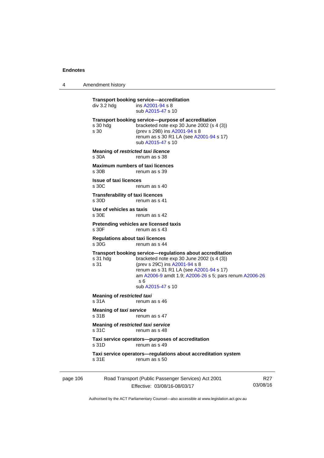4 Amendment history

|                                             | div 3.2 hdg                                        | <b>Transport booking service-accreditation</b><br>ins A2001-94 s 8<br>sub A2015-47 s 10                                                                                                                                                                                  |                 |
|---------------------------------------------|----------------------------------------------------|--------------------------------------------------------------------------------------------------------------------------------------------------------------------------------------------------------------------------------------------------------------------------|-----------------|
|                                             | s 30 hda<br>s 30                                   | Transport booking service-purpose of accreditation<br>bracketed note exp 30 June 2002 (s 4 (3))<br>(prev s 29B) ins A2001-94 s 8<br>renum as s 30 R1 LA (see A2001-94 s 17)<br>sub A2015-47 s 10                                                                         |                 |
|                                             | <b>Meaning of restricted taxi licence</b><br>s 30A | renum as s 38                                                                                                                                                                                                                                                            |                 |
|                                             | <b>Maximum numbers of taxi licences</b><br>s 30B   | renum as s 39                                                                                                                                                                                                                                                            |                 |
|                                             | <b>Issue of taxi licences</b><br>s 30C             | renum as s 40                                                                                                                                                                                                                                                            |                 |
|                                             | <b>Transferability of taxi licences</b><br>s 30D   | renum as s 41                                                                                                                                                                                                                                                            |                 |
|                                             | Use of vehicles as taxis<br>s 30E                  | renum as s 42                                                                                                                                                                                                                                                            |                 |
|                                             | s 30F                                              | Pretending vehicles are licensed taxis<br>renum as s 43                                                                                                                                                                                                                  |                 |
|                                             | <b>Regulations about taxi licences</b><br>s 30G    | renum as s 44                                                                                                                                                                                                                                                            |                 |
|                                             | s 31 hdg<br>s 31                                   | Transport booking service-regulations about accreditation<br>bracketed note exp 30 June 2002 (s 4 (3))<br>(prev s 29C) ins A2001-94 s 8<br>renum as s 31 R1 LA (see A2001-94 s 17)<br>am A2006-9 amdt 1.9; A2006-26 s 5; pars renum A2006-26<br>s 6<br>sub A2015-47 s 10 |                 |
|                                             | <b>Meaning of restricted taxi</b><br>s 31A         | renum as s 46                                                                                                                                                                                                                                                            |                 |
|                                             | <b>Meaning of taxi service</b><br>s 31B            | renum as s 47                                                                                                                                                                                                                                                            |                 |
| Meaning of restricted taxi service<br>s 31C |                                                    | renum as s 48                                                                                                                                                                                                                                                            |                 |
|                                             | s 31D                                              | Taxi service operators-purposes of accreditation<br>renum as s 49                                                                                                                                                                                                        |                 |
|                                             | s 31E                                              | Taxi service operators-regulations about accreditation system<br>renum as s 50                                                                                                                                                                                           |                 |
| page 106                                    |                                                    | Road Transport (Public Passenger Services) Act 2001                                                                                                                                                                                                                      | R <sub>27</sub> |

Effective: 03/08/16-08/03/17

03/08/16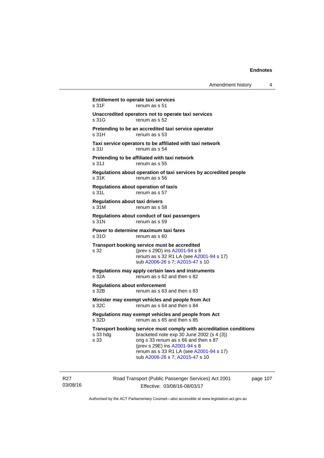| Amendment history |  |  |
|-------------------|--|--|
|-------------------|--|--|

**Entitlement to operate taxi services**  s 31F renum as s 51 **Unaccredited operators not to operate taxi services**  s 31G renum as s 52 **Pretending to be an accredited taxi service operator**  s 31H renum as s 53 **Taxi service operators to be affiliated with taxi network**  s 31I renum as s 54 **Pretending to be affiliated with taxi network**  s 31J renum as s 55 **Regulations about operation of taxi services by accredited people**  s 31K renum as s 56 **Regulations about operation of taxis**  s 31L renum as s 57 **Regulations about taxi drivers**  s 31M renum as s 58 **Regulations about conduct of taxi passengers**  s 31N renum as s 59 **Power to determine maximum taxi fares**  s 310 renum as s 60 **Transport booking service must be accredited**  s 32 (prev s 29D) ins [A2001-94](http://www.legislation.act.gov.au/a/2001-94) s 8 renum as s 32 R1 LA (see [A2001-94](http://www.legislation.act.gov.au/a/2001-94) s 17) sub [A2006-26](http://www.legislation.act.gov.au/a/2006-26) s 7; [A2015-47](http://www.legislation.act.gov.au/a/2015-47) s 10 **Regulations may apply certain laws and instruments**  renum as s 62 and then s 82 **Regulations about enforcement**  s 32B renum as s 63 and then s 83 **Minister may exempt vehicles and people from Act**  s 32C renum as s 64 and then s 84 **Regulations may exempt vehicles and people from Act**  s 32D renum as s 65 and then s 85 **Transport booking service must comply with accreditation conditions**  s 33 hdg bracketed note exp 30 June 2002 (s 4 (3)) s 33 orig s 33 renum as s 66 and then s 87 (prev s 29E) ins [A2001-94](http://www.legislation.act.gov.au/a/2001-94) s 8 renum as s 33 R1 LA (see [A2001-94](http://www.legislation.act.gov.au/a/2001-94) s 17) sub [A2006-26](http://www.legislation.act.gov.au/a/2006-26) s 7; [A2015-47](http://www.legislation.act.gov.au/a/2015-47) s 10

R27 03/08/16 Road Transport (Public Passenger Services) Act 2001 Effective: 03/08/16-08/03/17

page 107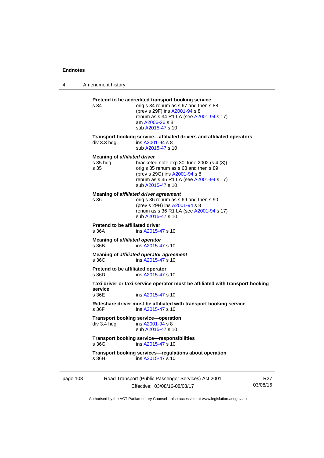4 Amendment history

|          | s 34                                                      | Pretend to be accredited transport booking service<br>orig s 34 renum as s 67 and then s 88<br>(prev s 29F) ins A2001-94 s 8<br>renum as s 34 R1 LA (see A2001-94 s 17)<br>am A2006-26 s 8<br>sub A2015-47 s 10 |                 |
|----------|-----------------------------------------------------------|-----------------------------------------------------------------------------------------------------------------------------------------------------------------------------------------------------------------|-----------------|
|          | div 3.3 hdg                                               | Transport booking service—affiliated drivers and affiliated operators<br>ins A2001-94 s 8<br>sub A2015-47 s 10                                                                                                  |                 |
|          | <b>Meaning of affiliated driver</b><br>$s$ 35 hdg<br>s 35 | bracketed note $exp 30$ June 2002 (s 4 (3))<br>orig s 35 renum as s 68 and then s 89<br>(prev s 29G) ins A2001-94 s 8<br>renum as s 35 R1 LA (see A2001-94 s 17)<br>sub A2015-47 s 10                           |                 |
|          | s 36                                                      | Meaning of affiliated driver agreement<br>orig s 36 renum as s 69 and then s 90<br>(prev s 29H) ins A2001-94 s 8<br>renum as s 36 R1 LA (see A2001-94 s 17)<br>sub A2015-47 s 10                                |                 |
|          | <b>Pretend to be affiliated driver</b><br>s 36A           | ins A2015-47 s 10                                                                                                                                                                                               |                 |
|          | Meaning of affiliated operator<br>s 36B                   | ins A2015-47 s 10                                                                                                                                                                                               |                 |
|          | s 36C                                                     | Meaning of affiliated operator agreement<br>ins A2015-47 s 10                                                                                                                                                   |                 |
|          | Pretend to be affiliated operator<br>s 36D                | ins A2015-47 s 10                                                                                                                                                                                               |                 |
|          | service<br>s 36E                                          | Taxi driver or taxi service operator must be affiliated with transport booking<br>ins A2015-47 s 10                                                                                                             |                 |
|          | s 36F                                                     | Rideshare driver must be affiliated with transport booking service<br>ins A2015-47 s 10                                                                                                                         |                 |
|          | div 3.4 hdg                                               | Transport booking service-operation<br>ins A2001-94 s 8<br>sub A2015-47 s 10                                                                                                                                    |                 |
|          | s 36G                                                     | <b>Transport booking service-responsibilities</b><br>ins A2015-47 s 10                                                                                                                                          |                 |
|          | s 36H                                                     | Transport booking services-regulations about operation<br>ins A2015-47 s 10                                                                                                                                     |                 |
| page 108 |                                                           | Road Transport (Public Passenger Services) Act 2001<br>Effective: 03/08/16-08/03/17                                                                                                                             | R27<br>03/08/16 |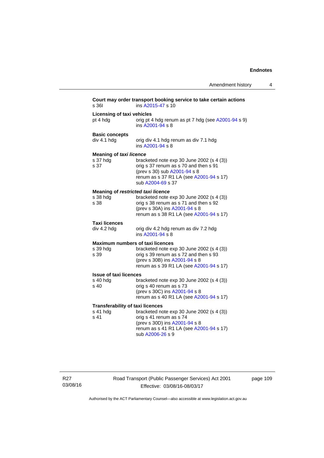| s 361                                                       | Court may order transport booking service to take certain actions<br>ins A2015-47 s 10                                                                                                                    |
|-------------------------------------------------------------|-----------------------------------------------------------------------------------------------------------------------------------------------------------------------------------------------------------|
| <b>Licensing of taxi vehicles</b><br>pt 4 hdg               | orig pt 4 hdg renum as pt 7 hdg (see A2001-94 s 9)<br>ins A2001-94 s 8                                                                                                                                    |
| <b>Basic concepts</b><br>div 4.1 hdg                        | orig div 4.1 hdg renum as div 7.1 hdg<br>ins A2001-94 s 8                                                                                                                                                 |
| <b>Meaning of taxi licence</b><br>s 37 hdg<br>s 37          | bracketed note exp 30 June 2002 (s 4 (3))<br>orig s 37 renum as s 70 and then s 91<br>(prev s 30) sub A2001-94 s 8<br>renum as s 37 R1 LA (see A2001-94 s 17)<br>sub A2004-69 s 37                        |
| Meaning of restricted taxi licence<br>s 38 hdg<br>s 38      | bracketed note exp 30 June 2002 (s 4 (3))<br>orig s 38 renum as s 71 and then s 92<br>(prev s 30A) ins A2001-94 s 8<br>renum as s 38 R1 LA (see A2001-94 s 17)                                            |
| <b>Taxi licences</b><br>div 4.2 hdg                         | orig div 4.2 hdg renum as div 7.2 hdg<br>ins A2001-94 s 8                                                                                                                                                 |
| s 39 hdg<br>s 39                                            | <b>Maximum numbers of taxi licences</b><br>bracketed note exp 30 June 2002 (s 4 (3))<br>orig s 39 renum as s 72 and then s 93<br>(prev s 30B) ins A2001-94 s 8<br>renum as s 39 R1 LA (see A2001-94 s 17) |
| <b>Issue of taxi licences</b><br>s 40 hdg<br>s 40           | bracketed note $exp 30$ June 2002 (s 4 (3))<br>orig s 40 renum as s 73<br>(prev s 30C) ins A2001-94 s 8<br>renum as s 40 R1 LA (see A2001-94 s 17)                                                        |
| <b>Transferability of taxi licences</b><br>s 41 hdg<br>s 41 | bracketed note exp 30 June 2002 (s 4 (3))<br>orig s 41 renum as s 74<br>(prev s 30D) ins A2001-94 s 8<br>renum as s 41 R1 LA (see A2001-94 s 17)<br>sub A2006-26 s 9                                      |

R27 03/08/16 Road Transport (Public Passenger Services) Act 2001 Effective: 03/08/16-08/03/17

page 109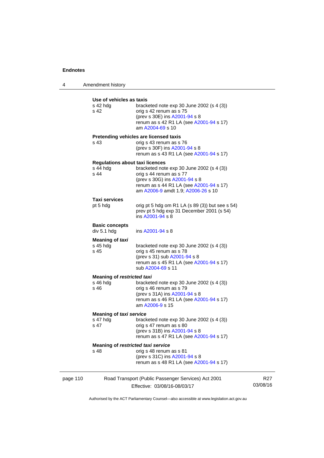4 Amendment history **Use of vehicles as taxis** 

| s 42 hdg<br>s 42                           | USE UI VEIIIUIES AS IAXIS<br>bracketed note $exp 30$ June 2002 (s 4 (3))<br>orig s 42 renum as s 75<br>(prev s 30E) ins A2001-94 s 8<br>renum as s 42 R1 LA (see A2001-94 s 17)<br>am A2004-69 s 10                                |                 |
|--------------------------------------------|------------------------------------------------------------------------------------------------------------------------------------------------------------------------------------------------------------------------------------|-----------------|
| s 43                                       | Pretending vehicles are licensed taxis<br>orig s 43 renum as s 76<br>(prev s 30F) ins A2001-94 s 8<br>renum as s 43 R1 LA (see A2001-94 s 17)                                                                                      |                 |
| $s$ 44 hdg<br>s 44                         | <b>Regulations about taxi licences</b><br>bracketed note $exp 30$ June 2002 (s 4 (3))<br>orig s 44 renum as s 77<br>(prev s 30G) ins A2001-94 s 8<br>renum as s 44 R1 LA (see A2001-94 s 17)<br>am A2006-9 amdt 1.9; A2006-26 s 10 |                 |
| <b>Taxi services</b><br>pt 5 hdg           | orig pt 5 hdg om R1 LA $(s 89 (3))$ but see s 54)<br>prev pt 5 hdg exp 31 December 2001 (s 54)<br>ins A2001-94 s 8                                                                                                                 |                 |
| <b>Basic concepts</b><br>div 5.1 hdg       | ins A2001-94 s 8                                                                                                                                                                                                                   |                 |
| <b>Meaning of taxi</b><br>s 45 hdg<br>s 45 | bracketed note $exp 30$ June 2002 (s 4 (3))<br>orig s 45 renum as s 78<br>(prev s 31) sub A2001-94 s 8<br>renum as s 45 R1 LA (see A2001-94 s 17)<br>sub A2004-69 s 11                                                             |                 |
| $s$ 46 hdg<br>s 46                         | <b>Meaning of restricted taxi</b><br>bracketed note $exp 30$ June 2002 (s 4 (3))<br>orig s 46 renum as s 79<br>(prev s 31A) ins A2001-94 s 8<br>renum as s 46 R1 LA (see A2001-94 s 17)<br>am A2006-9 s 15                         |                 |
| s 47 hdg<br>s 47                           | <b>Meaning of taxi service</b><br>bracketed note $exp 30$ June 2002 (s 4 (3))<br>orig s 47 renum as s 80<br>(prev s 31B) ins A2001-94 s 8<br>renum as s 47 R1 LA (see A2001-94 s 17)                                               |                 |
| s 48                                       | Meaning of restricted taxi service<br>orig s 48 renum as s 81<br>(prev s 31C) ins A2001-94 s 8<br>renum as s 48 R1 LA (see A2001-94 s 17)                                                                                          |                 |
| page 110                                   | Road Transport (Public Passenger Services) Act 2001<br>Effective: 03/08/16-08/03/17                                                                                                                                                | R27<br>03/08/16 |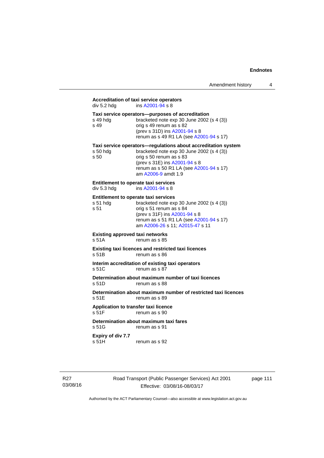# **Accreditation of taxi service operators**

| div 5.2 hdg                                         | Accreditation of taxi service operators<br>ins A2001-94 s 8                                                                                                                                           |
|-----------------------------------------------------|-------------------------------------------------------------------------------------------------------------------------------------------------------------------------------------------------------|
| s 49 hdg<br>s 49                                    | Taxi service operators--purposes of accreditation<br>bracketed note exp 30 June 2002 (s 4 (3))<br>orig s 49 renum as s 82<br>(prev s 31D) ins A2001-94 s 8<br>renum as s 49 R1 LA (see A2001-94 s 17) |
| s 50 hdg                                            | Taxi service operators—regulations about accreditation system<br>bracketed note exp 30 June 2002 (s 4 (3))                                                                                            |
| s 50                                                | orig s 50 renum as s 83<br>(prev s 31E) ins A2001-94 s 8<br>renum as s 50 R1 LA (see A2001-94 s 17)<br>am A2006-9 amdt 1.9                                                                            |
| Entitlement to operate taxi services<br>div 5.3 hdg | ins A2001-94 s 8                                                                                                                                                                                      |
| Entitlement to operate taxi services                |                                                                                                                                                                                                       |
| s 51 hdg<br>s 51                                    | bracketed note exp 30 June 2002 (s 4 (3))<br>orig s 51 renum as s 84                                                                                                                                  |
|                                                     | (prev s 31F) ins A2001-94 s 8<br>renum as s 51 R1 LA (see A2001-94 s 17)<br>am A2006-26 s 11; A2015-47 s 11                                                                                           |
| <b>Existing approved taxi networks</b><br>s 51A     | renum as s 85                                                                                                                                                                                         |
| s 51B                                               | Existing taxi licences and restricted taxi licences<br>renum as s 86                                                                                                                                  |
| s 51C                                               | Interim accreditation of existing taxi operators<br>renum as s 87                                                                                                                                     |
| s 51D                                               | Determination about maximum number of taxi licences<br>renum as s 88                                                                                                                                  |
| s 51E                                               | Determination about maximum number of restricted taxi licences<br>renum as s 89                                                                                                                       |
| Application to transfer taxi licence<br>s 51F       | renum as s 90                                                                                                                                                                                         |
| s 51G                                               | Determination about maximum taxi fares<br>renum as s 91                                                                                                                                               |
| Expiry of div 7.7                                   |                                                                                                                                                                                                       |

s 51H renum as s 92

R27 03/08/16 Road Transport (Public Passenger Services) Act 2001 Effective: 03/08/16-08/03/17

page 111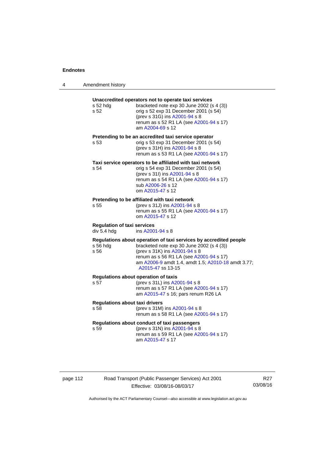$\overline{\phantom{0}}$ 

| 4 | Amendment history |  |
|---|-------------------|--|
|---|-------------------|--|

| s 52 hdg<br>s 52                                  | Unaccredited operators not to operate taxi services<br>bracketed note exp 30 June 2002 (s 4 (3))<br>orig s 52 exp 31 December 2001 (s 54)<br>(prev s 31G) ins A2001-94 s 8<br>renum as s 52 R1 LA (see A2001-94 s 17)<br>am A2004-69 s 12                             |
|---------------------------------------------------|-----------------------------------------------------------------------------------------------------------------------------------------------------------------------------------------------------------------------------------------------------------------------|
| s 53                                              | Pretending to be an accredited taxi service operator<br>orig s 53 exp 31 December 2001 (s 54)<br>(prev s 31H) ins A2001-94 s 8<br>renum as s 53 R1 LA (see A2001-94 s 17)                                                                                             |
| s 54                                              | Taxi service operators to be affiliated with taxi network<br>orig s 54 exp 31 December 2001 (s 54)<br>(prev s 31l) ins A2001-94 s 8<br>renum as s 54 R1 LA (see A2001-94 s 17)<br>sub A2006-26 s 12<br>om A2015-47 s 12                                               |
| s 55                                              | Pretending to be affiliated with taxi network<br>(prev s 31J) ins A2001-94 s 8<br>renum as s 55 R1 LA (see A2001-94 s 17)<br>om A2015-47 s 12                                                                                                                         |
| <b>Regulation of taxi services</b><br>div 5.4 hdg | ins A2001-94 s 8                                                                                                                                                                                                                                                      |
| s 56 hdg<br>s 56                                  | Regulations about operation of taxi services by accredited people<br>bracketed note exp 30 June 2002 (s 4 (3))<br>(prev s 31K) ins A2001-94 s 8<br>renum as s 56 R1 LA (see A2001-94 s 17)<br>am A2006-9 amdt 1.4, amdt 1.5; A2010-18 amdt 3.77;<br>A2015-47 ss 13-15 |
| s 57                                              | <b>Regulations about operation of taxis</b><br>(prev s 31L) ins A2001-94 s 8<br>renum as s 57 R1 LA (see A2001-94 s 17)<br>am A2015-47 s 16; pars renum R26 LA                                                                                                        |
| <b>Regulations about taxi drivers</b><br>s 58     | (prev s 31M) ins A2001-94 s 8<br>renum as s 58 R1 LA (see A2001-94 s 17)                                                                                                                                                                                              |
| s 59                                              | Regulations about conduct of taxi passengers<br>(prev s 31N) ins A2001-94 s 8<br>renum as s 59 R1 LA (see A2001-94 s 17)<br>am A2015-47 s 17                                                                                                                          |

page 112 Road Transport (Public Passenger Services) Act 2001 Effective: 03/08/16-08/03/17

R27 03/08/16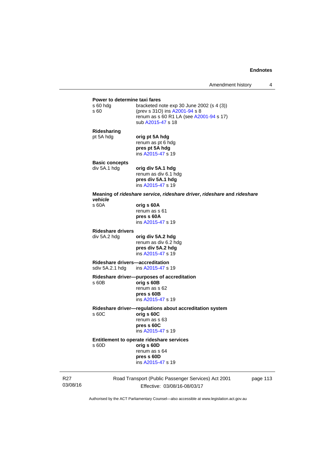# **Power to determine taxi fares**<br>s 60 hdg bracketed n bracketed note exp 30 June 2002 (s  $4$  (3)) s 60 (prev s 31O) ins [A2001-94](http://www.legislation.act.gov.au/a/2001-94) s 8 renum as s 60 R1 LA (see [A2001-94](http://www.legislation.act.gov.au/a/2001-94) s 17) sub [A2015-47](http://www.legislation.act.gov.au/a/2015-47) s 18 **Ridesharing**  pt 5A hdg **orig pt 5A hdg** renum as pt 6 hdg **pres pt 5A hdg**  ins [A2015-47](http://www.legislation.act.gov.au/a/2015-47) s 19 **Basic concepts**  div 5A.1 hdg **orig div 5A.1 hdg**  renum as div 6.1 hdg **pres div 5A.1 hdg**  ins [A2015-47](http://www.legislation.act.gov.au/a/2015-47) s 19 **Meaning of** *rideshare service***,** *rideshare driver***,** *rideshare* **and** *rideshare vehicle*  s 60A **orig s 60A**  renum as s 61 **pres s 60A**  ins [A2015-47](http://www.legislation.act.gov.au/a/2015-47) s 19 **Rideshare drivers**  div 5A.2 hdg **orig div 5A.2 hdg**  renum as div 6.2 hdg **pres div 5A.2 hdg**  ins [A2015-47](http://www.legislation.act.gov.au/a/2015-47) s 19 **Rideshare drivers—accreditation**  sdiv 5A.2.1 hdg ins [A2015-47](http://www.legislation.act.gov.au/a/2015-47) s 19 **Rideshare driver—purposes of accreditation** s 60B **orig s 60B**  renum as s 62 **pres s 60B**  ins [A2015-47](http://www.legislation.act.gov.au/a/2015-47) s 19 **Rideshare driver—regulations about accreditation system**  s 60C **orig s 60C**  renum as s 63 **pres s 60C**  ins [A2015-47](http://www.legislation.act.gov.au/a/2015-47) s 19 **Entitlement to operate rideshare services**  s 60D **orig s 60D**  renum as s 64 **pres s 60D**  ins [A2015-47](http://www.legislation.act.gov.au/a/2015-47) s 19

R27 03/08/16 Road Transport (Public Passenger Services) Act 2001 Effective: 03/08/16-08/03/17

page 113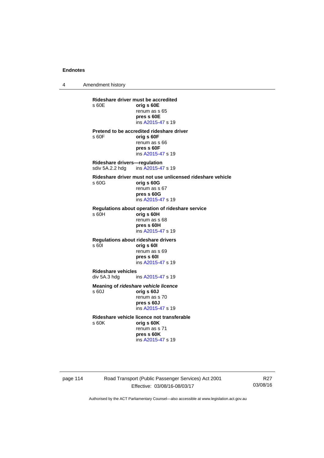4 Amendment history

**Rideshare driver must be accredited**  s 60E **orig s 60E**  renum as s 65 **pres s 60E**  ins [A2015-47](http://www.legislation.act.gov.au/a/2015-47) s 19 **Pretend to be accredited rideshare driver**  s 60F **orig s 60F**  renum as s 66 **pres s 60F**  ins [A2015-47](http://www.legislation.act.gov.au/a/2015-47) s 19 **Rideshare drivers—regulation**  sdiv 5A.2.2 hdg ins [A2015-47](http://www.legislation.act.gov.au/a/2015-47) s 19 **Rideshare driver must not use unlicensed rideshare vehicle** s 60G **orig s 60G**  renum as s 67 **pres s 60G**  ins [A2015-47](http://www.legislation.act.gov.au/a/2015-47) s 19 **Regulations about operation of rideshare service** s 60H **orig s 60H**  renum as s 68 **pres s 60H**  ins [A2015-47](http://www.legislation.act.gov.au/a/2015-47) s 19 **Regulations about rideshare drivers** s 60I **orig s 60I**  renum as s 69 **pres s 60I**  ins [A2015-47](http://www.legislation.act.gov.au/a/2015-47) s 19 **Rideshare vehicles**  ins [A2015-47](http://www.legislation.act.gov.au/a/2015-47) s 19 **Meaning of** *rideshare vehicle licence*  s 60J **orig s 60J**  renum as s 70 **pres s 60J**  ins [A2015-47](http://www.legislation.act.gov.au/a/2015-47) s 19 **Rideshare vehicle licence not transferable**  s 60K **orig s 60K**  renum as s 71 **pres s 60K**  ins [A2015-47](http://www.legislation.act.gov.au/a/2015-47) s 19

page 114 Road Transport (Public Passenger Services) Act 2001 Effective: 03/08/16-08/03/17

R27 03/08/16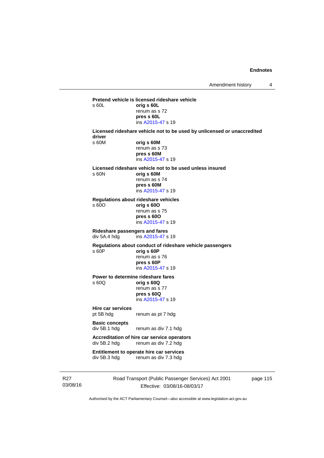**Pretend vehicle is licensed rideshare vehicle**  s 60L **orig s 60L**  renum as s 72 **pres s 60L**  ins [A2015-47](http://www.legislation.act.gov.au/a/2015-47) s 19 **Licensed rideshare vehicle not to be used by unlicensed or unaccredited driver**  s 60M **orig s 60M**  renum as s 73 **pres s 60M**  ins [A2015-47](http://www.legislation.act.gov.au/a/2015-47) s 19 **Licensed rideshare vehicle not to be used unless insured**  s 60N **orig s 60M**  renum as s 74 **pres s 60M**  ins [A2015-47](http://www.legislation.act.gov.au/a/2015-47) s 19 **Regulations about rideshare vehicles**  s 60O **orig s 60O**  renum as s 75 **pres s 60O**  ins [A2015-47](http://www.legislation.act.gov.au/a/2015-47) s 19 **Rideshare passengers and fares**   $ins$  [A2015-47](http://www.legislation.act.gov.au/a/2015-47) s 19 **Regulations about conduct of rideshare vehicle passengers**  s 60P **orig s 60P**  renum as s 76 **pres s 60P**  ins [A2015-47](http://www.legislation.act.gov.au/a/2015-47) s 19 **Power to determine rideshare fares**<br>  $\frac{60Q}{q}$  orig **s** 60Q s 60Q **orig s 60Q**  renum as s 77 **pres s 60Q**  ins [A2015-47](http://www.legislation.act.gov.au/a/2015-47) s 19 **Hire car services**  pt 5B hdg renum as pt 7 hdg **Basic concepts**  div 5B.1 hdg renum as div 7.1 hdg **Accreditation of hire car service operators**  div 5B.2 hdg renum as div 7.2 hdg **Entitlement to operate hire car services**<br>div 5B.3 hdg renum as div 7.3 hdg renum as div 7.3 hdg

R27 03/08/16 Road Transport (Public Passenger Services) Act 2001 Effective: 03/08/16-08/03/17

page 115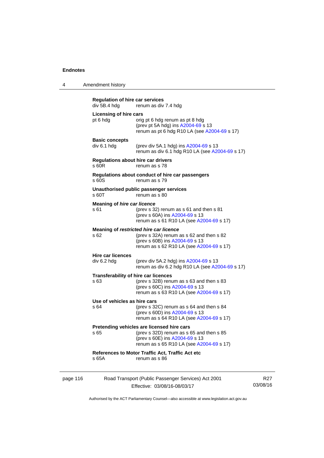|          | <b>Regulation of hire car services</b><br>div 5B.4 hdg | renum as div 7.4 hdg                                                                                                                                                 |
|----------|--------------------------------------------------------|----------------------------------------------------------------------------------------------------------------------------------------------------------------------|
|          | Licensing of hire cars<br>pt 6 hdg                     | orig pt 6 hdg renum as pt 8 hdg<br>(prev pt 5A hdg) ins $A2004-69$ s 13<br>renum as pt 6 hdg R10 LA (see A2004-69 s 17)                                              |
|          | <b>Basic concepts</b><br>div 6.1 hdg                   | (prev div 5A.1 hdg) ins A2004-69 s 13<br>renum as div 6.1 hdg R10 LA (see A2004-69 s 17)                                                                             |
|          | Regulations about hire car drivers<br>s 60R            | renum as s 78                                                                                                                                                        |
|          | s 60S                                                  | Regulations about conduct of hire car passengers<br>renum as s 79                                                                                                    |
|          | s 60T                                                  | Unauthorised public passenger services<br>renum as s 80                                                                                                              |
|          | <b>Meaning of hire car licence</b><br>s 61             | (prev s 32) renum as s 61 and then s 81<br>(prev s 60A) ins A2004-69 s 13<br>renum as s 61 R10 LA (see A2004-69 s 17)                                                |
|          | s 62                                                   | Meaning of restricted hire car licence<br>(prev s 32A) renum as s 62 and then s 82<br>(prev s 60B) ins A2004-69 s 13<br>renum as s 62 R10 LA (see A2004-69 s 17)     |
|          | <b>Hire car licences</b><br>div 6.2 hdg                | (prev div 5A.2 hdg) ins A2004-69 s 13<br>renum as div 6.2 hdg R10 LA (see A2004-69 s 17)                                                                             |
|          | <b>Transferability of hire car licences</b><br>s 63    | (prev s 32B) renum as s 63 and then s 83<br>(prev s 60C) ins A2004-69 s 13<br>renum as s 63 R10 LA (see A2004-69 s 17)                                               |
|          | Use of vehicles as hire cars<br>s 64                   | (prev s 32C) renum as s 64 and then s 84<br>(prev s 60D) ins A2004-69 s 13<br>renum as s 64 R10 LA (see A2004-69 s 17)                                               |
|          | s 65                                                   | Pretending vehicles are licensed hire cars<br>(prev s 32D) renum as s 65 and then s 85<br>(prev s 60E) ins A2004-69 s 13<br>renum as s 65 R10 LA (see A2004-69 s 17) |
|          | s 65A                                                  | References to Motor Traffic Act, Traffic Act etc<br>renum as s 86                                                                                                    |
| page 116 |                                                        | Road Transport (Public Passenger Services) Act 2001                                                                                                                  |

Effective: 03/08/16-08/03/17

R27 03/08/16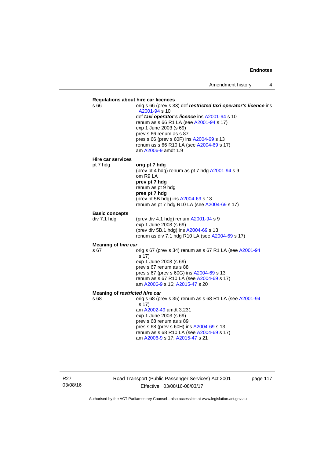

R27 03/08/16 Road Transport (Public Passenger Services) Act 2001 Effective: 03/08/16-08/03/17

page 117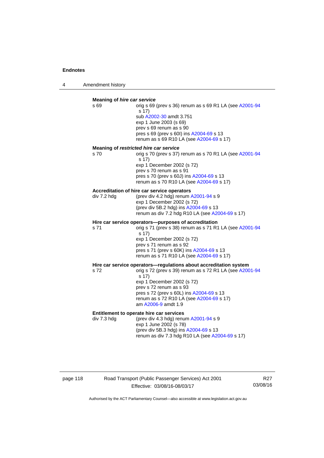4 Amendment history

### **Meaning of** *hire car service*  s 69 orig s 69 (prev s 36) renum as s 69 R1 LA (see [A2001-94](http://www.legislation.act.gov.au/a/2001-94) s 17) sub [A2002-30](http://www.legislation.act.gov.au/a/2002-30) amdt 3.751 exp 1 June 2003 (s 69) prev s 69 renum as s 90 pres s 69 (prev s 60I) ins [A2004-69](http://www.legislation.act.gov.au/a/2004-69) s 13 renum as s 69 R10 LA (see [A2004-69](http://www.legislation.act.gov.au/a/2004-69) s 17) **Meaning of** *restricted hire car service*  s 70 orig s 70 (prev s 37) renum as s 70 R1 LA (see [A2001-94](http://www.legislation.act.gov.au/a/2001-94) s 17) exp 1 December 2002 (s 72) prev s 70 renum as s 91 pres s 70 (prev s 60J) ins [A2004-69](http://www.legislation.act.gov.au/a/2004-69) s 13 renum as s 70 R10 LA (see [A2004-69](http://www.legislation.act.gov.au/a/2004-69) s 17) **Accreditation of hire car service operators**  div 7.2 hdg (prev div 4.2 hdg) renum [A2001-94](http://www.legislation.act.gov.au/a/2001-94) s 9 exp 1 December 2002 (s 72) (prev div 5B.2 hdg) ins [A2004-69](http://www.legislation.act.gov.au/a/2004-69) s 13 renum as div 7.2 hdg R10 LA (see [A2004-69](http://www.legislation.act.gov.au/a/2004-69) s 17) **Hire car service operators—purposes of accreditation**  s 71 orig s 71 (prev s 38) renum as s 71 R1 LA (see [A2001-94](http://www.legislation.act.gov.au/a/2001-94) s 17) exp 1 December 2002 (s 72) prev s 71 renum as s 92 pres s 71 (prev s 60K) ins [A2004-69](http://www.legislation.act.gov.au/a/2004-69) s 13 renum as s 71 R10 LA (see [A2004-69](http://www.legislation.act.gov.au/a/2004-69) s 17) **Hire car service operators—regulations about accreditation system s 72**<br>s 72<br>**compared 39** renum as s 72 R1 LA (see A200 orig s 72 (prev s 39) renum as s 72 R1 LA (see [A2001-94](http://www.legislation.act.gov.au/a/2001-94) s 17) exp 1 December 2002 (s 72) prev s 72 renum as s 93 pres s 72 (prev s 60L) ins [A2004-69](http://www.legislation.act.gov.au/a/2004-69) s 13 renum as s 72 R10 LA (see [A2004-69](http://www.legislation.act.gov.au/a/2004-69) s 17) am [A2006-9](http://www.legislation.act.gov.au/a/2006-9) amdt 1.9 **Entitlement to operate hire car services**  div 7.3 hdg (prev div 4.3 hdg) renum [A2001-94](http://www.legislation.act.gov.au/a/2001-94) s 9 exp 1 June 2002 (s 78) (prev div 5B.3 hdg) ins [A2004-69](http://www.legislation.act.gov.au/a/2004-69) s 13 renum as div 7.3 hdg R10 LA (see [A2004-69](http://www.legislation.act.gov.au/a/2004-69) s 17)

# page 118 Road Transport (Public Passenger Services) Act 2001 Effective: 03/08/16-08/03/17

R27 03/08/16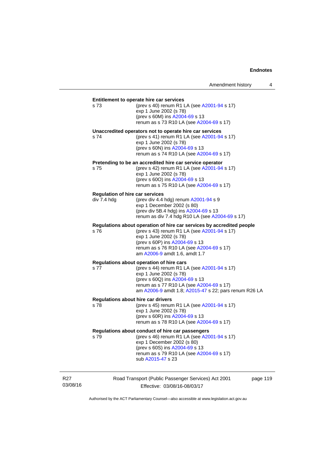| s 73        | Entitlement to operate hire car services<br>(prev s 40) renum R1 LA (see A2001-94 s 17) |
|-------------|-----------------------------------------------------------------------------------------|
|             | exp 1 June 2002 (s 78)                                                                  |
|             | (prev s 60M) ins A2004-69 s 13                                                          |
|             | renum as s 73 R10 LA (see A2004-69 s 17)                                                |
|             | Unaccredited operators not to operate hire car services                                 |
| s 74        | (prev s 41) renum R1 LA (see A2001-94 s 17)                                             |
|             | exp 1 June 2002 (s 78)                                                                  |
|             | (prev s 60N) ins A2004-69 s 13<br>renum as s 74 R10 LA (see A2004-69 s 17)              |
|             |                                                                                         |
|             | Pretending to be an accredited hire car service operator                                |
| s 75        | (prev s 42) renum R1 LA (see A2001-94 s 17)<br>exp 1 June 2002 (s 78)                   |
|             | (prev s 600) ins A2004-69 s 13                                                          |
|             | renum as s 75 R10 LA (see A2004-69 s 17)                                                |
|             | <b>Regulation of hire car services</b>                                                  |
| div 7.4 hdg | (prev div 4.4 hdg) renum A2001-94 s 9                                                   |
|             | exp 1 December 2002 (s 80)                                                              |
|             | (prev div 5B.4 hdg) ins A2004-69 s 13                                                   |
|             | renum as div 7.4 hdg R10 LA (see A2004-69 s 17)                                         |
|             | Regulations about operation of hire car services by accredited people                   |
| s 76        | (prev s 43) renum R1 LA (see A2001-94 s 17)                                             |
|             | exp 1 June 2002 (s 78)                                                                  |
|             | (prev s 60P) ins A2004-69 s 13                                                          |
|             | renum as s 76 R10 LA (see A2004-69 s 17)<br>am A2006-9 amdt 1.6, amdt 1.7               |
|             |                                                                                         |
| s 77        | Regulations about operation of hire cars<br>(prev s 44) renum R1 LA (see A2001-94 s 17) |
|             | exp 1 June 2002 (s 78)                                                                  |
|             | (prev s 60Q) ins A2004-69 s 13                                                          |
|             | renum as s 77 R10 LA (see A2004-69 s 17)                                                |
|             | am A2006-9 amdt 1.8, A2015-47 s 22; pars renum R26 LA                                   |
|             | <b>Regulations about hire car drivers</b>                                               |
| s 78        | (prev s 45) renum R1 LA (see A2001-94 s 17)                                             |
|             | exp 1 June 2002 (s 78)                                                                  |
|             | (prev s 60R) ins A2004-69 s 13                                                          |
|             | renum as s 78 R10 LA (see A2004-69 s 17)                                                |
|             | Regulations about conduct of hire car passengers                                        |
| s 79        | (prev s 46) renum R1 LA (see A2001-94 s 17)                                             |
|             | exp 1 December 2002 (s 80)                                                              |
|             | (prev s 60S) ins A2004-69 s 13                                                          |
|             | renum as s 79 R10 LA (see A2004-69 s 17)                                                |

R27 03/08/16 Road Transport (Public Passenger Services) Act 2001 Effective: 03/08/16-08/03/17

page 119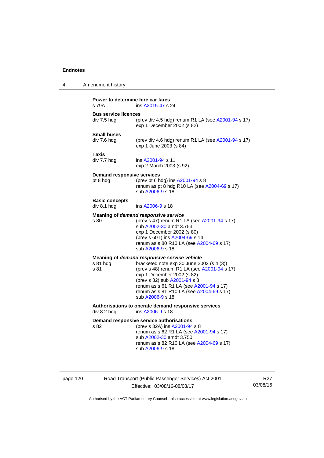| 4 | Amendment history                             |                                                                                                                                                                                                                                                                                                                   |  |  |  |
|---|-----------------------------------------------|-------------------------------------------------------------------------------------------------------------------------------------------------------------------------------------------------------------------------------------------------------------------------------------------------------------------|--|--|--|
|   | s 79A                                         | Power to determine hire car fares<br>ins A2015-47 s 24                                                                                                                                                                                                                                                            |  |  |  |
|   | <b>Bus service licences</b><br>div 7.5 hdg    | (prev div 4.5 hdg) renum R1 LA (see A2001-94 s 17)<br>exp 1 December 2002 (s 82)                                                                                                                                                                                                                                  |  |  |  |
|   | <b>Small buses</b><br>div 7.6 hdg             | (prev div 4.6 hdg) renum R1 LA (see A2001-94 s 17)<br>exp 1 June 2003 (s 84)                                                                                                                                                                                                                                      |  |  |  |
|   | Taxis<br>div 7.7 hdg                          | ins A2001-94 s 11<br>exp 2 March 2003 (s 92)                                                                                                                                                                                                                                                                      |  |  |  |
|   | <b>Demand responsive services</b><br>pt 8 hdg | (prev pt 6 hdg) ins A2001-94 s 8<br>renum as pt 8 hdg R10 LA (see A2004-69 s 17)<br>sub A2006-9 s 18                                                                                                                                                                                                              |  |  |  |
|   | <b>Basic concepts</b><br>div 8.1 hdg          | ins A2006-9 s 18                                                                                                                                                                                                                                                                                                  |  |  |  |
|   | s 80                                          | Meaning of demand responsive service<br>(prev s 47) renum R1 LA (see A2001-94 s 17)<br>sub A2002-30 amdt 3.753<br>exp 1 December 2002 (s 80)<br>(prev s 60T) ins A2004-69 s 14<br>renum as s 80 R10 LA (see A2004-69 s 17)<br>sub A2006-9 s 18                                                                    |  |  |  |
|   | s 81 hdg<br>s 81                              | Meaning of demand responsive service vehicle<br>bracketed note exp 30 June 2002 (s 4 (3))<br>(prev s 48) renum R1 LA (see A2001-94 s 17)<br>exp 1 December 2002 (s 82)<br>(prev s 32) sub A2001-94 s 8<br>renum as s 61 R1 LA (see A2001-94 s 17)<br>renum as s 81 R10 LA (see A2004-69 s 17)<br>sub A2006-9 s 18 |  |  |  |
|   | div 8.2 hdg                                   | Authorisations to operate demand responsive services<br>ins A2006-9 s 18                                                                                                                                                                                                                                          |  |  |  |
|   | s 82                                          | Demand responsive service authorisations<br>(prev s 32A) ins A2001-94 s 8<br>renum as s 62 R1 LA (see A2001-94 s 17)<br>sub A2002-30 amdt 3.750<br>renum as s 82 R10 LA (see A2004-69 s 17)<br>sub A2006-9 s 18                                                                                                   |  |  |  |

page 120 Road Transport (Public Passenger Services) Act 2001 Effective: 03/08/16-08/03/17

R27 03/08/16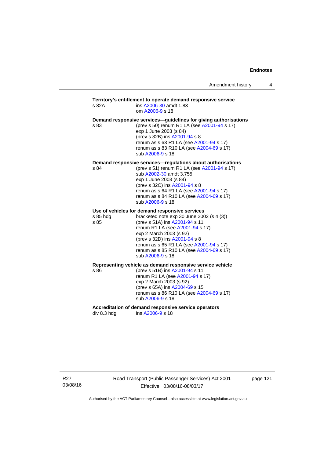### **Territory's entitlement to operate demand responsive service**  s 82A ins [A2006-30](http://www.legislation.act.gov.au/a/2006-30) amdt 1.83 om [A2006-9](http://www.legislation.act.gov.au/a/2006-9) s 18 **Demand responsive services—guidelines for giving authorisations**  s 83 (prev s 50) renum R1 LA (see [A2001-94](http://www.legislation.act.gov.au/a/2001-94) s 17) exp 1 June 2003 (s 84) (prev s 32B) ins [A2001-94](http://www.legislation.act.gov.au/a/2001-94) s 8 renum as s 63 R1 LA (see [A2001-94](http://www.legislation.act.gov.au/a/2001-94) s 17) renum as s 83 R10 LA (see [A2004-69](http://www.legislation.act.gov.au/a/2004-69) s 17) sub [A2006-9](http://www.legislation.act.gov.au/a/2006-9) s 18 **Demand responsive services—regulations about authorisations**  s 84 (prev s 51) renum R1 LA (see [A2001-94](http://www.legislation.act.gov.au/a/2001-94) s 17) sub [A2002-30](http://www.legislation.act.gov.au/a/2002-30) amdt 3.755 exp 1 June 2003 (s 84) (prev s 32C) ins [A2001-94](http://www.legislation.act.gov.au/a/2001-94) s 8 renum as s 64 R1 LA (see [A2001-94](http://www.legislation.act.gov.au/a/2001-94) s 17) renum as s 84 R10 LA (see [A2004-69](http://www.legislation.act.gov.au/a/2004-69) s 17) sub [A2006-9](http://www.legislation.act.gov.au/a/2006-9) s 18 **Use of vehicles for demand responsive services**  s 85 hdg bracketed note exp 30 June 2002 (s 4 (3)) s 85 (prev s 51A) ins [A2001-94](http://www.legislation.act.gov.au/a/2001-94) s 11 renum R1 LA (see [A2001-94](http://www.legislation.act.gov.au/a/2001-94) s 17) exp 2 March 2003 (s 92) (prev s 32D) ins [A2001-94](http://www.legislation.act.gov.au/a/2001-94) s 8 renum as s 65 R1 LA (see [A2001-94](http://www.legislation.act.gov.au/a/2001-94) s 17) renum as s 85 R10 LA (see [A2004-69](http://www.legislation.act.gov.au/a/2004-69) s 17) sub [A2006-9](http://www.legislation.act.gov.au/a/2006-9) s 18 **Representing vehicle as demand responsive service vehicle**  (prev s 51B) ins [A2001-94](http://www.legislation.act.gov.au/a/2001-94) s 11 renum R1 LA (see [A2001-94](http://www.legislation.act.gov.au/a/2001-94) s 17) exp 2 March 2003 (s 92) (prev s 65A) ins [A2004-69](http://www.legislation.act.gov.au/a/2004-69) s 15 renum as s 86 R10 LA (see [A2004-69](http://www.legislation.act.gov.au/a/2004-69) s 17) sub [A2006-9](http://www.legislation.act.gov.au/a/2006-9) s 18 Accreditation of demand responsive service operators<br>div 8.3 hdg ins A2006-9 s 18 ins [A2006-9](http://www.legislation.act.gov.au/a/2006-9) s 18

R27 03/08/16 Road Transport (Public Passenger Services) Act 2001 Effective: 03/08/16-08/03/17

page 121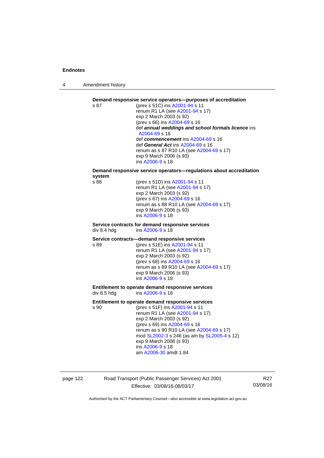4 Amendment history



page 122 Road Transport (Public Passenger Services) Act 2001 Effective: 03/08/16-08/03/17

R27 03/08/16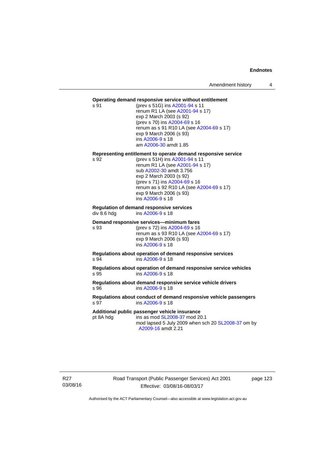#### **Operating demand responsive service without entitlement**

s 91 (prev s 51G) ins [A2001-94](http://www.legislation.act.gov.au/a/2001-94) s 11 renum R1 LA (see [A2001-94](http://www.legislation.act.gov.au/a/2001-94) s 17) exp 2 March 2003 (s 92) (prev s 70) ins [A2004-69](http://www.legislation.act.gov.au/a/2004-69) s 16 renum as s 91 R10 LA (see [A2004-69](http://www.legislation.act.gov.au/a/2004-69) s 17) exp 9 March 2006 (s 93) ins [A2006-9](http://www.legislation.act.gov.au/a/2006-9) s 18 am [A2006-30](http://www.legislation.act.gov.au/a/2006-30) amdt 1.85

#### **Representing entitlement to operate demand responsive service**

s 92 (prev s 51H) ins [A2001-94](http://www.legislation.act.gov.au/a/2001-94) s 11 renum R1 LA (see [A2001-94](http://www.legislation.act.gov.au/a/2001-94) s 17) sub [A2002-30](http://www.legislation.act.gov.au/a/2002-30) amdt 3.756 exp 2 March 2003 (s 92) (prev s 71) ins [A2004-69](http://www.legislation.act.gov.au/a/2004-69) s 16 renum as s 92 R10 LA (see [A2004-69](http://www.legislation.act.gov.au/a/2004-69) s 17) exp 9 March 2006 (s 93) ins [A2006-9](http://www.legislation.act.gov.au/a/2006-9) s 18

# **Regulation of demand responsive services**

div 8.6 hdg ins [A2006-9](http://www.legislation.act.gov.au/a/2006-9) s 18

#### **Demand responsive services—minimum fares**

s 93 (prev s 72) ins [A2004-69](http://www.legislation.act.gov.au/a/2004-69) s 16 renum as s 93 R10 LA (see [A2004-69](http://www.legislation.act.gov.au/a/2004-69) s 17) exp 9 March 2006 (s 93) ins [A2006-9](http://www.legislation.act.gov.au/a/2006-9) s 18

**Regulations about operation of demand responsive services**  s 94 ins [A2006-9](http://www.legislation.act.gov.au/a/2006-9) s 18

**Regulations about operation of demand responsive service vehicles**  s 95 ins [A2006-9](http://www.legislation.act.gov.au/a/2006-9) s 18

**Regulations about demand responsive service vehicle drivers**  s 96 ins [A2006-9](http://www.legislation.act.gov.au/a/2006-9) s 18

#### **Regulations about conduct of demand responsive vehicle passengers**  ins [A2006-9](http://www.legislation.act.gov.au/a/2006-9) s 18

#### **Additional public passenger vehicle insurance**

pt 8A hdg ins as mod [SL2008-37](http://www.legislation.act.gov.au/sl/2008-37) mod 20.1 mod lapsed 5 July 2009 when sch 20 [SL2008-37](http://www.legislation.act.gov.au/sl/2008-37) om by [A2009-16](http://www.legislation.act.gov.au/a/2009-16) amdt 2.21

R27 03/08/16 Road Transport (Public Passenger Services) Act 2001 Effective: 03/08/16-08/03/17

page 123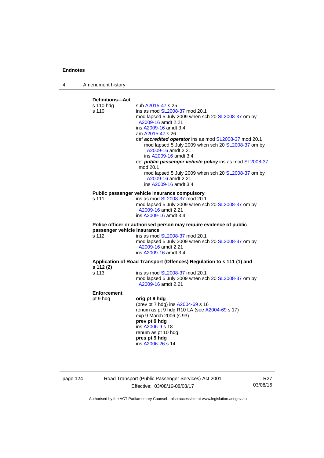4 Amendment history



page 124 Road Transport (Public Passenger Services) Act 2001 Effective: 03/08/16-08/03/17

R27 03/08/16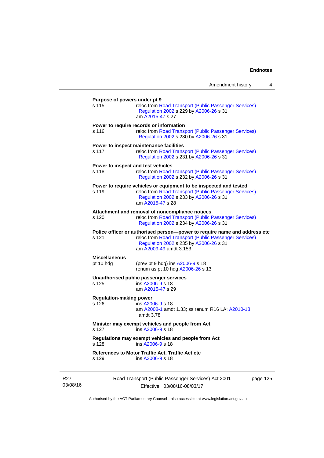|                                             | Amendment history                                                                                                                                                                                       | 4 |
|---------------------------------------------|---------------------------------------------------------------------------------------------------------------------------------------------------------------------------------------------------------|---|
| Purpose of powers under pt 9<br>s 115       | reloc from Road Transport (Public Passenger Services)<br>Regulation 2002 s 229 by A2006-26 s 31<br>am A2015-47 s 27                                                                                     |   |
| s 116                                       | Power to require records or information<br>reloc from Road Transport (Public Passenger Services)<br>Regulation 2002 s 230 by A2006-26 s 31                                                              |   |
| s 117                                       | Power to inspect maintenance facilities<br>reloc from Road Transport (Public Passenger Services)<br>Regulation 2002 s 231 by A2006-26 s 31                                                              |   |
| Power to inspect and test vehicles<br>s 118 | reloc from Road Transport (Public Passenger Services)<br>Regulation 2002 s 232 by A2006-26 s 31                                                                                                         |   |
| s 119                                       | Power to require vehicles or equipment to be inspected and tested<br>reloc from Road Transport (Public Passenger Services)<br>Regulation 2002 s 233 by A2006-26 s 31<br>am A2015-47 s 28                |   |
| s 120                                       | Attachment and removal of noncompliance notices<br>reloc from Road Transport (Public Passenger Services)<br>Regulation 2002 s 234 by A2006-26 s 31                                                      |   |
| s 121                                       | Police officer or authorised person--power to require name and address etc<br>reloc from Road Transport (Public Passenger Services)<br>Regulation 2002 s 235 by A2006-26 s 31<br>am A2009-49 amdt 3.153 |   |
| <b>Miscellaneous</b><br>pt 10 hdg           | (prev pt 9 hdg) ins $A2006-9$ s 18<br>renum as pt 10 hdg A2006-26 s 13                                                                                                                                  |   |
| s 125                                       | Unauthorised public passenger services<br>ins A2006-9 s 18<br>am A2015-47 s 29                                                                                                                          |   |
| <b>Regulation-making power</b><br>s 126     | ins A2006-9 s 18<br>am A2008-1 amdt 1.33; ss renum R16 LA; A2010-18<br>amdt 3.78                                                                                                                        |   |
| s 127                                       | Minister may exempt vehicles and people from Act<br>ins A2006-9 s 18                                                                                                                                    |   |
| s 128                                       | Regulations may exempt vehicles and people from Act<br>ins A2006-9 s 18                                                                                                                                 |   |
| s 129                                       | References to Motor Traffic Act, Traffic Act etc<br>ins A2006-9 s 18                                                                                                                                    |   |
|                                             |                                                                                                                                                                                                         |   |

R27 03/08/16 Road Transport (Public Passenger Services) Act 2001 Effective: 03/08/16-08/03/17

page 125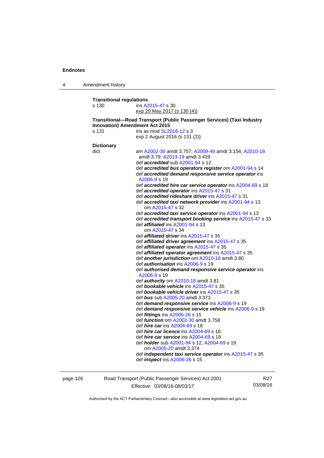4 Amendment history

**Transitional regulations**  s 130 ins [A2015-47](http://www.legislation.act.gov.au/a/2015-47) s 30 exp 20 May 2017 (s 130 (4))

#### **Transitional—Road Transport (Public Passenger Services) (Taxi Industry Innovation) Amendment Act 2015**  s 131 ins as mod **SL2016-12** s 3

exp 2 August 2016 (s 131 (2))

| <b>Dictionary</b> |                                                                       |
|-------------------|-----------------------------------------------------------------------|
| dict              | am A2002-30 amdt 3.757; A2009-49 amdt 3.154; A2010-18                 |
|                   | amdt 3.79; A2013-19 amdt 3.429                                        |
|                   | def <i>accredited</i> sub A2001-94 s 12                               |
|                   | def accredited bus operators register om A2001-94 s 14                |
|                   | def accredited demand responsive service operator ins<br>A2006-9 s 19 |
|                   | def accredited hire car service operator ins A2004-69 s 1             |
|                   | def accredited operator ins A2015-47 s 31                             |
|                   |                                                                       |

2013-19 amdt 3.429 def *accredited* sub [A2001-94](http://www.legislation.act.gov.au/a/2001-94) s 12 d bus operators register om [A2001-94](http://www.legislation.act.gov.au/a/2001-94) s 14 d demand responsive service operator ins [A2006-9](http://www.legislation.act.gov.au/a/2006-9) s 19 ed *hire car service operator* ins [A2004-69](http://www.legislation.act.gov.au/a/2004-69) s 18 ed **operator** ins [A2015-47](http://www.legislation.act.gov.au/a/2015-47) s 31 def *accredited rideshare driver* ins [A2015-47](http://www.legislation.act.gov.au/a/2015-47) s 31 def *accredited taxi network provider* ins [A2001-94](http://www.legislation.act.gov.au/a/2001-94) s 13 om [A2015-47](http://www.legislation.act.gov.au/a/2015-47) s 32 def *accredited taxi service operator* ins [A2001-94](http://www.legislation.act.gov.au/a/2001-94) s 13 def *accredited transport booking service* ins [A2015-47](http://www.legislation.act.gov.au/a/2015-47) s 33 def *affiliated* ins [A2001-94](http://www.legislation.act.gov.au/a/2001-94) s 13 om [A2015-47](http://www.legislation.act.gov.au/a/2015-47) s 34 def *affiliated driver* ins [A2015-47](http://www.legislation.act.gov.au/a/2015-47) s 35 def *affiliated driver agreement* ins [A2015-47](http://www.legislation.act.gov.au/a/2015-47) s 35 def *affiliated operator* ins [A2015-47](http://www.legislation.act.gov.au/a/2015-47) s 35 def *affiliated operator agreement* ins [A2015-47](http://www.legislation.act.gov.au/a/2015-47) s 35 def *another jurisdiction* om [A2010-18](http://www.legislation.act.gov.au/a/2010-18) amdt 3.80 def *authorisation* ins [A2006-9](http://www.legislation.act.gov.au/a/2006-9) s 19 def *authorised demand responsive service operator* ins [A2006-9](http://www.legislation.act.gov.au/a/2006-9) s 19 def *authority* om [A2010-18](http://www.legislation.act.gov.au/a/2010-18) amdt 3.81 def *bookable vehicle* ins [A2015-47](http://www.legislation.act.gov.au/a/2015-47) s 35 def *bookable vehicle driver* ins [A2015-47](http://www.legislation.act.gov.au/a/2015-47) s 35 def *bus* sub [A2005-20](http://www.legislation.act.gov.au/a/2005-20) amdt 3.373 def *demand responsive service* ins [A2006-9](http://www.legislation.act.gov.au/a/2006-9) s 19 def *demand responsive service vehicle* ins [A2006-9](http://www.legislation.act.gov.au/a/2006-9) s 19 def *fittings* ins [A2006-26](http://www.legislation.act.gov.au/a/2006-26) s 15 def *function* om [A2002-30](http://www.legislation.act.gov.au/a/2002-30) amdt 3.758 def *hire car* ins [A2004-69](http://www.legislation.act.gov.au/a/2004-69) s 18 def *hire car licence* ins [A2004-69](http://www.legislation.act.gov.au/a/2004-69) s 18 def *hire car service* ins [A2004-69](http://www.legislation.act.gov.au/a/2004-69) s 18 def *holder* sub [A2001-94](http://www.legislation.act.gov.au/a/2001-94) s 12; [A2004-69](http://www.legislation.act.gov.au/a/2004-69) s 19 om [A2005-20](http://www.legislation.act.gov.au/a/2005-20) amdt 3.374 def *independent taxi service operator* ins [A2015-47](http://www.legislation.act.gov.au/a/2015-47) s 35 def *inspect* ins [A2006-26](http://www.legislation.act.gov.au/a/2006-26) s 15

page 126 Road Transport (Public Passenger Services) Act 2001 Effective: 03/08/16-08/03/17

R27 03/08/16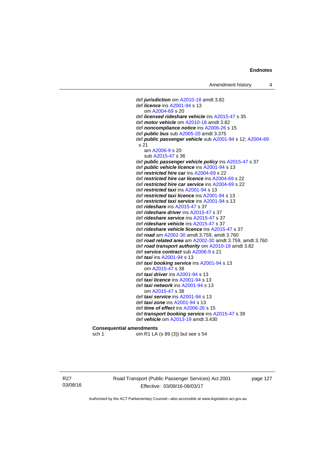def *jurisdiction* om [A2010-18](http://www.legislation.act.gov.au/a/2010-18) amdt 3.82 def *licence* ins [A2001-94](http://www.legislation.act.gov.au/a/2001-94) s 13 om [A2004-69](http://www.legislation.act.gov.au/a/2004-69) s 20 def *licensed rideshare vehicle* ins [A2015-47](http://www.legislation.act.gov.au/a/2015-47) s 35 def *motor vehicle* om [A2010-18](http://www.legislation.act.gov.au/a/2010-18) amdt 3.82 def *noncompliance notice* ins [A2006-26](http://www.legislation.act.gov.au/a/2006-26) s 15 def *public bus* sub [A2005-20](http://www.legislation.act.gov.au/a/2005-20) amdt 3.375 def *public passenger vehicle* sub [A2001-94](http://www.legislation.act.gov.au/a/2001-94) s 12; [A2004-69](http://www.legislation.act.gov.au/a/2004-69) s 21 am [A2006-9](http://www.legislation.act.gov.au/a/2006-9) s 20 sub [A2015-47](http://www.legislation.act.gov.au/a/2015-47) s 36 def *public passenger vehicle policy* ins [A2015-47](http://www.legislation.act.gov.au/a/2015-47) s 37 def *public vehicle licence* ins [A2001-94](http://www.legislation.act.gov.au/a/2001-94) s 13 def *restricted hire car* ins [A2004-69](http://www.legislation.act.gov.au/a/2004-69) s 22 def *restricted hire car licence* ins [A2004-69](http://www.legislation.act.gov.au/a/2004-69) s 22 def *restricted hire car service* ins [A2004-69](http://www.legislation.act.gov.au/a/2004-69) s 22 def *restricted taxi* ins [A2001-94](http://www.legislation.act.gov.au/a/2001-94) s 13 def *restricted taxi licence* ins [A2001-94](http://www.legislation.act.gov.au/a/2001-94) s 13 def *restricted taxi service* ins [A2001-94](http://www.legislation.act.gov.au/a/2001-94) s 13 def *rideshare* ins [A2015-47](http://www.legislation.act.gov.au/a/2015-47) s 37 def *rideshare driver* ins [A2015-47](http://www.legislation.act.gov.au/a/2015-47) s 37 def *rideshare service* ins [A2015-47](http://www.legislation.act.gov.au/a/2015-47) s 37 def *rideshare vehicle* ins [A2015-47](http://www.legislation.act.gov.au/a/2015-47) s 37 def *rideshare vehicle licence* ins [A2015-47](http://www.legislation.act.gov.au/a/2015-47) s 37 def *road* am [A2002-30](http://www.legislation.act.gov.au/a/2002-30) amdt 3.759, amdt 3.760 def *road related area* am [A2002-30](http://www.legislation.act.gov.au/a/2002-30) amdt 3.759, amdt 3.760 def *road transport authority* om [A2010-18](http://www.legislation.act.gov.au/a/2010-18) amdt 3.82 def *service contract* sub [A2006-9](http://www.legislation.act.gov.au/a/2006-9) s 21 def *taxi* ins [A2001-94](http://www.legislation.act.gov.au/a/2001-94) s 13 def *taxi booking service* ins [A2001-94](http://www.legislation.act.gov.au/a/2001-94) s 13 om [A2015-47](http://www.legislation.act.gov.au/a/2015-47) s 38 def *taxi driver* ins [A2001-94](http://www.legislation.act.gov.au/a/2001-94) s 13 def *taxi licence* ins [A2001-94](http://www.legislation.act.gov.au/a/2001-94) s 13 def *taxi network* ins [A2001-94](http://www.legislation.act.gov.au/a/2001-94) s 13 om [A2015-47](http://www.legislation.act.gov.au/a/2015-47) s 38 def *taxi service* ins [A2001-94](http://www.legislation.act.gov.au/a/2001-94) s 13 def *taxi zone* ins [A2001-94](http://www.legislation.act.gov.au/a/2001-94) s 13 def *time of effect* ins [A2006-26](http://www.legislation.act.gov.au/a/2006-26) s 15 def *transport booking service* ins [A2015-47](http://www.legislation.act.gov.au/a/2015-47) s 39 def *vehicle* om [A2013-19](http://www.legislation.act.gov.au/a/2013-19) amdt 3.430 **Consequential amendments** 

sch 1 om R1 LA (s 89 (3)) but see s 54

R27 03/08/16 Road Transport (Public Passenger Services) Act 2001 Effective: 03/08/16-08/03/17

page 127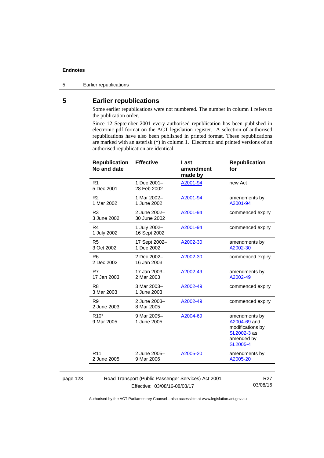5 Earlier republications

# **5 Earlier republications**

Some earlier republications were not numbered. The number in column 1 refers to the publication order.

Since 12 September 2001 every authorised republication has been published in electronic pdf format on the ACT legislation register. A selection of authorised republications have also been published in printed format. These republications are marked with an asterisk (\*) in column 1. Electronic and printed versions of an authorised republication are identical.

| <b>Republication</b><br>No and date                 | <b>Effective</b>             | Last<br>amendment<br>made by | <b>Republication</b><br>for                                                                       |
|-----------------------------------------------------|------------------------------|------------------------------|---------------------------------------------------------------------------------------------------|
| R <sub>1</sub><br>5 Dec 2001                        | 1 Dec 2001-<br>28 Feb 2002   | A2001-94                     | new Act                                                                                           |
| R <sub>2</sub><br>1 Mar 2002                        | 1 Mar 2002-<br>1 June 2002   | A2001-94                     | amendments by<br>A2001-94                                                                         |
| R <sub>3</sub><br>3 June 2002                       | 2 June 2002-<br>30 June 2002 | A2001-94                     | commenced expiry                                                                                  |
| R <sub>4</sub><br>1 July 2002                       | 1 July 2002-<br>16 Sept 2002 | A2001-94                     | commenced expiry                                                                                  |
| R <sub>5</sub><br>3 Oct 2002                        | 17 Sept 2002-<br>1 Dec 2002  | A2002-30                     | amendments by<br>A2002-30                                                                         |
| R <sub>6</sub><br>2 Dec 2002                        | 2 Dec 2002-<br>16 Jan 2003   | A2002-30                     | commenced expiry                                                                                  |
| R7<br>17 Jan 2003                                   | 17 Jan 2003-<br>2 Mar 2003   | A2002-49                     | amendments by<br>A2002-49                                                                         |
| R <sub>8</sub><br>3 Mar 2003                        | 3 Mar 2003-<br>1 June 2003   | A2002-49                     | commenced expiry                                                                                  |
| R <sub>9</sub><br>2 June 2003                       | 2 June 2003-<br>8 Mar 2005   | A2002-49                     | commenced expiry                                                                                  |
| R <sub>10</sub> <sup>*</sup><br>9 Mar 2005          | 9 Mar 2005-<br>1 June 2005   | A2004-69                     | amendments by<br>A2004-69 and<br>modifications by<br>SL2002-3 as<br>amended by<br><b>SL2005-4</b> |
| R <sub>11</sub><br>2 June 2005                      | 2 June 2005-<br>9 Mar 2006   | A2005-20                     | amendments by<br>A2005-20                                                                         |
|                                                     |                              |                              |                                                                                                   |
| Road Transport (Public Passenger Services) Act 2001 | R <sub>27</sub><br>00/00/40  |                              |                                                                                                   |

page 128

Effective: 03/08/16-08/03/17

03/08/16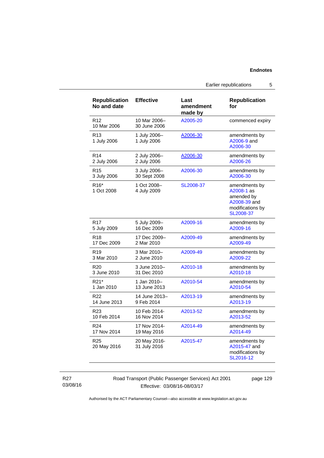Earlier republications 5

| <b>Republication</b><br>No and date | <b>Effective</b>             | Last<br>amendment<br>made by | <b>Republication</b><br>for                                                                |
|-------------------------------------|------------------------------|------------------------------|--------------------------------------------------------------------------------------------|
| R <sub>12</sub><br>10 Mar 2006      | 10 Mar 2006-<br>30 June 2006 | A2005-20                     | commenced expiry                                                                           |
| R <sub>13</sub><br>1 July 2006      | 1 July 2006-<br>1 July 2006  | A2006-30                     | amendments by<br>A2006-9 and<br>A2006-30                                                   |
| R <sub>14</sub>                     | 2 July 2006-                 | A2006-30                     | amendments by                                                                              |
| 2 July 2006                         | 2 July 2006                  |                              | A2006-26                                                                                   |
| R <sub>15</sub>                     | 3 July 2006-                 | A2006-30                     | amendments by                                                                              |
| 3 July 2006                         | 30 Sept 2008                 |                              | A2006-30                                                                                   |
| R <sub>16</sub> *<br>1 Oct 2008     | 1 Oct 2008-<br>4 July 2009   | SL2008-37                    | amendments by<br>A2008-1 as<br>amended by<br>A2008-39 and<br>modifications by<br>SL2008-37 |
| R <sub>17</sub>                     | 5 July 2009-                 | A2009-16                     | amendments by                                                                              |
| 5 July 2009                         | 16 Dec 2009                  |                              | A2009-16                                                                                   |
| R <sub>18</sub>                     | 17 Dec 2009-                 | A2009-49                     | amendments by                                                                              |
| 17 Dec 2009                         | 2 Mar 2010                   |                              | A2009-49                                                                                   |
| R <sub>19</sub>                     | 3 Mar 2010-                  | A2009-49                     | amendments by                                                                              |
| 3 Mar 2010                          | 2 June 2010                  |                              | A2009-22                                                                                   |
| R <sub>20</sub>                     | 3 June 2010-                 | A2010-18                     | amendments by                                                                              |
| 3 June 2010                         | 31 Dec 2010                  |                              | A2010-18                                                                                   |
| R <sub>21</sub> *                   | 1 Jan 2010-                  | A2010-54                     | amendments by                                                                              |
| 1 Jan 2010                          | 13 June 2013                 |                              | A2010-54                                                                                   |
| R <sub>22</sub>                     | 14 June 2013-                | A2013-19                     | amendments by                                                                              |
| 14 June 2013                        | 9 Feb 2014                   |                              | A2013-19                                                                                   |
| R <sub>23</sub>                     | 10 Feb 2014-                 | A2013-52                     | amendments by                                                                              |
| 10 Feb 2014                         | 16 Nov 2014                  |                              | A2013-52                                                                                   |
| R <sub>24</sub>                     | 17 Nov 2014-                 | A2014-49                     | amendments by                                                                              |
| 17 Nov 2014                         | 19 May 2016                  |                              | A2014-49                                                                                   |
| R <sub>25</sub><br>20 May 2016      | 20 May 2016-<br>31 July 2016 | A2015-47                     | amendments by<br>A2015-47 and<br>modifications by<br>SL2016-12                             |

Road Transport (Public Passenger Services) Act 2001 Effective: 03/08/16-08/03/17

page 129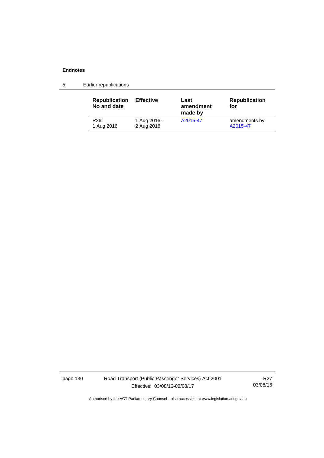5 Earlier republications

| <b>Republication</b><br>No and date | <b>Effective</b> | Last<br>amendment<br>made by | <b>Republication</b><br>for |
|-------------------------------------|------------------|------------------------------|-----------------------------|
| R26                                 | 1 Aug 2016-      | A2015-47                     | amendments by               |
| 1 Aug 2016                          | 2 Aug 2016       |                              | A2015-47                    |

page 130 Road Transport (Public Passenger Services) Act 2001 Effective: 03/08/16-08/03/17

R27 03/08/16